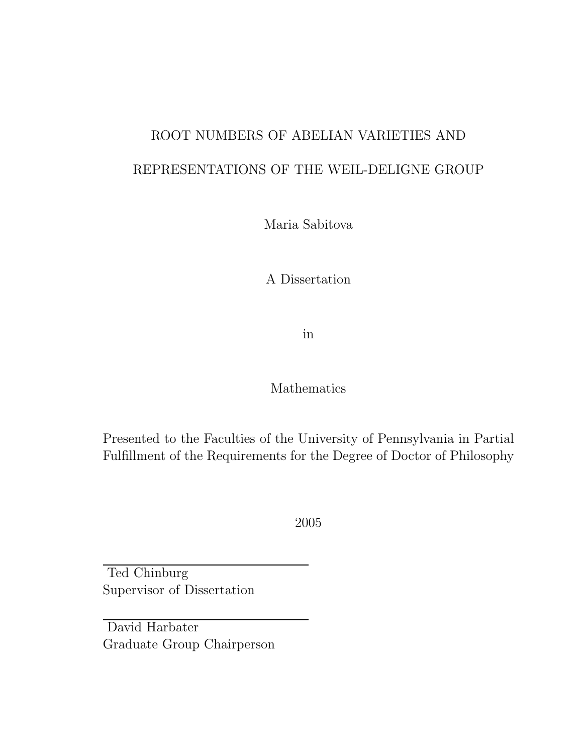## ROOT NUMBERS OF ABELIAN VARIETIES AND REPRESENTATIONS OF THE WEIL-DELIGNE GROUP

Maria Sabitova

A Dissertation

in

### Mathematics

Presented to the Faculties of the University of Pennsylvania in Partial Fulfillment of the Requirements for the Degree of Doctor of Philosophy

2005

Ted Chinburg Supervisor of Dissertation

David Harbater Graduate Group Chairperson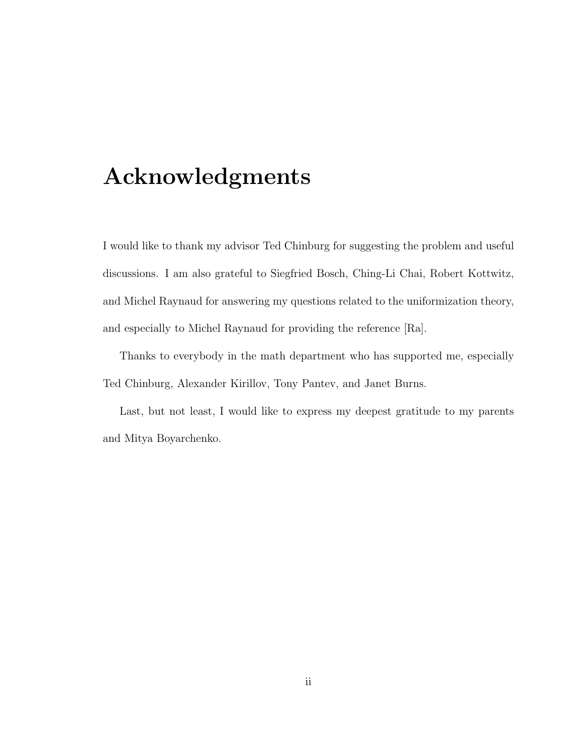## Acknowledgments

I would like to thank my advisor Ted Chinburg for suggesting the problem and useful discussions. I am also grateful to Siegfried Bosch, Ching-Li Chai, Robert Kottwitz, and Michel Raynaud for answering my questions related to the uniformization theory, and especially to Michel Raynaud for providing the reference [Ra].

Thanks to everybody in the math department who has supported me, especially Ted Chinburg, Alexander Kirillov, Tony Pantev, and Janet Burns.

Last, but not least, I would like to express my deepest gratitude to my parents and Mitya Boyarchenko.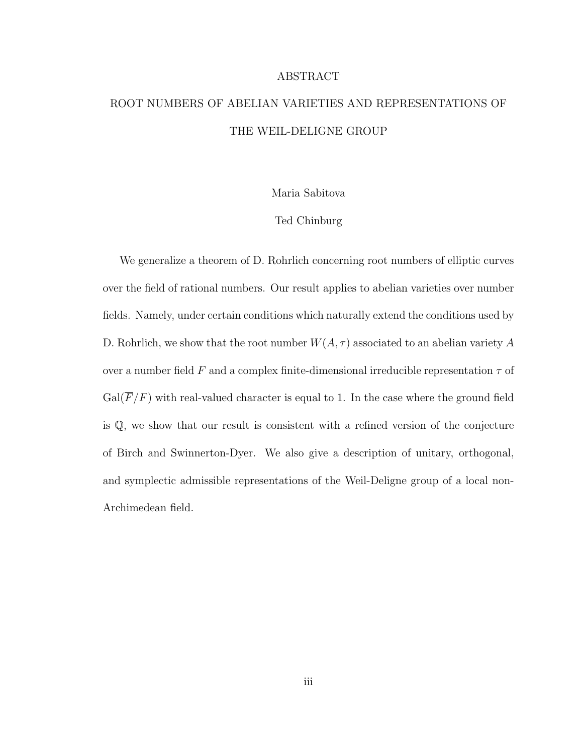## ROOT NUMBERS OF ABELIAN VARIETIES AND REPRESENTATIONS OF THE WEIL-DELIGNE GROUP

ABSTRACT

Maria Sabitova

#### Ted Chinburg

We generalize a theorem of D. Rohrlich concerning root numbers of elliptic curves over the field of rational numbers. Our result applies to abelian varieties over number fields. Namely, under certain conditions which naturally extend the conditions used by D. Rohrlich, we show that the root number  $W(A, \tau)$  associated to an abelian variety A over a number field F and a complex finite-dimensional irreducible representation  $\tau$  of  $Gal(\overline{F}/F)$  with real-valued character is equal to 1. In the case where the ground field is Q, we show that our result is consistent with a refined version of the conjecture of Birch and Swinnerton-Dyer. We also give a description of unitary, orthogonal, and symplectic admissible representations of the Weil-Deligne group of a local non-Archimedean field.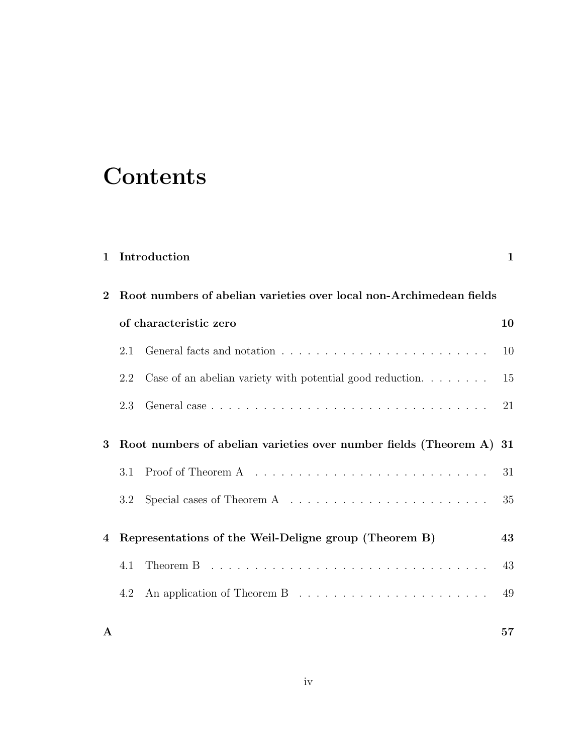# **Contents**

| $\mathbf 1$ |                                                                     | Introduction                                                                             | $\mathbf 1$ |
|-------------|---------------------------------------------------------------------|------------------------------------------------------------------------------------------|-------------|
| $\bf{2}$    | Root numbers of abelian varieties over local non-Archimedean fields |                                                                                          |             |
|             | of characteristic zero                                              |                                                                                          | 10          |
|             | 2.1                                                                 |                                                                                          | 10          |
|             | 2.2                                                                 | Case of an abelian variety with potential good reduction. $\ldots \ldots$                | 15          |
|             | 2.3                                                                 |                                                                                          | 21          |
| 3           | Root numbers of abelian varieties over number fields (Theorem A) 31 |                                                                                          |             |
|             | 3.1                                                                 |                                                                                          | 31          |
|             | 3.2                                                                 | Special cases of Theorem A $\dots \dots \dots \dots \dots \dots \dots \dots$             | 35          |
| 4           | Representations of the Weil-Deligne group (Theorem B)               |                                                                                          | 43          |
|             | 4.1                                                                 | Theorem B $\ldots \ldots \ldots \ldots \ldots \ldots \ldots \ldots \ldots \ldots \ldots$ | 43          |
|             | 4.2                                                                 |                                                                                          | 49          |
| A           |                                                                     |                                                                                          | 57          |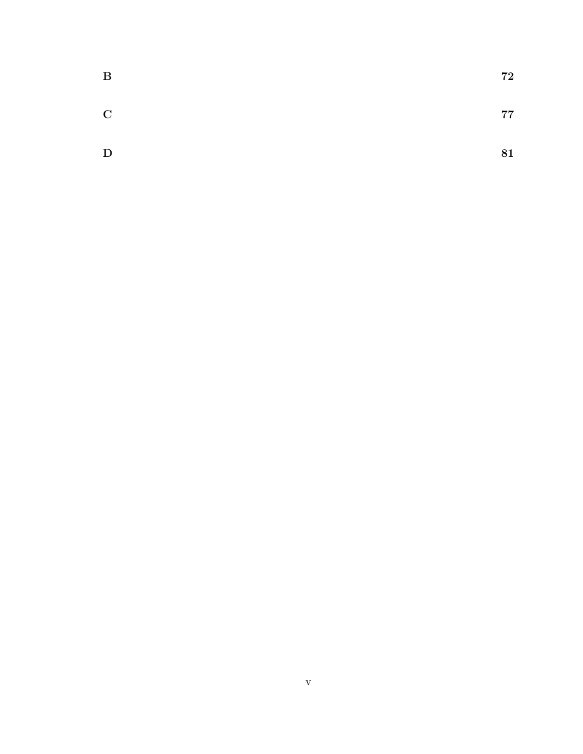| $\bf{B}$    | 72 |
|-------------|----|
| $\mathbf C$ | 77 |
| D           | 81 |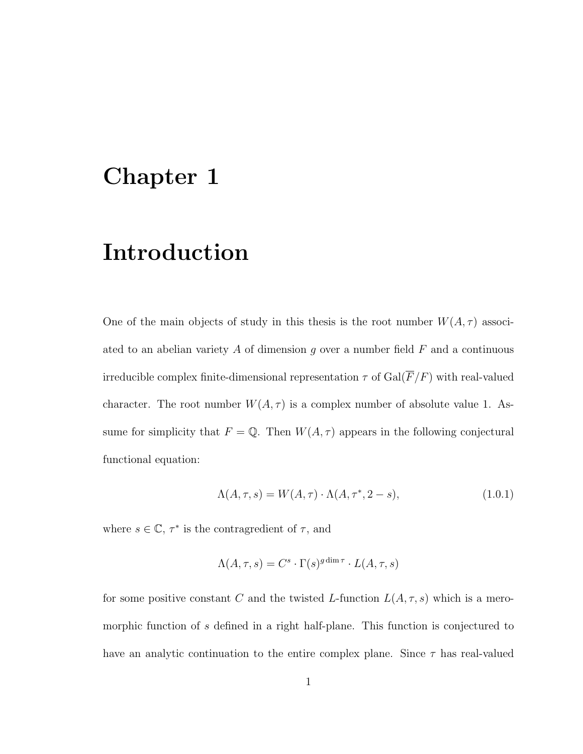## Chapter 1

## Introduction

One of the main objects of study in this thesis is the root number  $W(A, \tau)$  associated to an abelian variety A of dimension  $g$  over a number field  $F$  and a continuous irreducible complex finite-dimensional representation  $\tau$  of  $\operatorname{Gal}(\overline{F}/F)$  with real-valued character. The root number  $W(A, \tau)$  is a complex number of absolute value 1. Assume for simplicity that  $F = \mathbb{Q}$ . Then  $W(A, \tau)$  appears in the following conjectural functional equation:

$$
\Lambda(A,\tau,s) = W(A,\tau) \cdot \Lambda(A,\tau^*,2-s),\tag{1.0.1}
$$

where  $s \in \mathbb{C}$ ,  $\tau^*$  is the contragredient of  $\tau$ , and

$$
\Lambda(A, \tau, s) = C^s \cdot \Gamma(s)^{g \dim \tau} \cdot L(A, \tau, s)
$$

for some positive constant C and the twisted L-function  $L(A, \tau, s)$  which is a meromorphic function of s defined in a right half-plane. This function is conjectured to have an analytic continuation to the entire complex plane. Since  $\tau$  has real-valued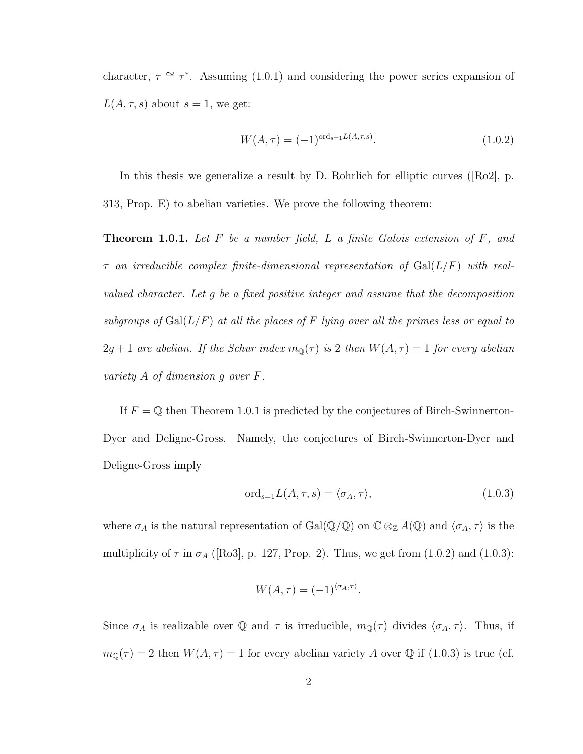character,  $\tau \cong \tau^*$ . Assuming (1.0.1) and considering the power series expansion of  $L(A, \tau, s)$  about  $s = 1$ , we get:

$$
W(A,\tau) = (-1)^{\text{ord}_{s=1}L(A,\tau,s)}.
$$
\n(1.0.2)

In this thesis we generalize a result by D. Rohrlich for elliptic curves ([Ro2], p. 313, Prop. E) to abelian varieties. We prove the following theorem:

**Theorem 1.0.1.** Let  $F$  be a number field,  $L$  a finite Galois extension of  $F$ , and  $\tau$  an irreducible complex finite-dimensional representation of  $Gal(L/F)$  with realvalued character. Let g be a fixed positive integer and assume that the decomposition subgroups of  $Gal(L/F)$  at all the places of F lying over all the primes less or equal to  $2g + 1$  are abelian. If the Schur index  $m_{\mathbb{Q}}(\tau)$  is 2 then  $W(A, \tau) = 1$  for every abelian variety A of dimension g over F.

If  $F = \mathbb{Q}$  then Theorem 1.0.1 is predicted by the conjectures of Birch-Swinnerton-Dyer and Deligne-Gross. Namely, the conjectures of Birch-Swinnerton-Dyer and Deligne-Gross imply

$$
\text{ord}_{s=1}L(A,\tau,s) = \langle \sigma_A, \tau \rangle,\tag{1.0.3}
$$

where  $\sigma_A$  is the natural representation of  $Gal(\overline{\mathbb{Q}}/\mathbb{Q})$  on  $\mathbb{C}\otimes_{\mathbb{Z}} A(\overline{\mathbb{Q}})$  and  $\langle \sigma_A, \tau \rangle$  is the multiplicity of  $\tau$  in  $\sigma_A$  ([Ro3], p. 127, Prop. 2). Thus, we get from (1.0.2) and (1.0.3):

$$
W(A,\tau) = (-1)^{\langle \sigma_A, \tau \rangle}.
$$

Since  $\sigma_A$  is realizable over Q and  $\tau$  is irreducible,  $m_{\mathbb{Q}}(\tau)$  divides  $\langle \sigma_A, \tau \rangle$ . Thus, if  $m_{\mathbb{Q}}(\tau) = 2$  then  $W(A, \tau) = 1$  for every abelian variety A over  $\mathbb Q$  if  $(1.0.3)$  is true (cf.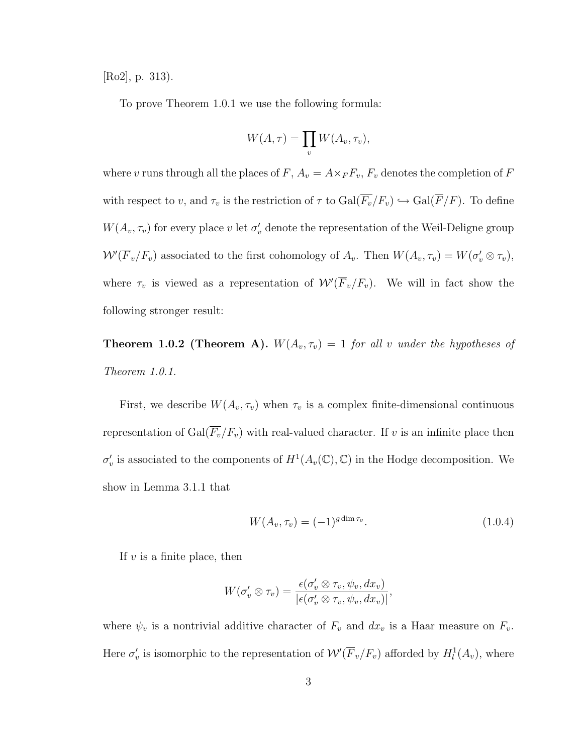[Ro2], p. 313).

To prove Theorem 1.0.1 we use the following formula:

$$
W(A,\tau) = \prod_{v} W(A_v, \tau_v),
$$

where v runs through all the places of  $F$ ,  $A_v = A \times_F F_v$ ,  $F_v$  denotes the completion of  $F$ with respect to v, and  $\tau_v$  is the restriction of  $\tau$  to  $Gal(\overline{F}_v/F_v) \hookrightarrow Gal(\overline{F}/F)$ . To define  $W(A_v, \tau_v)$  for every place v let  $\sigma'_v$  denote the representation of the Weil-Deligne group  $W'(\overline{F}_v/F_v)$  associated to the first cohomology of  $A_v$ . Then  $W(A_v, \tau_v) = W(\sigma'_v \otimes \tau_v)$ , where  $\tau_v$  is viewed as a representation of  $\mathcal{W}'(\overline{F}_v/F_v)$ . We will in fact show the following stronger result:

**Theorem 1.0.2 (Theorem A).**  $W(A_v, \tau_v) = 1$  for all v under the hypotheses of Theorem 1.0.1.

First, we describe  $W(A_v, \tau_v)$  when  $\tau_v$  is a complex finite-dimensional continuous representation of  $Gal(\overline{F_v}/F_v)$  with real-valued character. If v is an infinite place then  $\sigma'_v$  is associated to the components of  $H^1(A_v(\mathbb{C}), \mathbb{C})$  in the Hodge decomposition. We show in Lemma 3.1.1 that

$$
W(A_v, \tau_v) = (-1)^{g \dim \tau_v}.
$$
\n(1.0.4)

If  $v$  is a finite place, then

$$
W(\sigma'_v\otimes \tau_v)=\frac{\epsilon(\sigma'_v\otimes \tau_v,\psi_v,dx_v)}{|\epsilon(\sigma'_v\otimes \tau_v,\psi_v,dx_v)|},
$$

where  $\psi_v$  is a nontrivial additive character of  $F_v$  and  $dx_v$  is a Haar measure on  $F_v$ . Here  $\sigma'_v$  is isomorphic to the representation of  $W'(\overline{F}_v/F_v)$  afforded by  $H_l^1(A_v)$ , where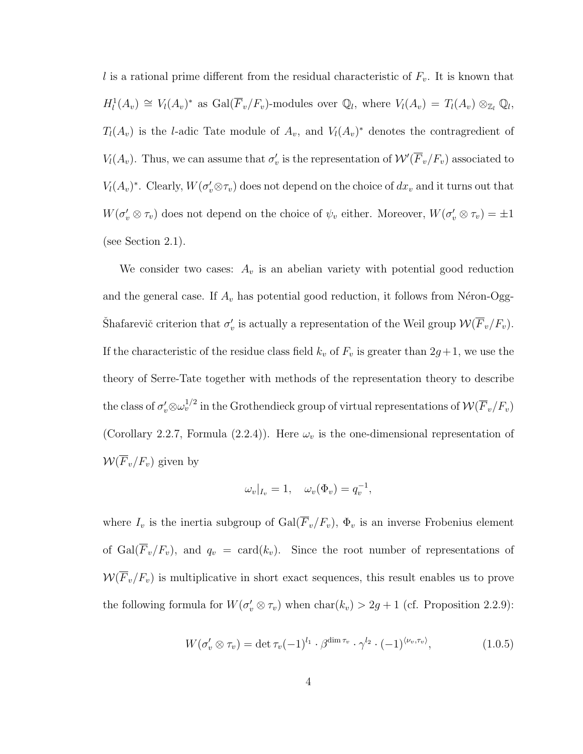l is a rational prime different from the residual characteristic of  $F_v$ . It is known that  $H_l^1(A_v) \cong V_l(A_v)^*$  as  $Gal(\overline{F}_v/F_v)$ -modules over  $\mathbb{Q}_l$ , where  $V_l(A_v) = T_l(A_v) \otimes_{\mathbb{Z}_l} \mathbb{Q}_l$ ,  $T_l(A_v)$  is the l-adic Tate module of  $A_v$ , and  $V_l(A_v)^*$  denotes the contragredient of  $V_l(A_v)$ . Thus, we can assume that  $\sigma'_v$  is the representation of  $\mathcal{W}'(\overline{F}_v/F_v)$  associated to  $V_l(A_v)^*$ . Clearly,  $W(\sigma_v' \otimes \tau_v)$  does not depend on the choice of  $dx_v$  and it turns out that  $W(\sigma'_v \otimes \tau_v)$  does not depend on the choice of  $\psi_v$  either. Moreover,  $W(\sigma'_v \otimes \tau_v) = \pm 1$ (see Section 2.1).

We consider two cases:  $A_v$  is an abelian variety with potential good reduction and the general case. If  $A_v$  has potential good reduction, it follows from Néron-Ogg-Shafarevič criterion that  $\sigma'_v$  is actually a representation of the Weil group  $\mathcal{W}(\overline{F}_v/F_v)$ . If the characteristic of the residue class field  $k_v$  of  $F_v$  is greater than  $2g+1$ , we use the theory of Serre-Tate together with methods of the representation theory to describe the class of  $\sigma'_v\otimes\omega_v^{1/2}$  in the Grothendieck group of virtual representations of  ${\mathcal W}({\overline F_v}/F_v)$ (Corollary 2.2.7, Formula (2.2.4)). Here  $\omega_v$  is the one-dimensional representation of  $W(\overline{F}_v/F_v)$  given by

$$
\omega_v|_{I_v} = 1, \quad \omega_v(\Phi_v) = q_v^{-1},
$$

where  $I_v$  is the inertia subgroup of  $Gal(\overline{F}_v/F_v)$ ,  $\Phi_v$  is an inverse Frobenius element of  $Gal(\overline{F}_v/F_v)$ , and  $q_v = card(k_v)$ . Since the root number of representations of  $W(\overline{F}_v/F_v)$  is multiplicative in short exact sequences, this result enables us to prove the following formula for  $W(\sigma'_v \otimes \tau_v)$  when  $char(k_v) > 2g + 1$  (cf. Proposition 2.2.9):

$$
W(\sigma_v' \otimes \tau_v) = \det \tau_v (-1)^{l_1} \cdot \beta^{\dim \tau_v} \cdot \gamma^{l_2} \cdot (-1)^{\langle \nu_v, \tau_v \rangle}, \qquad (1.0.5)
$$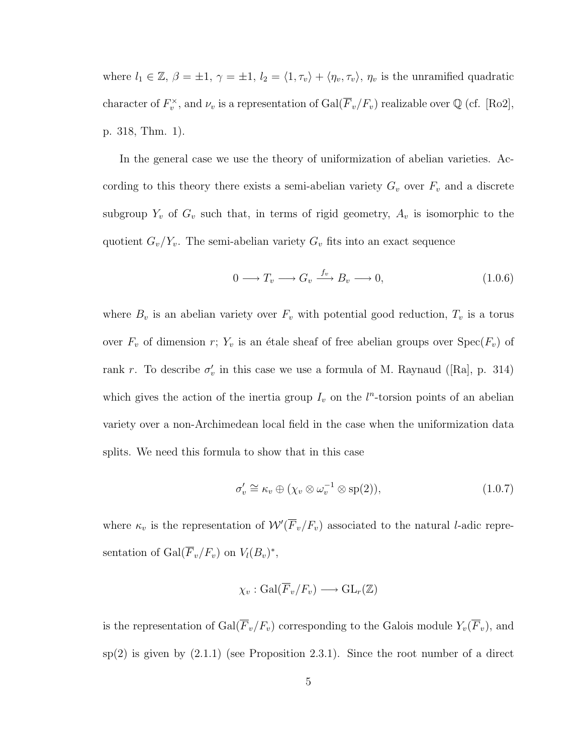where  $l_1 \in \mathbb{Z}$ ,  $\beta = \pm 1$ ,  $\gamma = \pm 1$ ,  $l_2 = \langle 1, \tau_v \rangle + \langle \eta_v, \tau_v \rangle$ ,  $\eta_v$  is the unramified quadratic character of  $F_v^{\times}$ , and  $\nu_v$  is a representation of  $Gal(\overline{F}_v/F_v)$  realizable over  $\mathbb Q$  (cf. [Ro2], p. 318, Thm. 1).

In the general case we use the theory of uniformization of abelian varieties. According to this theory there exists a semi-abelian variety  $G_v$  over  $F_v$  and a discrete subgroup  $Y_v$  of  $G_v$  such that, in terms of rigid geometry,  $A_v$  is isomorphic to the quotient  $G_v/Y_v$ . The semi-abelian variety  $G_v$  fits into an exact sequence

$$
0 \longrightarrow T_v \longrightarrow G_v \stackrel{f_v}{\longrightarrow} B_v \longrightarrow 0,
$$
\n(1.0.6)

where  $B_v$  is an abelian variety over  $F_v$  with potential good reduction,  $T_v$  is a torus over  $F_v$  of dimension r;  $Y_v$  is an étale sheaf of free abelian groups over  $Spec(F_v)$  of rank r. To describe  $\sigma'_v$  in this case we use a formula of M. Raynaud ([Ra], p. 314) which gives the action of the inertia group  $I_v$  on the  $l^n$ -torsion points of an abelian variety over a non-Archimedean local field in the case when the uniformization data splits. We need this formula to show that in this case

$$
\sigma'_v \cong \kappa_v \oplus (\chi_v \otimes \omega_v^{-1} \otimes \text{sp}(2)),\tag{1.0.7}
$$

where  $\kappa_v$  is the representation of  $W(\overline{F}_v/F_v)$  associated to the natural *l*-adic representation of  $Gal(\overline{F}_v/F_v)$  on  $V_l(B_v)^*$ ,

$$
\chi_v : \operatorname{Gal}(\overline{F}_v/F_v) \longrightarrow \operatorname{GL}_r(\mathbb{Z})
$$

is the representation of  $Gal(\overline{F}_v/F_v)$  corresponding to the Galois module  $Y_v(\overline{F}_v)$ , and  $sp(2)$  is given by  $(2.1.1)$  (see Proposition 2.3.1). Since the root number of a direct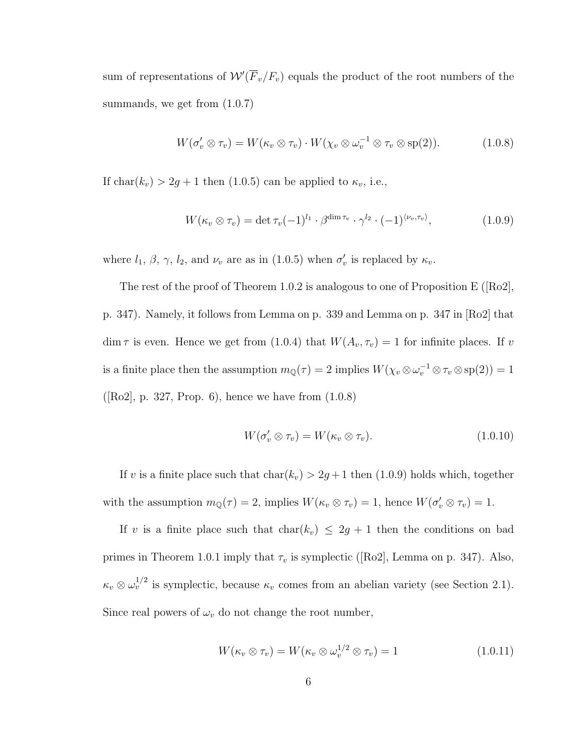sum of representations of  $\mathcal{W}'(\overline{F}_v/F_v)$  equals the product of the root numbers of the summands, we get from  $(1.0.7)$ 

$$
W(\sigma'_v \otimes \tau_v) = W(\kappa_v \otimes \tau_v) \cdot W(\chi_v \otimes \omega_v^{-1} \otimes \tau_v \otimes \text{sp}(2)). \tag{1.0.8}
$$

If char( $k_v$ ) > 2g + 1 then (1.0.5) can be applied to  $\kappa_v$ , i.e.,

$$
W(\kappa_v \otimes \tau_v) = \det \tau_v (-1)^{l_1} \cdot \beta^{\dim \tau_v} \cdot \gamma^{l_2} \cdot (-1)^{\langle \nu_v, \tau_v \rangle}, \qquad (1.0.9)
$$

where  $l_1$ ,  $\beta$ ,  $\gamma$ ,  $l_2$ , and  $\nu_v$  are as in (1.0.5) when  $\sigma'_v$  is replaced by  $\kappa_v$ .

The rest of the proof of Theorem 1.0.2 is analogous to one of Proposition E ([Ro2], p. 347). Namely, it follows from Lemma on p. 339 and Lemma on p. 347 in [Ro2] that dim  $\tau$  is even. Hence we get from (1.0.4) that  $W(A_v, \tau_v) = 1$  for infinite places. If v is a finite place then the assumption  $m_{\mathbb{Q}}(\tau) = 2$  implies  $W(\chi_v \otimes \omega_v^{-1} \otimes \tau_v \otimes \text{sp}(2)) = 1$  $([Ro2], p. 327, Prop. 6), hence we have from  $(1.0.8)$$ 

$$
W(\sigma'_v \otimes \tau_v) = W(\kappa_v \otimes \tau_v).
$$
\n(1.0.10)

If v is a finite place such that  $char(k_v) > 2g + 1$  then (1.0.9) holds which, together with the assumption  $m_{\mathbb{Q}}(\tau) = 2$ , implies  $W(\kappa_v \otimes \tau_v) = 1$ , hence  $W(\sigma_v' \otimes \tau_v) = 1$ .

If v is a finite place such that  $char(k_v) \leq 2g + 1$  then the conditions on bad primes in Theorem 1.0.1 imply that  $\tau_v$  is symplectic ([Ro2], Lemma on p. 347). Also,  $\kappa_v \otimes \omega_v^{1/2}$  is symplectic, because  $\kappa_v$  comes from an abelian variety (see Section 2.1). Since real powers of  $\omega_v$  do not change the root number,

$$
W(\kappa_v \otimes \tau_v) = W(\kappa_v \otimes \omega_v^{1/2} \otimes \tau_v) = 1 \qquad (1.0.11)
$$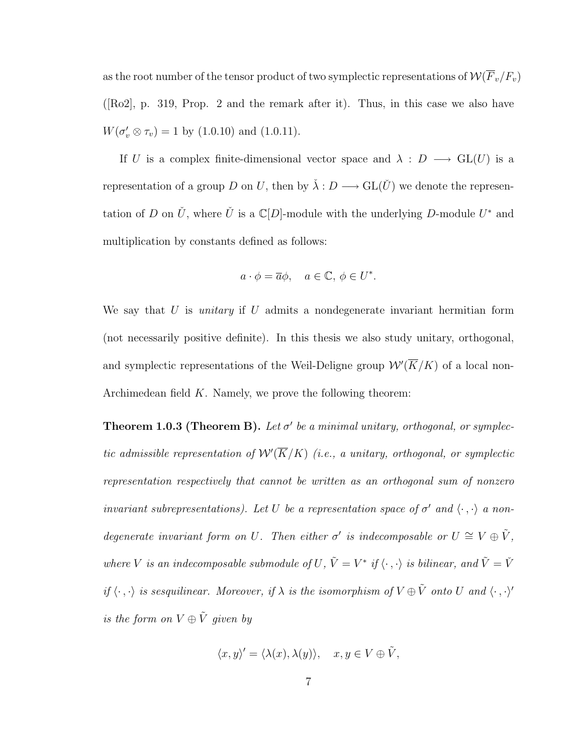as the root number of the tensor product of two symplectic representations of  $\mathcal{W}(\overline{F}_v/F_v)$ ([Ro2], p. 319, Prop. 2 and the remark after it). Thus, in this case we also have  $W(\sigma_v' \otimes \tau_v) = 1$  by (1.0.10) and (1.0.11).

If U is a complex finite-dimensional vector space and  $\lambda : D \longrightarrow GL(U)$  is a representation of a group D on U, then by  $\check{\lambda}: D \longrightarrow GL(\check{U})$  we denote the representation of D on  $\check{U}$ , where  $\check{U}$  is a  $\mathbb{C}[D]$ -module with the underlying D-module  $U^*$  and multiplication by constants defined as follows:

$$
a \cdot \phi = \overline{a}\phi
$$
,  $a \in \mathbb{C}, \phi \in U^*$ .

We say that U is *unitary* if U admits a nondegenerate invariant hermitian form (not necessarily positive definite). In this thesis we also study unitary, orthogonal, and symplectic representations of the Weil-Deligne group  $\mathcal{W}'(\overline{K}/K)$  of a local non-Archimedean field  $K$ . Namely, we prove the following theorem:

**Theorem 1.0.3 (Theorem B).** Let  $\sigma'$  be a minimal unitary, orthogonal, or symplectic admissible representation of  $\mathcal{W}'(\overline{K}/K)$  (i.e., a unitary, orthogonal, or symplectic representation respectively that cannot be written as an orthogonal sum of nonzero invariant subrepresentations). Let U be a representation space of  $\sigma'$  and  $\langle \cdot, \cdot \rangle$  a nondegenerate invariant form on U. Then either  $\sigma'$  is indecomposable or  $U \cong V \oplus \tilde{V}$ , where V is an indecomposable submodule of U,  $\tilde{V} = V^*$  if  $\langle \cdot , \cdot \rangle$  is bilinear, and  $\tilde{V} = \check{V}$ if  $\langle \cdot, \cdot \rangle$  is sesquilinear. Moreover, if  $\lambda$  is the isomorphism of  $V \oplus \tilde{V}$  onto U and  $\langle \cdot, \cdot \rangle'$ is the form on  $V \oplus \tilde{V}$  given by

$$
\langle x, y \rangle' = \langle \lambda(x), \lambda(y) \rangle, \quad x, y \in V \oplus \tilde{V},
$$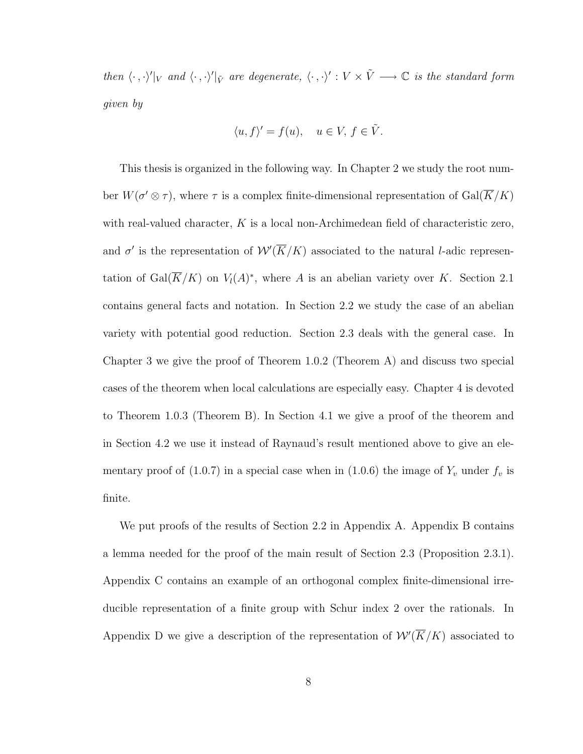then  $\langle \cdot , \cdot \rangle'|_V$  and  $\langle \cdot , \cdot \rangle'|_{\tilde{V}}$  are degenerate,  $\langle \cdot , \cdot \rangle' : V \times \tilde{V} \longrightarrow \mathbb{C}$  is the standard form given by

$$
\langle u, f \rangle' = f(u), \quad u \in V, f \in \tilde{V}.
$$

This thesis is organized in the following way. In Chapter 2 we study the root number  $W(\sigma' \otimes \tau)$ , where  $\tau$  is a complex finite-dimensional representation of  $Gal(\overline{K}/K)$ with real-valued character,  $K$  is a local non-Archimedean field of characteristic zero, and  $\sigma'$  is the representation of  $\mathcal{W}'(\overline{K}/K)$  associated to the natural *l*-adic representation of  $Gal(\overline{K}/K)$  on  $V_l(A)^*$ , where A is an abelian variety over K. Section 2.1 contains general facts and notation. In Section 2.2 we study the case of an abelian variety with potential good reduction. Section 2.3 deals with the general case. In Chapter 3 we give the proof of Theorem 1.0.2 (Theorem A) and discuss two special cases of the theorem when local calculations are especially easy. Chapter 4 is devoted to Theorem 1.0.3 (Theorem B). In Section 4.1 we give a proof of the theorem and in Section 4.2 we use it instead of Raynaud's result mentioned above to give an elementary proof of (1.0.7) in a special case when in (1.0.6) the image of  $Y_v$  under  $f_v$  is finite.

We put proofs of the results of Section 2.2 in Appendix A. Appendix B contains a lemma needed for the proof of the main result of Section 2.3 (Proposition 2.3.1). Appendix C contains an example of an orthogonal complex finite-dimensional irreducible representation of a finite group with Schur index 2 over the rationals. In Appendix D we give a description of the representation of  $W(\overline{K}/K)$  associated to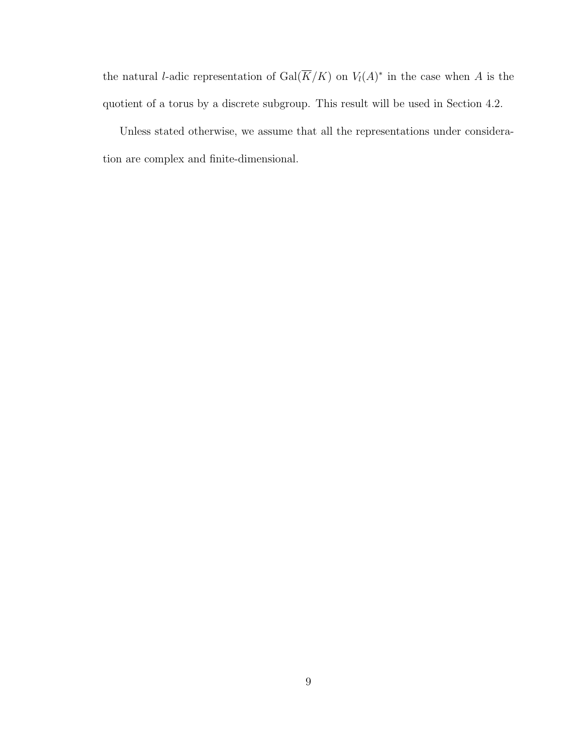the natural *l*-adic representation of  $Gal(\overline{K}/K)$  on  $V_l(A)^*$  in the case when A is the quotient of a torus by a discrete subgroup. This result will be used in Section 4.2.

Unless stated otherwise, we assume that all the representations under consideration are complex and finite-dimensional.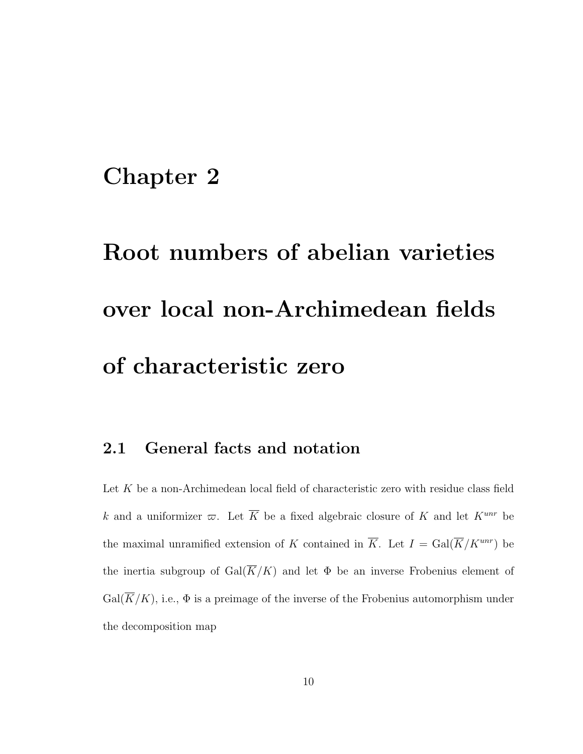### Chapter 2

# Root numbers of abelian varieties over local non-Archimedean fields of characteristic zero

### 2.1 General facts and notation

Let K be a non-Archimedean local field of characteristic zero with residue class field k and a uniformizer  $\varpi$ . Let  $\overline{K}$  be a fixed algebraic closure of K and let  $K^{unr}$  be the maximal unramified extension of K contained in  $\overline{K}$ . Let  $I = \text{Gal}(\overline{K}/K^{unr})$  be the inertia subgroup of  $Gal(\overline{K}/K)$  and let  $\Phi$  be an inverse Frobenius element of  $Gal(K/K)$ , i.e.,  $\Phi$  is a preimage of the inverse of the Frobenius automorphism under the decomposition map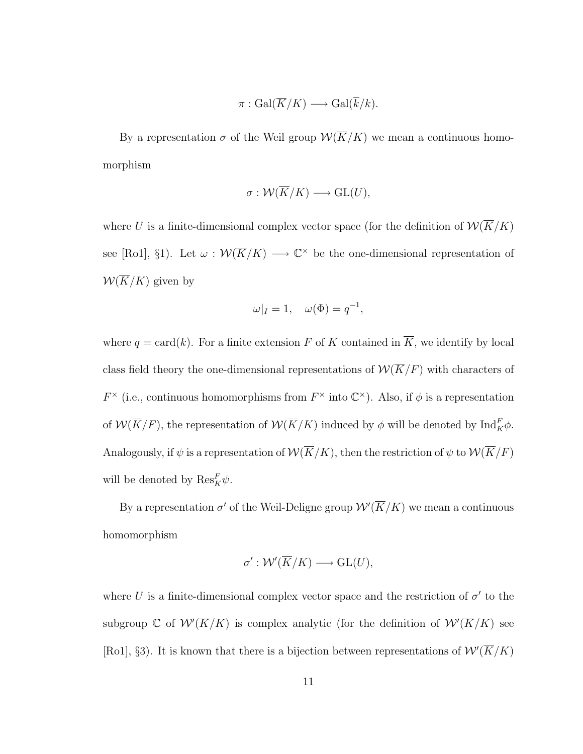$$
\pi: \operatorname{Gal}(\overline{K}/K) \longrightarrow \operatorname{Gal}(\overline{k}/k).
$$

By a representation  $\sigma$  of the Weil group  $\mathcal{W}(\overline{K}/K)$  we mean a continuous homomorphism

$$
\sigma: \mathcal{W}(\overline{K}/K) \longrightarrow GL(U),
$$

where U is a finite-dimensional complex vector space (for the definition of  $\mathcal{W}(\overline{K}/K)$ see [Ro1], §1). Let  $\omega : \mathcal{W}(\overline{K}/K) \longrightarrow \mathbb{C}^{\times}$  be the one-dimensional representation of  $W(\overline{K}/K)$  given by

$$
\omega|_I = 1, \quad \omega(\Phi) = q^{-1},
$$

where  $q = \text{card}(k)$ . For a finite extension F of K contained in  $\overline{K}$ , we identify by local class field theory the one-dimensional representations of  $\mathcal{W}(\overline{K}/F)$  with characters of  $F^{\times}$  (i.e., continuous homomorphisms from  $F^{\times}$  into  $\mathbb{C}^{\times}$ ). Also, if  $\phi$  is a representation of  $\mathcal{W}(\overline{K}/F)$ , the representation of  $\mathcal{W}(\overline{K}/K)$  induced by  $\phi$  will be denoted by  $\text{Ind}_{K}^{F}\phi$ . Analogously, if  $\psi$  is a representation of  $\mathcal{W}(\overline{K}/K)$ , then the restriction of  $\psi$  to  $\mathcal{W}(\overline{K}/F)$ will be denoted by  $\text{Res}_{K}^{F}\psi$ .

By a representation  $\sigma'$  of the Weil-Deligne group  $\mathcal{W}'(\overline{K}/K)$  we mean a continuous homomorphism

$$
\sigma': \mathcal{W}'(\overline{K}/K) \longrightarrow \text{GL}(U),
$$

where U is a finite-dimensional complex vector space and the restriction of  $\sigma'$  to the subgroup C of  $W'(\overline{K}/K)$  is complex analytic (for the definition of  $W'(\overline{K}/K)$  see [Ro1], §3). It is known that there is a bijection between representations of  $W'(\overline{K}/K)$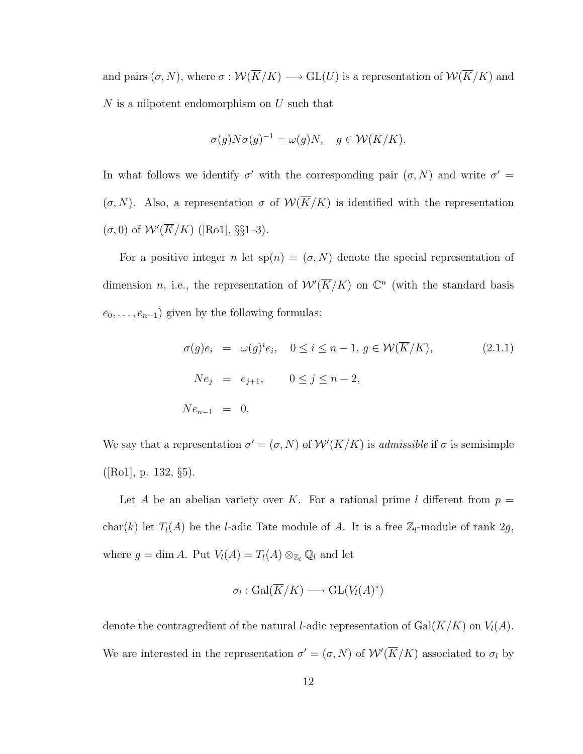and pairs  $(\sigma, N)$ , where  $\sigma : \mathcal{W}(\overline{K}/K) \longrightarrow \text{GL}(U)$  is a representation of  $\mathcal{W}(\overline{K}/K)$  and  $N$  is a nilpotent endomorphism on  $U$  such that

$$
\sigma(g)N\sigma(g)^{-1} = \omega(g)N, \quad g \in \mathcal{W}(\overline{K}/K).
$$

In what follows we identify  $\sigma'$  with the corresponding pair  $(\sigma, N)$  and write  $\sigma' =$  $(\sigma, N)$ . Also, a representation  $\sigma$  of  $\mathcal{W}(\overline{K}/K)$  is identified with the representation  $(\sigma, 0)$  of  $W'(\overline{K}/K)$  ([Ro1], §§1–3).

For a positive integer n let  $sp(n) = (\sigma, N)$  denote the special representation of dimension *n*, i.e., the representation of  $W(\overline{K}/K)$  on  $\mathbb{C}^n$  (with the standard basis  $e_0, \ldots, e_{n-1}$ ) given by the following formulas:

$$
\sigma(g)e_i = \omega(g)^i e_i, \quad 0 \le i \le n-1, g \in \mathcal{W}(\overline{K}/K),
$$
  
\n
$$
Ne_j = e_{j+1}, \qquad 0 \le j \le n-2,
$$
  
\n
$$
Ne_{n-1} = 0.
$$
  
\n(2.1.1)

We say that a representation  $\sigma' = (\sigma, N)$  of  $\mathcal{W}'(\overline{K}/K)$  is *admissible* if  $\sigma$  is semisimple  $([Ro1], p. 132, §5).$ 

Let A be an abelian variety over K. For a rational prime l different from  $p =$ char(k) let  $T_l(A)$  be the l-adic Tate module of A. It is a free  $\mathbb{Z}_l$ -module of rank  $2g$ , where  $g = \dim A$ . Put  $V_l(A) = T_l(A) \otimes_{\mathbb{Z}_l} \mathbb{Q}_l$  and let

$$
\sigma_l : \text{Gal}(\overline{K}/K) \longrightarrow \text{GL}(V_l(A)^*)
$$

denote the contragredient of the natural *l*-adic representation of  $Gal(\overline{K}/K)$  on  $V_l(A)$ . We are interested in the representation  $\sigma' = (\sigma, N)$  of  $W'(\overline{K}/K)$  associated to  $\sigma_l$  by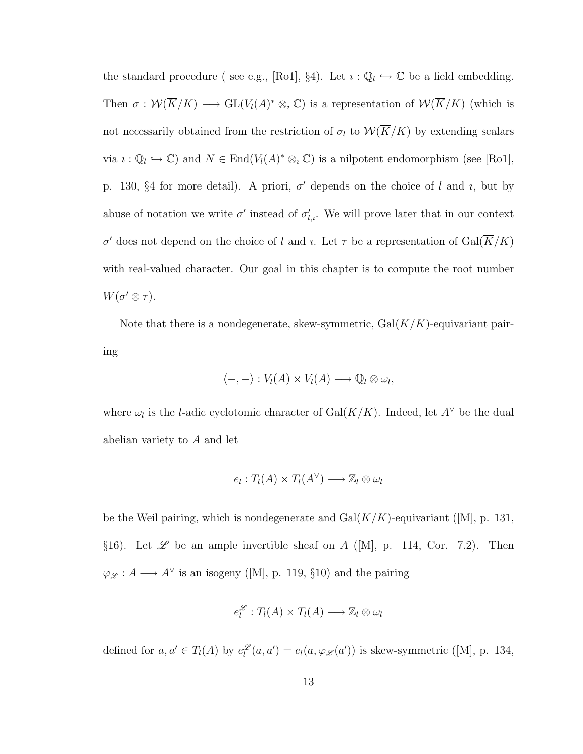the standard procedure (see e.g., [Ro1], §4). Let  $i : \mathbb{Q}_l \hookrightarrow \mathbb{C}$  be a field embedding. Then  $\sigma: \mathcal{W}(\overline{K}/K) \longrightarrow GL(V_l(A)^* \otimes_i \mathbb{C})$  is a representation of  $\mathcal{W}(\overline{K}/K)$  (which is not necessarily obtained from the restriction of  $\sigma_l$  to  $W(\overline{K}/K)$  by extending scalars via  $\iota : \mathbb{Q}_l \hookrightarrow \mathbb{C}$ ) and  $N \in \text{End}(V_l(A)^* \otimes_{\iota} \mathbb{C})$  is a nilpotent endomorphism (see [Ro1], p. 130, §4 for more detail). A priori,  $\sigma'$  depends on the choice of l and i, but by abuse of notation we write  $\sigma'$  instead of  $\sigma'_{l,i}$ . We will prove later that in our context σ' does not depend on the choice of l and l. Let  $\tau$  be a representation of  $Gal(\overline{K}/K)$ with real-valued character. Our goal in this chapter is to compute the root number  $W(\sigma' \otimes \tau).$ 

Note that there is a nondegenerate, skew-symmetric,  $Gal(\overline{K}/K)$ -equivariant pairing

$$
\langle -, - \rangle : V_l(A) \times V_l(A) \longrightarrow \mathbb{Q}_l \otimes \omega_l,
$$

where  $\omega_l$  is the *l*-adic cyclotomic character of Gal( $\overline{K}/K$ ). Indeed, let  $A^{\vee}$  be the dual abelian variety to A and let

$$
e_l: T_l(A) \times T_l(A^{\vee}) \longrightarrow \mathbb{Z}_l \otimes \omega_l
$$

be the Weil pairing, which is nondegenerate and  $Gal(\overline{K}/K)$ -equivariant ([M], p. 131, §16). Let  $\mathscr L$  be an ample invertible sheaf on A ([M], p. 114, Cor. 7.2). Then  $\varphi_{\mathscr{L}}: A \longrightarrow A^{\vee}$  is an isogeny ([M], p. 119, §10) and the pairing

$$
e_l^{\mathscr{L}}:T_l(A)\times T_l(A)\longrightarrow \mathbb{Z}_l\otimes \omega_l
$$

defined for  $a, a' \in T_l(A)$  by  $e_l^{\mathscr{L}}(a, a') = e_l(a, \varphi_{\mathscr{L}}(a'))$  is skew-symmetric ([M], p. 134,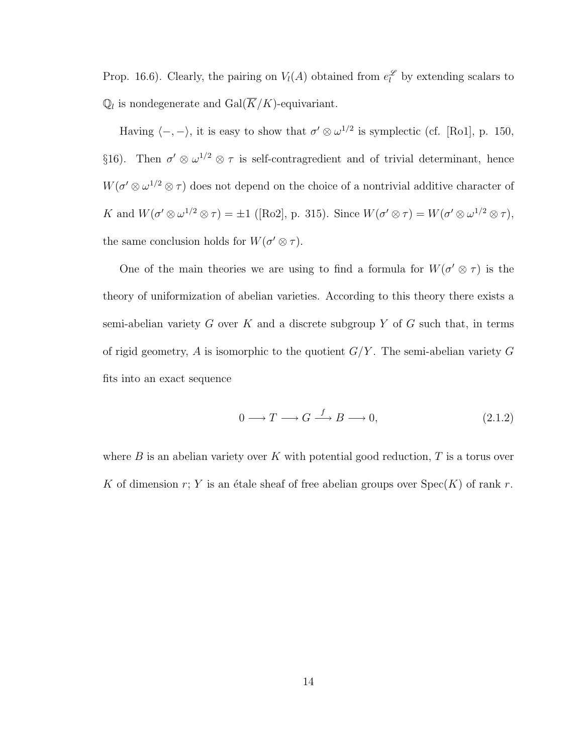Prop. 16.6). Clearly, the pairing on  $V_l(A)$  obtained from  $e_l^{\mathscr{L}}$  by extending scalars to  $\mathbb{Q}_l$  is nondegenerate and  $\text{Gal}(\overline{K}/K)$ -equivariant.

Having  $\langle -, - \rangle$ , it is easy to show that  $\sigma' \otimes \omega^{1/2}$  is symplectic (cf. [Ro1], p. 150, §16). Then  $\sigma' \otimes \omega^{1/2} \otimes \tau$  is self-contragredient and of trivial determinant, hence  $W(\sigma' \otimes \omega^{1/2} \otimes \tau)$  does not depend on the choice of a nontrivial additive character of K and  $W(\sigma' \otimes \omega^{1/2} \otimes \tau) = \pm 1$  ([Ro2], p. 315). Since  $W(\sigma' \otimes \tau) = W(\sigma' \otimes \omega^{1/2} \otimes \tau)$ , the same conclusion holds for  $W(\sigma' \otimes \tau)$ .

One of the main theories we are using to find a formula for  $W(\sigma \otimes \tau)$  is the theory of uniformization of abelian varieties. According to this theory there exists a semi-abelian variety  $G$  over  $K$  and a discrete subgroup  $Y$  of  $G$  such that, in terms of rigid geometry, A is isomorphic to the quotient  $G/Y$ . The semi-abelian variety G fits into an exact sequence

$$
0 \longrightarrow T \longrightarrow G \stackrel{f}{\longrightarrow} B \longrightarrow 0,
$$
\n
$$
(2.1.2)
$$

where  $B$  is an abelian variety over K with potential good reduction,  $T$  is a torus over K of dimension r; Y is an étale sheaf of free abelian groups over  $Spec(K)$  of rank r.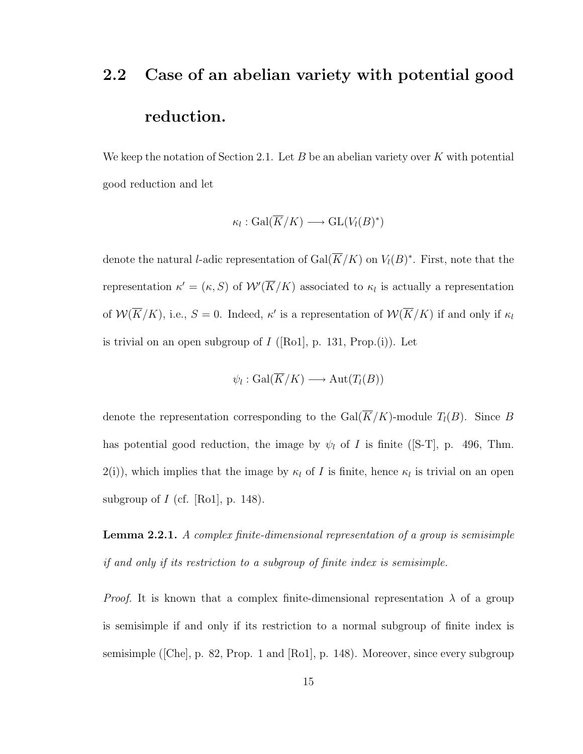# 2.2 Case of an abelian variety with potential good reduction.

We keep the notation of Section 2.1. Let B be an abelian variety over K with potential good reduction and let

$$
\kappa_l : \text{Gal}(\overline{K}/K) \longrightarrow \text{GL}(V_l(B)^*)
$$

denote the natural *l*-adic representation of  $Gal(\overline{K}/K)$  on  $V_l(B)^*$ . First, note that the representation  $\kappa' = (\kappa, S)$  of  $W'(\overline{K}/K)$  associated to  $\kappa_l$  is actually a representation of  $W(\overline{K}/K)$ , i.e.,  $S=0$ . Indeed,  $\kappa'$  is a representation of  $W(\overline{K}/K)$  if and only if  $\kappa_l$ is trivial on an open subgroup of  $I$  ([Ro1], p. 131, Prop.(i)). Let

$$
\psi_l : \text{Gal}(\overline{K}/K) \longrightarrow \text{Aut}(T_l(B))
$$

denote the representation corresponding to the  $Gal(\overline{K}/K)$ -module  $T_l(B)$ . Since B has potential good reduction, the image by  $\psi_l$  of I is finite ([S-T], p. 496, Thm.  $2(i)$ , which implies that the image by  $\kappa_l$  of I is finite, hence  $\kappa_l$  is trivial on an open subgroup of  $I$  (cf. [Ro1], p. 148).

Lemma 2.2.1. A complex finite-dimensional representation of a group is semisimple if and only if its restriction to a subgroup of finite index is semisimple.

*Proof.* It is known that a complex finite-dimensional representation  $\lambda$  of a group is semisimple if and only if its restriction to a normal subgroup of finite index is semisimple ([Che], p. 82, Prop. 1 and [Ro1], p. 148). Moreover, since every subgroup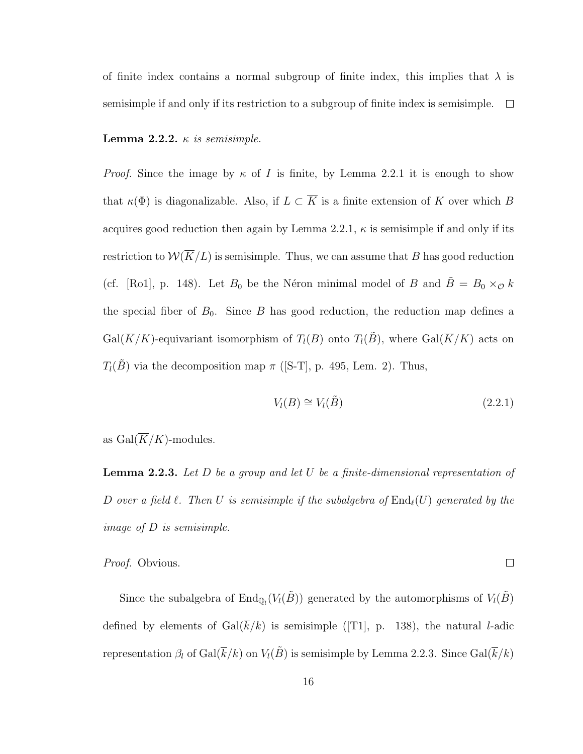of finite index contains a normal subgroup of finite index, this implies that  $\lambda$  is semisimple if and only if its restriction to a subgroup of finite index is semisimple.  $\Box$ 

Lemma 2.2.2.  $\kappa$  is semisimple.

*Proof.* Since the image by  $\kappa$  of I is finite, by Lemma 2.2.1 it is enough to show that  $\kappa(\Phi)$  is diagonalizable. Also, if  $L \subset \overline{K}$  is a finite extension of K over which B acquires good reduction then again by Lemma 2.2.1,  $\kappa$  is semisimple if and only if its restriction to  $W(\overline{K}/L)$  is semisimple. Thus, we can assume that B has good reduction (cf. [Ro1], p. 148). Let  $B_0$  be the Néron minimal model of B and  $\tilde{B} = B_0 \times_{\mathcal{O}} k$ the special fiber of  $B_0$ . Since B has good reduction, the reduction map defines a  $Gal(\overline{K}/K)$ -equivariant isomorphism of  $T_l(B)$  onto  $T_l(\tilde{B})$ , where  $Gal(\overline{K}/K)$  acts on  $T_l(\tilde{B})$  via the decomposition map  $\pi$  ([S-T], p. 495, Lem. 2). Thus,

$$
V_l(B) \cong V_l(\tilde{B}) \tag{2.2.1}
$$

 $\Box$ 

as  $Gal(\overline{K}/K)$ -modules.

**Lemma 2.2.3.** Let  $D$  be a group and let  $U$  be a finite-dimensional representation of D over a field  $\ell$ . Then U is semisimple if the subalgebra of  $\text{End}_{\ell}(U)$  generated by the image of D is semisimple.

Proof. Obvious.

Since the subalgebra of  $\text{End}_{\mathbb{Q}_l}(V_l(\tilde{B}))$  generated by the automorphisms of  $V_l(\tilde{B})$ defined by elements of  $Gal(\overline{k}/k)$  is semisimple ([T1], p. 138), the natural *l*-adic representation  $\beta_l$  of  $Gal(\overline{k}/k)$  on  $V_l(\tilde{B})$  is semisimple by Lemma 2.2.3. Since  $Gal(\overline{k}/k)$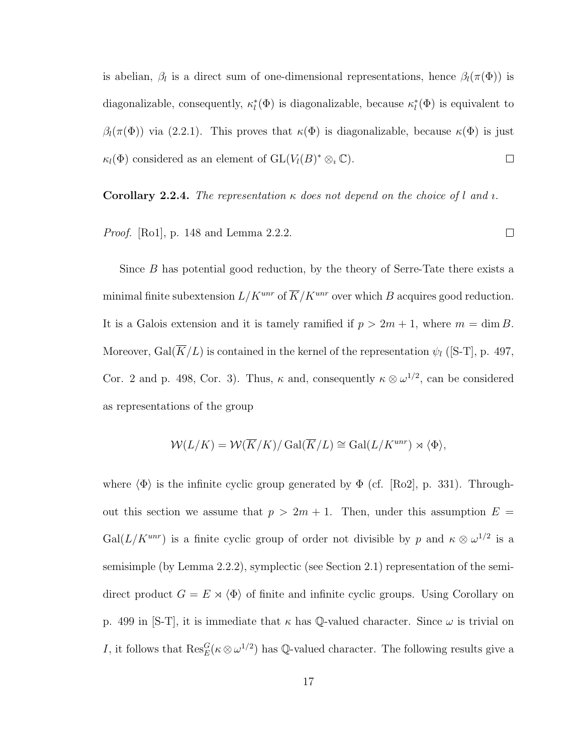is abelian,  $\beta_l$  is a direct sum of one-dimensional representations, hence  $\beta_l(\pi(\Phi))$  is diagonalizable, consequently,  $\kappa_l^*(\Phi)$  is diagonalizable, because  $\kappa_l^*(\Phi)$  is equivalent to  $β_l(π(Φ))$  via (2.2.1). This proves that  $κ(Φ)$  is diagonalizable, because  $κ(Φ)$  is just  $\kappa_l(\Phi)$  considered as an element of  $GL(V_l(B)^*\otimes_{\iota}\mathbb{C})$ .  $\Box$ 

**Corollary 2.2.4.** The representation  $\kappa$  does not depend on the choice of l and *i*.

*Proof.* [Ro1], p. 148 and Lemma 2.2.2.  $\Box$ 

Since B has potential good reduction, by the theory of Serre-Tate there exists a minimal finite subextension  $L/K^{unr}$  of  $\overline{K}/K^{unr}$  over which  $B$  acquires good reduction. It is a Galois extension and it is tamely ramified if  $p > 2m + 1$ , where  $m = \dim B$ . Moreover, Gal $(\overline{K}/L)$  is contained in the kernel of the representation  $\psi_l$  ([S-T], p. 497, Cor. 2 and p. 498, Cor. 3). Thus,  $\kappa$  and, consequently  $\kappa \otimes \omega^{1/2}$ , can be considered as representations of the group

$$
\mathcal{W}(L/K) = \mathcal{W}(\overline{K}/K) / \operatorname{Gal}(\overline{K}/L) \cong \operatorname{Gal}(L/K^{unr}) \rtimes \langle \Phi \rangle,
$$

where  $\langle \Phi \rangle$  is the infinite cyclic group generated by  $\Phi$  (cf. [Ro2], p. 331). Throughout this section we assume that  $p > 2m + 1$ . Then, under this assumption  $E =$ Gal( $L/K^{unr}$ ) is a finite cyclic group of order not divisible by p and  $\kappa \otimes \omega^{1/2}$  is a semisimple (by Lemma 2.2.2), symplectic (see Section 2.1) representation of the semidirect product  $G = E \rtimes \langle \Phi \rangle$  of finite and infinite cyclic groups. Using Corollary on p. 499 in [S-T], it is immediate that  $\kappa$  has Q-valued character. Since  $\omega$  is trivial on I, it follows that  $\text{Res}_{E}^{G}(\kappa \otimes \omega^{1/2})$  has Q-valued character. The following results give a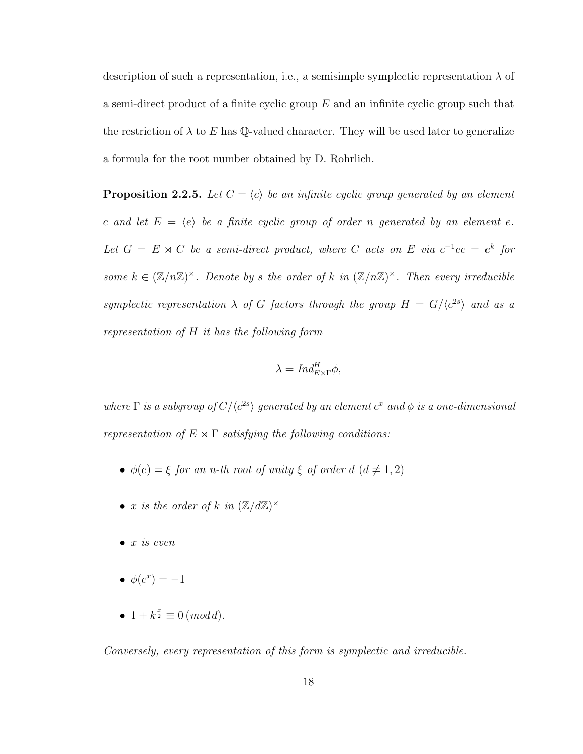description of such a representation, i.e., a semisimple symplectic representation  $\lambda$  of a semi-direct product of a finite cyclic group  $E$  and an infinite cyclic group such that the restriction of  $\lambda$  to E has Q-valued character. They will be used later to generalize a formula for the root number obtained by D. Rohrlich.

**Proposition 2.2.5.** Let  $C = \langle c \rangle$  be an infinite cyclic group generated by an element c and let  $E = \langle e \rangle$  be a finite cyclic group of order n generated by an element e. Let  $G = E \rtimes C$  be a semi-direct product, where C acts on E via  $c^{-1}ec = e^{k}$  for some  $k \in (\mathbb{Z}/n\mathbb{Z})^{\times}$ . Denote by s the order of k in  $(\mathbb{Z}/n\mathbb{Z})^{\times}$ . Then every irreducible symplectic representation  $\lambda$  of G factors through the group  $H = G/(c^{2s})$  and as a representation of H it has the following form

$$
\lambda = Ind_{E \rtimes \Gamma}^H \phi,
$$

where  $\Gamma$  is a subgroup of  $C/\langle c^{2s} \rangle$  generated by an element  $c^x$  and  $\phi$  is a one-dimensional representation of  $E \rtimes \Gamma$  satisfying the following conditions:

- $\phi(e) = \xi$  for an n-th root of unity  $\xi$  of order d  $(d \neq 1, 2)$
- x is the order of k in  $(\mathbb{Z}/d\mathbb{Z})^{\times}$
- $\bullet$  x is even
- $\bullet \ \phi(c^x) = -1$
- $1 + k^{\frac{x}{2}} \equiv 0 \pmod{d}$ .

Conversely, every representation of this form is symplectic and irreducible.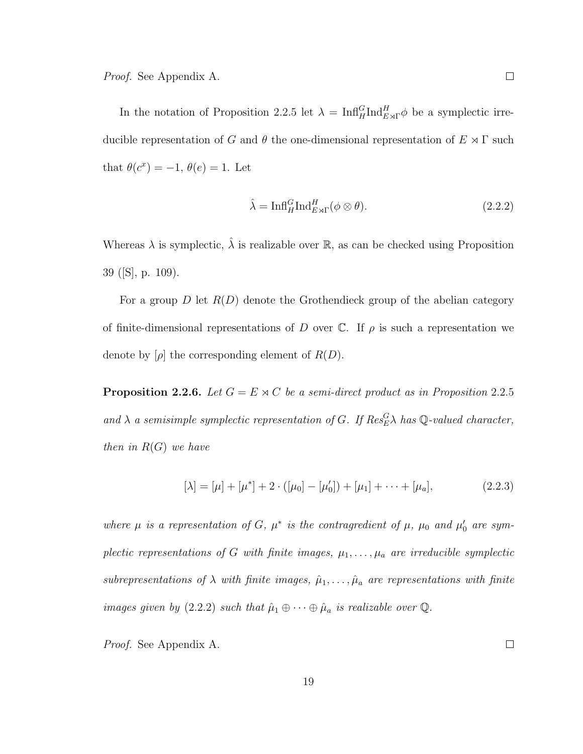In the notation of Proposition 2.2.5 let  $\lambda = \text{Inf}_{H}^{G} \text{Ind}_{E \rtimes \Gamma}^{H} \phi$  be a symplectic irreducible representation of G and  $\theta$  the one-dimensional representation of  $E \rtimes \Gamma$  such that  $\theta(c^x) = -1, \theta(e) = 1$ . Let

$$
\hat{\lambda} = \text{Inf}_{H}^{G} \text{Ind}_{E \rtimes \Gamma}^{H} (\phi \otimes \theta). \tag{2.2.2}
$$

Whereas  $\lambda$  is symplectic,  $\hat{\lambda}$  is realizable over  $\mathbb{R}$ , as can be checked using Proposition 39 ([S], p. 109).

For a group D let  $R(D)$  denote the Grothendieck group of the abelian category of finite-dimensional representations of D over  $\mathbb C$ . If  $\rho$  is such a representation we denote by  $[\rho]$  the corresponding element of  $R(D)$ .

**Proposition 2.2.6.** Let  $G = E \rtimes C$  be a semi-direct product as in Proposition 2.2.5 and  $\lambda$  a semisimple symplectic representation of G. If  $Res_{E}^{G} \lambda$  has Q-valued character, then in  $R(G)$  we have

$$
[\lambda] = [\mu] + [\mu^*] + 2 \cdot ([\mu_0] - [\mu'_0]) + [\mu_1] + \dots + [\mu_a], \tag{2.2.3}
$$

where  $\mu$  is a representation of G,  $\mu^*$  is the contragredient of  $\mu$ ,  $\mu_0$  and  $\mu'_0$  are symplectic representations of G with finite images,  $\mu_1, \ldots, \mu_a$  are irreducible symplectic subrepresentations of  $\lambda$  with finite images,  $\hat{\mu}_1, \ldots, \hat{\mu}_a$  are representations with finite images given by (2.2.2) such that  $\hat{\mu}_1 \oplus \cdots \oplus \hat{\mu}_a$  is realizable over  $\mathbb{Q}$ .

Proof. See Appendix A.

 $\Box$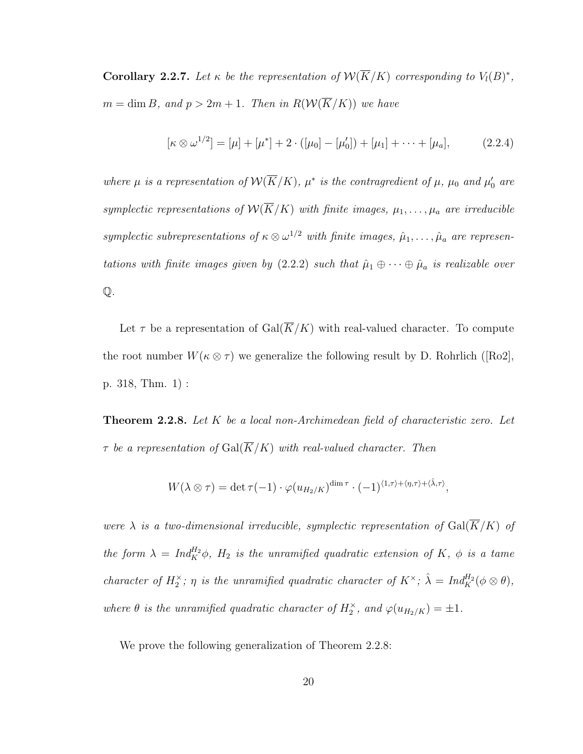**Corollary 2.2.7.** Let  $\kappa$  be the representation of  $\mathcal{W}(\overline{K}/K)$  corresponding to  $V_l(B)^*$ ,  $m = \dim B$ , and  $p > 2m + 1$ . Then in  $R(\mathcal{W}(\overline{K}/K))$  we have

$$
[\kappa \otimes \omega^{1/2}] = [\mu] + [\mu^*] + 2 \cdot ([\mu_0] - [\mu'_0]) + [\mu_1] + \cdots + [\mu_a], \tag{2.2.4}
$$

where  $\mu$  is a representation of  $\mathcal{W}(\overline{K}/K)$ ,  $\mu^*$  is the contragredient of  $\mu$ ,  $\mu_0$  and  $\mu'_0$  are symplectic representations of  $\mathcal{W}(\overline{K}/K)$  with finite images,  $\mu_1, \ldots, \mu_a$  are irreducible symplectic subrepresentations of  $\kappa \otimes \omega^{1/2}$  with finite images,  $\hat{\mu}_1, \ldots, \hat{\mu}_a$  are representations with finite images given by (2.2.2) such that  $\hat{\mu}_1 \oplus \cdots \oplus \hat{\mu}_a$  is realizable over  $\mathbb{Q}$ .

Let  $\tau$  be a representation of  $Gal(\overline{K}/K)$  with real-valued character. To compute the root number  $W(\kappa \otimes \tau)$  we generalize the following result by D. Rohrlich ([Ro2], p. 318, Thm. 1) :

**Theorem 2.2.8.** Let  $K$  be a local non-Archimedean field of characteristic zero. Let  $\tau$  be a representation of  $Gal(\overline{K}/K)$  with real-valued character. Then

$$
W(\lambda \otimes \tau) = \det \tau(-1) \cdot \varphi(u_{H_2/K})^{\dim \tau} \cdot (-1)^{\langle 1, \tau \rangle + \langle \eta, \tau \rangle + \langle \hat{\lambda}, \tau \rangle},
$$

were  $\lambda$  is a two-dimensional irreducible, symplectic representation of  $Gal(\overline{K}/K)$  of the form  $\lambda = Ind_K^{H_2} \phi$ ,  $H_2$  is the unramified quadratic extension of K,  $\phi$  is a tame character of  $H_2^{\times}$ ;  $\eta$  is the unramified quadratic character of  $K^{\times}$ ;  $\hat{\lambda} = Ind_K^{H_2}(\phi \otimes \theta)$ , where  $\theta$  is the unramified quadratic character of  $H_2^{\times}$ , and  $\varphi(u_{H_2/K}) = \pm 1$ .

We prove the following generalization of Theorem 2.2.8: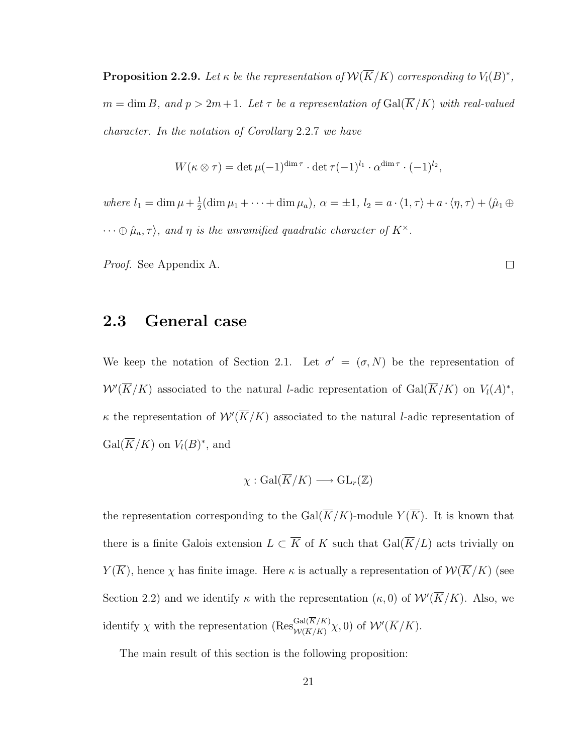**Proposition 2.2.9.** Let  $\kappa$  be the representation of  $\mathcal{W}(\overline{K}/K)$  corresponding to  $V_l(B)^*$ ,  $m = \dim B$ , and  $p > 2m + 1$ . Let  $\tau$  be a representation of  $Gal(\overline{K}/K)$  with real-valued character. In the notation of Corollary 2.2.7 we have

$$
W(\kappa \otimes \tau) = \det \mu(-1)^{\dim \tau} \cdot \det \tau(-1)^{l_1} \cdot \alpha^{\dim \tau} \cdot (-1)^{l_2},
$$

where  $l_1 = \dim \mu + \frac{1}{2}$  $\frac{1}{2}(\dim \mu_1 + \cdots + \dim \mu_a), \ \alpha = \pm 1, \ l_2 = a \cdot \langle 1, \tau \rangle + a \cdot \langle \eta, \tau \rangle + \langle \hat{\mu}_1 \oplus$  $\cdots \oplus \hat{\mu}_a, \tau$ , and  $\eta$  is the unramified quadratic character of  $K^{\times}$ .

Proof. See Appendix A.

### 2.3 General case

We keep the notation of Section 2.1. Let  $\sigma' = (\sigma, N)$  be the representation of  $W'(\overline{K}/K)$  associated to the natural *l*-adic representation of  $Gal(\overline{K}/K)$  on  $V_l(A)^*$ ,  $\kappa$  the representation of  $\mathcal{W}'(\overline{K}/K)$  associated to the natural *l*-adic representation of  $Gal(\overline{K}/K)$  on  $V_l(B)^*$ , and

$$
\chi: \mathrm{Gal}(\overline{K}/K) \longrightarrow \mathrm{GL}_r(\mathbb{Z})
$$

the representation corresponding to the  $Gal(\overline{K}/K)$ -module  $Y(\overline{K})$ . It is known that there is a finite Galois extension  $L \subset \overline{K}$  of K such that  $Gal(\overline{K}/L)$  acts trivially on  $Y(\overline{K})$ , hence  $\chi$  has finite image. Here  $\kappa$  is actually a representation of  $W(\overline{K}/K)$  (see Section 2.2) and we identify  $\kappa$  with the representation  $(\kappa, 0)$  of  $W'(\overline{K}/K)$ . Also, we identify  $\chi$  with the representation  $(Res_{\mathcal{W}(\overline{K}/K)}^{\text{Gal}(K/K)} \chi,0)$  of  $\mathcal{W}'(\overline{K}/K)$ .

The main result of this section is the following proposition:

 $\Box$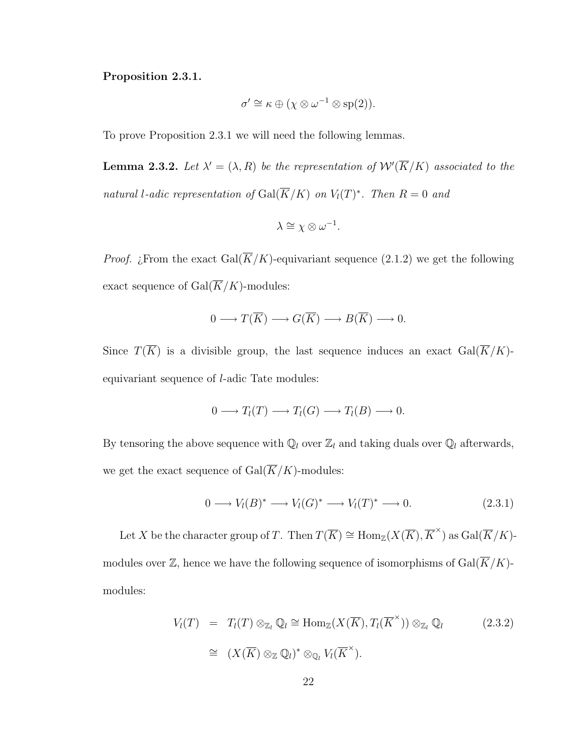Proposition 2.3.1.

$$
\sigma' \cong \kappa \oplus (\chi \otimes \omega^{-1} \otimes \mathrm{sp}(2)).
$$

To prove Proposition 2.3.1 we will need the following lemmas.

**Lemma 2.3.2.** Let  $\lambda' = (\lambda, R)$  be the representation of  $\mathcal{W}'(\overline{K}/K)$  associated to the natural l-adic representation of  $Gal(\overline{K}/K)$  on  $V_l(T)^*$ . Then  $R=0$  and

$$
\lambda \cong \chi \otimes \omega^{-1}.
$$

*Proof. i*, From the exact Gal( $\overline{K}/K$ )-equivariant sequence (2.1.2) we get the following exact sequence of  $Gal(\overline{K}/K)$ -modules:

$$
0 \longrightarrow T(\overline{K}) \longrightarrow G(\overline{K}) \longrightarrow B(\overline{K}) \longrightarrow 0.
$$

Since  $T(\overline{K})$  is a divisible group, the last sequence induces an exact  $Gal(\overline{K}/K)$ equivariant sequence of l-adic Tate modules:

$$
0 \longrightarrow T_l(T) \longrightarrow T_l(G) \longrightarrow T_l(B) \longrightarrow 0.
$$

By tensoring the above sequence with  $\mathbb{Q}_l$  over  $\mathbb{Z}_l$  and taking duals over  $\mathbb{Q}_l$  afterwards, we get the exact sequence of  $Gal(\overline{K}/K)$ -modules:

$$
0 \longrightarrow V_l(B)^* \longrightarrow V_l(G)^* \longrightarrow V_l(T)^* \longrightarrow 0. \tag{2.3.1}
$$

Let X be the character group of T. Then  $T(\overline{K}) \cong \text{Hom}_{\mathbb{Z}}(X(\overline{K}), \overline{K}^{\times})$  as  $\text{Gal}(\overline{K}/K)$ modules over  $\mathbb{Z}$ , hence we have the following sequence of isomorphisms of  $Gal(\overline{K}/K)$ modules:

$$
V_l(T) = T_l(T) \otimes_{\mathbb{Z}_l} \mathbb{Q}_l \cong \text{Hom}_{\mathbb{Z}}(X(\overline{K}), T_l(\overline{K}^{\times})) \otimes_{\mathbb{Z}_l} \mathbb{Q}_l
$$
(2.3.2)  

$$
\cong (X(\overline{K}) \otimes_{\mathbb{Z}} \mathbb{Q}_l)^* \otimes_{\mathbb{Q}_l} V_l(\overline{K}^{\times}).
$$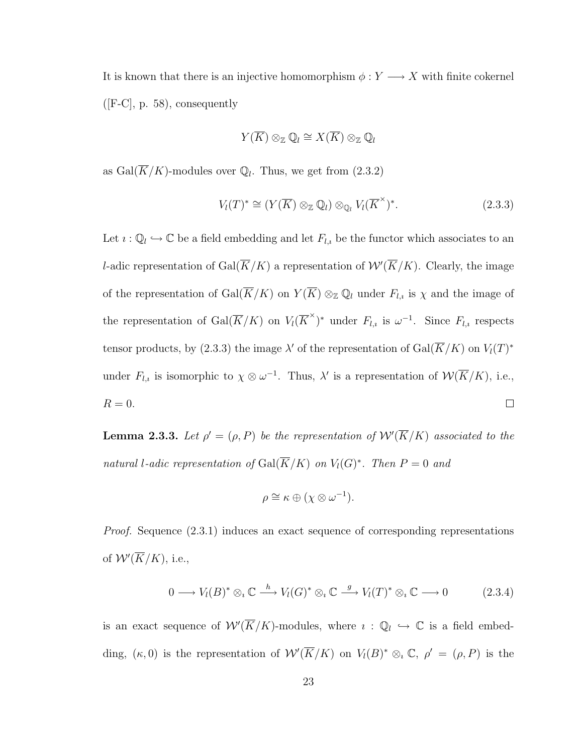It is known that there is an injective homomorphism  $\phi: Y \longrightarrow X$  with finite cokernel  $([F-C], p. 58)$ , consequently

$$
Y(\overline{K}) \otimes_{\mathbb{Z}} \mathbb{Q}_l \cong X(\overline{K}) \otimes_{\mathbb{Z}} \mathbb{Q}_l
$$

as  $Gal(\overline{K}/K)$ -modules over  $\mathbb{Q}_l$ . Thus, we get from  $(2.3.2)$ 

$$
V_l(T)^* \cong (Y(\overline{K}) \otimes_{\mathbb{Z}} \mathbb{Q}_l) \otimes_{\mathbb{Q}_l} V_l(\overline{K}^{\times})^*.
$$
 (2.3.3)

Let  $i: \mathbb{Q}_l \hookrightarrow \mathbb{C}$  be a field embedding and let  $F_{l,i}$  be the functor which associates to an *l*-adic representation of Gal( $\overline{K}/K$ ) a representation of  $W'(\overline{K}/K)$ . Clearly, the image of the representation of  $Gal(\overline{K}/K)$  on  $Y(\overline{K}) \otimes_{\mathbb{Z}} \mathbb{Q}_l$  under  $F_{l,i}$  is  $\chi$  and the image of the representation of Gal( $\overline{K}/K$ ) on  $V_l(\overline{K}^{\times})^*$  under  $F_{l,i}$  is  $\omega^{-1}$ . Since  $F_{l,i}$  respects tensor products, by (2.3.3) the image  $\lambda'$  of the representation of  $Gal(\overline{K}/K)$  on  $V_l(T)^*$ under  $F_{l,i}$  is isomorphic to  $\chi \otimes \omega^{-1}$ . Thus,  $\lambda'$  is a representation of  $\mathcal{W}(\overline{K}/K)$ , i.e.,  $R=0.$  $\Box$ 

**Lemma 2.3.3.** Let  $\rho' = (\rho, P)$  be the representation of  $\mathcal{W}'(\overline{K}/K)$  associated to the natural l-adic representation of  $Gal(\overline{K}/K)$  on  $V_l(G)^*$ . Then  $P=0$  and

$$
\rho \cong \kappa \oplus (\chi \otimes \omega^{-1}).
$$

Proof. Sequence (2.3.1) induces an exact sequence of corresponding representations of  $\mathcal{W}'(\overline{K}/K)$ , i.e.,

$$
0 \longrightarrow V_l(B)^* \otimes_i \mathbb{C} \stackrel{h}{\longrightarrow} V_l(G)^* \otimes_i \mathbb{C} \stackrel{g}{\longrightarrow} V_l(T)^* \otimes_i \mathbb{C} \longrightarrow 0 \tag{2.3.4}
$$

is an exact sequence of  $\mathcal{W}'(\overline{K}/K)$ -modules, where  $i : \mathbb{Q}_l \hookrightarrow \mathbb{C}$  is a field embedding,  $(\kappa, 0)$  is the representation of  $W'(\overline{K}/K)$  on  $V_l(B)^* \otimes_i \mathbb{C}$ ,  $\rho' = (\rho, P)$  is the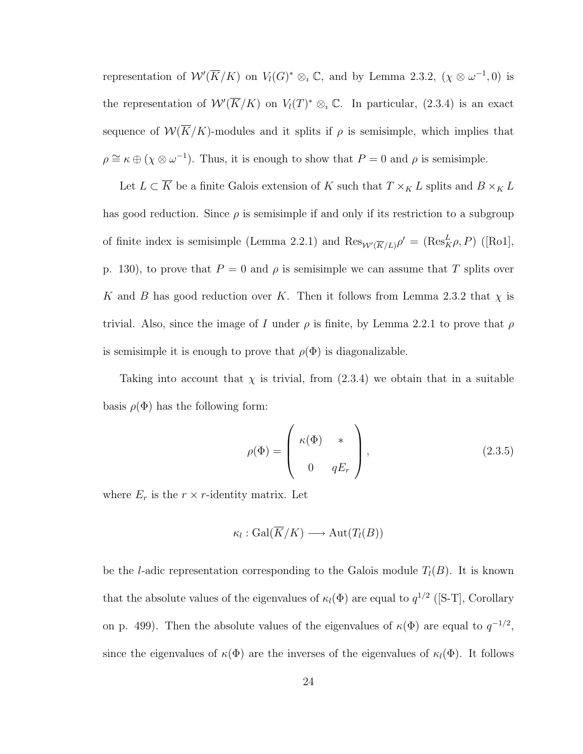representation of  $W'(\overline{K}/K)$  on  $V_l(G)^* \otimes_i \mathbb{C}$ , and by Lemma 2.3.2,  $(\chi \otimes \omega^{-1}, 0)$  is the representation of  $W(\overline{K}/K)$  on  $V_l(T)^* \otimes_i \mathbb{C}$ . In particular, (2.3.4) is an exact sequence of  $W(\overline{K}/K)$ -modules and it splits if  $\rho$  is semisimple, which implies that  $\rho \cong \kappa \oplus (\chi \otimes \omega^{-1})$ . Thus, it is enough to show that  $P = 0$  and  $\rho$  is semisimple.

Let  $L \subset \overline{K}$  be a finite Galois extension of  $K$  such that  $T \times_K L$  splits and  $B \times_K L$ has good reduction. Since  $\rho$  is semisimple if and only if its restriction to a subgroup of finite index is semisimple (Lemma 2.2.1) and  $\text{Res}_{W'(\overline{K}/L)} \rho' = (\text{Res}_{K}^{L} \rho, P)$  ([Ro1], p. 130), to prove that  $P = 0$  and  $\rho$  is semisimple we can assume that T splits over K and B has good reduction over K. Then it follows from Lemma 2.3.2 that  $\chi$  is trivial. Also, since the image of I under  $\rho$  is finite, by Lemma 2.2.1 to prove that  $\rho$ is semisimple it is enough to prove that  $\rho(\Phi)$  is diagonalizable.

Taking into account that  $\chi$  is trivial, from (2.3.4) we obtain that in a suitable basis  $\rho(\Phi)$  has the following form:

$$
\rho(\Phi) = \begin{pmatrix} \kappa(\Phi) & * \\ 0 & qE_r \end{pmatrix},\tag{2.3.5}
$$

where  $E_r$  is the  $r \times r$ -identity matrix. Let

$$
\kappa_l : \operatorname{Gal}(\overline{K}/K) \longrightarrow \operatorname{Aut}(T_l(B))
$$

be the *l*-adic representation corresponding to the Galois module  $T_l(B)$ . It is known that the absolute values of the eigenvalues of  $\kappa_l(\Phi)$  are equal to  $q^{1/2}$  ([S-T], Corollary on p. 499). Then the absolute values of the eigenvalues of  $\kappa(\Phi)$  are equal to  $q^{-1/2}$ , since the eigenvalues of  $\kappa(\Phi)$  are the inverses of the eigenvalues of  $\kappa_l(\Phi)$ . It follows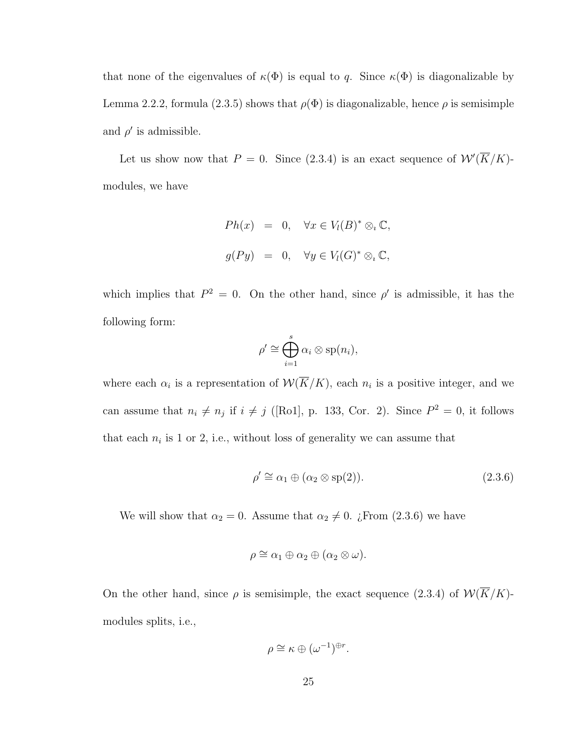that none of the eigenvalues of  $\kappa(\Phi)$  is equal to q. Since  $\kappa(\Phi)$  is diagonalizable by Lemma 2.2.2, formula (2.3.5) shows that  $\rho(\Phi)$  is diagonalizable, hence  $\rho$  is semisimple and  $\rho'$  is admissible.

Let us show now that  $P = 0$ . Since (2.3.4) is an exact sequence of  $W'(\overline{K}/K)$ modules, we have

$$
Ph(x) = 0, \quad \forall x \in V_l(B)^* \otimes_i \mathbb{C},
$$
  

$$
g(Py) = 0, \quad \forall y \in V_l(G)^* \otimes_i \mathbb{C},
$$

which implies that  $P^2 = 0$ . On the other hand, since  $\rho'$  is admissible, it has the following form:

$$
\rho' \cong \bigoplus_{i=1}^s \alpha_i \otimes \text{sp}(n_i),
$$

where each  $\alpha_i$  is a representation of  $\mathcal{W}(\overline{K}/K)$ , each  $n_i$  is a positive integer, and we can assume that  $n_i \neq n_j$  if  $i \neq j$  ([Ro1], p. 133, Cor. 2). Since  $P^2 = 0$ , it follows that each  $n_i$  is 1 or 2, i.e., without loss of generality we can assume that

$$
\rho' \cong \alpha_1 \oplus (\alpha_2 \otimes \text{sp}(2)).\tag{2.3.6}
$$

We will show that  $\alpha_2 = 0$ . Assume that  $\alpha_2 \neq 0$ . ¿From (2.3.6) we have

$$
\rho \cong \alpha_1 \oplus \alpha_2 \oplus (\alpha_2 \otimes \omega).
$$

On the other hand, since  $\rho$  is semisimple, the exact sequence (2.3.4) of  $W(\overline{K}/K)$ modules splits, i.e.,

$$
\rho \cong \kappa \oplus (\omega^{-1})^{\oplus r}.
$$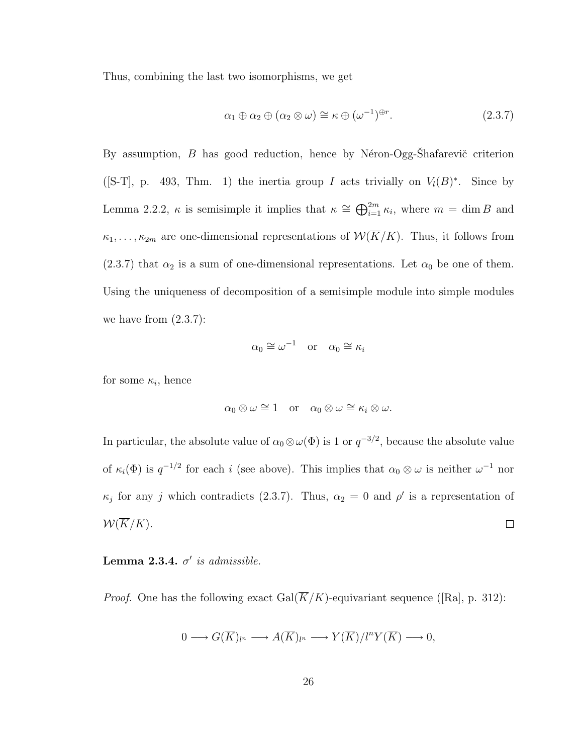Thus, combining the last two isomorphisms, we get

$$
\alpha_1 \oplus \alpha_2 \oplus (\alpha_2 \otimes \omega) \cong \kappa \oplus (\omega^{-1})^{\oplus r}.
$$
 (2.3.7)

By assumption, B has good reduction, hence by Néron-Ogg-Shafarevič criterion ([S-T], p. 493, Thm. 1) the inertia group I acts trivially on  $V_l(B)^*$ . Since by Lemma 2.2.2,  $\kappa$  is semisimple it implies that  $\kappa \cong \bigoplus_{i=1}^{2m} \kappa_i$ , where  $m = \dim B$  and  $\kappa_1, \ldots, \kappa_{2m}$  are one-dimensional representations of  $W(\overline{K}/K)$ . Thus, it follows from (2.3.7) that  $\alpha_2$  is a sum of one-dimensional representations. Let  $\alpha_0$  be one of them. Using the uniqueness of decomposition of a semisimple module into simple modules we have from  $(2.3.7)$ :

$$
\alpha_0 \cong \omega^{-1} \quad \text{or} \quad \alpha_0 \cong \kappa_i
$$

for some  $\kappa_i$ , hence

$$
\alpha_0 \otimes \omega \cong 1
$$
 or  $\alpha_0 \otimes \omega \cong \kappa_i \otimes \omega$ .

In particular, the absolute value of  $\alpha_0 \otimes \omega(\Phi)$  is 1 or  $q^{-3/2}$ , because the absolute value of  $\kappa_i(\Phi)$  is  $q^{-1/2}$  for each i (see above). This implies that  $\alpha_0 \otimes \omega$  is neither  $\omega^{-1}$  nor  $\kappa_j$  for any j which contradicts (2.3.7). Thus,  $\alpha_2 = 0$  and  $\rho'$  is a representation of  $W(\overline{K}/K)$ .  $\Box$ 

#### Lemma 2.3.4.  $\sigma'$  is admissible.

*Proof.* One has the following exact  $Gal(\overline{K}/K)$ -equivariant sequence ([Ra], p. 312):

$$
0 \longrightarrow G(\overline{K})_{l^{n}} \longrightarrow A(\overline{K})_{l^{n}} \longrightarrow Y(\overline{K})/l^{n}Y(\overline{K}) \longrightarrow 0,
$$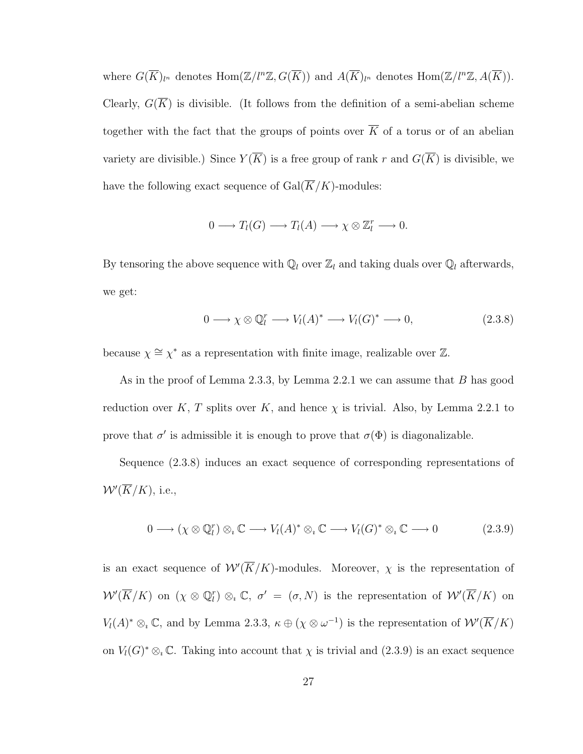where  $G(\overline{K})_{l^n}$  denotes  $\text{Hom}(\mathbb{Z}/l^n\mathbb{Z}, G(\overline{K}))$  and  $A(\overline{K})_{l^n}$  denotes  $\text{Hom}(\mathbb{Z}/l^n\mathbb{Z}, A(\overline{K}))$ . Clearly,  $G(K)$  is divisible. (It follows from the definition of a semi-abelian scheme together with the fact that the groups of points over  $\overline{K}$  of a torus or of an abelian variety are divisible.) Since  $Y(\overline{K})$  is a free group of rank r and  $G(\overline{K})$  is divisible, we have the following exact sequence of  $Gal(\overline{K}/K)$ -modules:

$$
0 \longrightarrow T_l(G) \longrightarrow T_l(A) \longrightarrow \chi \otimes \mathbb{Z}_l^r \longrightarrow 0.
$$

By tensoring the above sequence with  $\mathbb{Q}_l$  over  $\mathbb{Z}_l$  and taking duals over  $\mathbb{Q}_l$  afterwards, we get:

$$
0 \longrightarrow \chi \otimes \mathbb{Q}_l^r \longrightarrow V_l(A)^* \longrightarrow V_l(G)^* \longrightarrow 0,
$$
\n(2.3.8)

because  $\chi \cong \chi^*$  as a representation with finite image, realizable over  $\mathbb{Z}$ .

As in the proof of Lemma 2.3.3, by Lemma 2.2.1 we can assume that B has good reduction over K, T splits over K, and hence  $\chi$  is trivial. Also, by Lemma 2.2.1 to prove that  $\sigma'$  is admissible it is enough to prove that  $\sigma(\Phi)$  is diagonalizable.

Sequence (2.3.8) induces an exact sequence of corresponding representations of  $W'(\overline{K}/K)$ , i.e.,

$$
0 \longrightarrow (\chi \otimes \mathbb{Q}_l^r) \otimes_\iota \mathbb{C} \longrightarrow V_l(A)^* \otimes_\iota \mathbb{C} \longrightarrow V_l(G)^* \otimes_\iota \mathbb{C} \longrightarrow 0 \tag{2.3.9}
$$

is an exact sequence of  $\mathcal{W}'(\overline{K}/K)$ -modules. Moreover,  $\chi$  is the representation of  $W'(\overline{K}/K)$  on  $(\chi \otimes \mathbb{Q}_l^r) \otimes_{\iota} \mathbb{C}, \sigma' = (\sigma, N)$  is the representation of  $W'(\overline{K}/K)$  on  $V_l(A)^* \otimes_i \mathbb{C}$ , and by Lemma 2.3.3,  $\kappa \oplus (\chi \otimes \omega^{-1})$  is the representation of  $\mathcal{W}'(\overline{K}/K)$ on  $V_l(G)^* \otimes_i \mathbb{C}$ . Taking into account that  $\chi$  is trivial and  $(2.3.9)$  is an exact sequence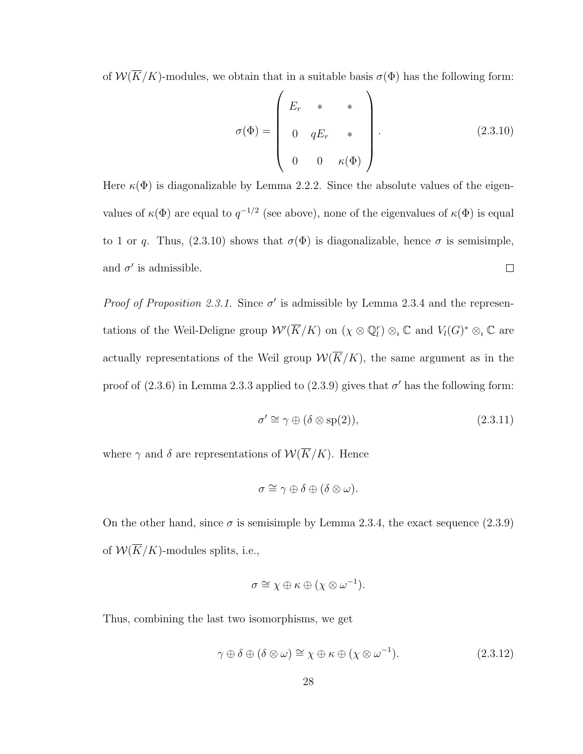of  $W(\overline{K}/K)$ -modules, we obtain that in a suitable basis  $\sigma(\Phi)$  has the following form:

$$
\sigma(\Phi) = \begin{pmatrix} E_r & * & * \\ 0 & qE_r & * \\ 0 & 0 & \kappa(\Phi) \end{pmatrix}.
$$
 (2.3.10)

Here  $\kappa(\Phi)$  is diagonalizable by Lemma 2.2.2. Since the absolute values of the eigenvalues of  $\kappa(\Phi)$  are equal to  $q^{-1/2}$  (see above), none of the eigenvalues of  $\kappa(\Phi)$  is equal to 1 or q. Thus, (2.3.10) shows that  $\sigma(\Phi)$  is diagonalizable, hence  $\sigma$  is semisimple, and  $\sigma'$  is admissible.  $\Box$ 

*Proof of Proposition 2.3.1.* Since  $\sigma'$  is admissible by Lemma 2.3.4 and the representations of the Weil-Deligne group  $W'(\overline{K}/K)$  on  $(\chi \otimes \mathbb{Q}_l^r) \otimes_i \mathbb{C}$  and  $V_l(G)^* \otimes_i \mathbb{C}$  are actually representations of the Weil group  $W(\overline{K}/K)$ , the same argument as in the proof of  $(2.3.6)$  in Lemma 2.3.3 applied to  $(2.3.9)$  gives that  $\sigma'$  has the following form:

$$
\sigma' \cong \gamma \oplus (\delta \otimes \text{sp}(2)),\tag{2.3.11}
$$

where  $\gamma$  and  $\delta$  are representations of  $\mathcal{W}(\overline{K}/K)$ . Hence

$$
\sigma \cong \gamma \oplus \delta \oplus (\delta \otimes \omega).
$$

On the other hand, since  $\sigma$  is semisimple by Lemma 2.3.4, the exact sequence (2.3.9) of  $W(\overline{K}/K)$ -modules splits, i.e.,

$$
\sigma \cong \chi \oplus \kappa \oplus (\chi \otimes \omega^{-1}).
$$

Thus, combining the last two isomorphisms, we get

$$
\gamma \oplus \delta \oplus (\delta \otimes \omega) \cong \chi \oplus \kappa \oplus (\chi \otimes \omega^{-1}). \tag{2.3.12}
$$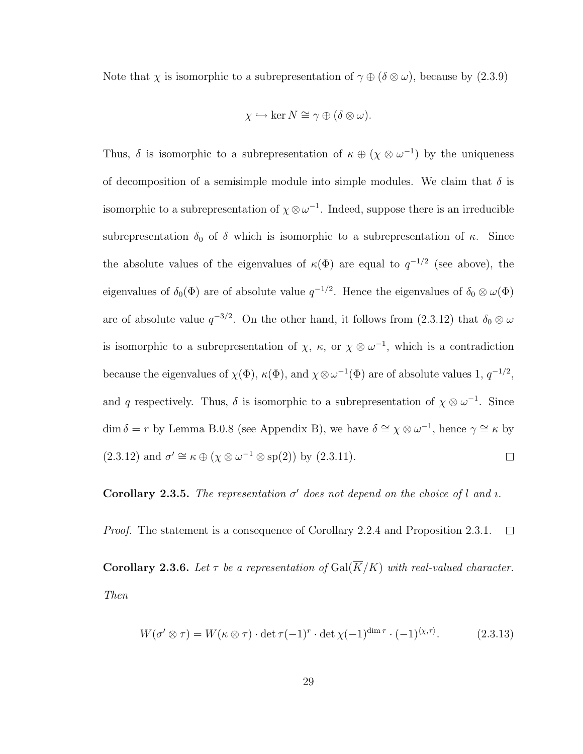Note that  $\chi$  is isomorphic to a subrepresentation of  $\gamma \oplus (\delta \otimes \omega)$ , because by  $(2.3.9)$ 

$$
\chi \hookrightarrow \ker N \cong \gamma \oplus (\delta \otimes \omega).
$$

Thus,  $\delta$  is isomorphic to a subrepresentation of  $\kappa \oplus (\chi \otimes \omega^{-1})$  by the uniqueness of decomposition of a semisimple module into simple modules. We claim that  $\delta$  is isomorphic to a subrepresentation of  $\chi \otimes \omega^{-1}$ . Indeed, suppose there is an irreducible subrepresentation  $\delta_0$  of  $\delta$  which is isomorphic to a subrepresentation of  $\kappa$ . Since the absolute values of the eigenvalues of  $\kappa(\Phi)$  are equal to  $q^{-1/2}$  (see above), the eigenvalues of  $\delta_0(\Phi)$  are of absolute value  $q^{-1/2}$ . Hence the eigenvalues of  $\delta_0 \otimes \omega(\Phi)$ are of absolute value  $q^{-3/2}$ . On the other hand, it follows from  $(2.3.12)$  that  $\delta_0 \otimes \omega$ is isomorphic to a subrepresentation of  $\chi$ ,  $\kappa$ , or  $\chi \otimes \omega^{-1}$ , which is a contradiction because the eigenvalues of  $\chi(\Phi)$ ,  $\kappa(\Phi)$ , and  $\chi \otimes \omega^{-1}(\Phi)$  are of absolute values 1,  $q^{-1/2}$ , and q respectively. Thus,  $\delta$  is isomorphic to a subrepresentation of  $\chi \otimes \omega^{-1}$ . Since dim  $\delta = r$  by Lemma B.0.8 (see Appendix B), we have  $\delta \cong \chi \otimes \omega^{-1}$ , hence  $\gamma \cong \kappa$  by  $(2.3.12)$  and  $\sigma' \cong \kappa \oplus (\chi \otimes \omega^{-1} \otimes \text{sp}(2))$  by  $(2.3.11)$ .  $\Box$ 

**Corollary 2.3.5.** The representation  $\sigma'$  does not depend on the choice of l and *i*.

Proof. The statement is a consequence of Corollary 2.2.4 and Proposition 2.3.1.  $\Box$ 

**Corollary 2.3.6.** Let  $\tau$  be a representation of  $Gal(\overline{K}/K)$  with real-valued character. Then

$$
W(\sigma' \otimes \tau) = W(\kappa \otimes \tau) \cdot \det \tau(-1)^r \cdot \det \chi(-1)^{\dim \tau} \cdot (-1)^{\langle \chi, \tau \rangle}.
$$
 (2.3.13)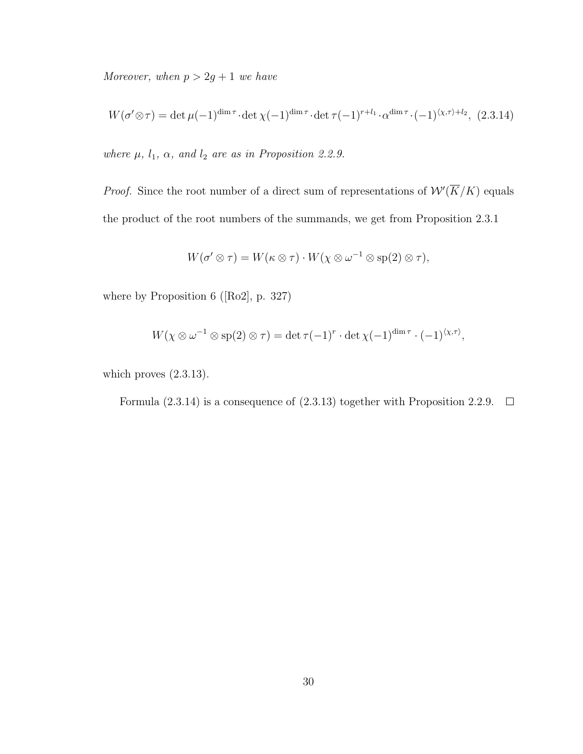Moreover, when  $p > 2g + 1$  we have

$$
W(\sigma' \otimes \tau) = \det \mu(-1)^{\dim \tau} \cdot \det \chi(-1)^{\dim \tau} \cdot \det \tau(-1)^{r+l_1} \cdot \alpha^{\dim \tau} \cdot (-1)^{\langle \chi, \tau \rangle + l_2}, (2.3.14)
$$

where  $\mu$ ,  $l_1$ ,  $\alpha$ , and  $l_2$  are as in Proposition 2.2.9.

*Proof.* Since the root number of a direct sum of representations of  $W(\overline{K}/K)$  equals the product of the root numbers of the summands, we get from Proposition 2.3.1

$$
W(\sigma' \otimes \tau) = W(\kappa \otimes \tau) \cdot W(\chi \otimes \omega^{-1} \otimes \text{sp}(2) \otimes \tau),
$$

where by Proposition 6 ([Ro2], p. 327)

$$
W(\chi \otimes \omega^{-1} \otimes \text{sp}(2) \otimes \tau) = \det \tau (-1)^r \cdot \det \chi (-1)^{\dim \tau} \cdot (-1)^{\langle \chi, \tau \rangle},
$$

which proves (2.3.13).

Formula (2.3.14) is a consequence of (2.3.13) together with Proposition 2.2.9.  $\Box$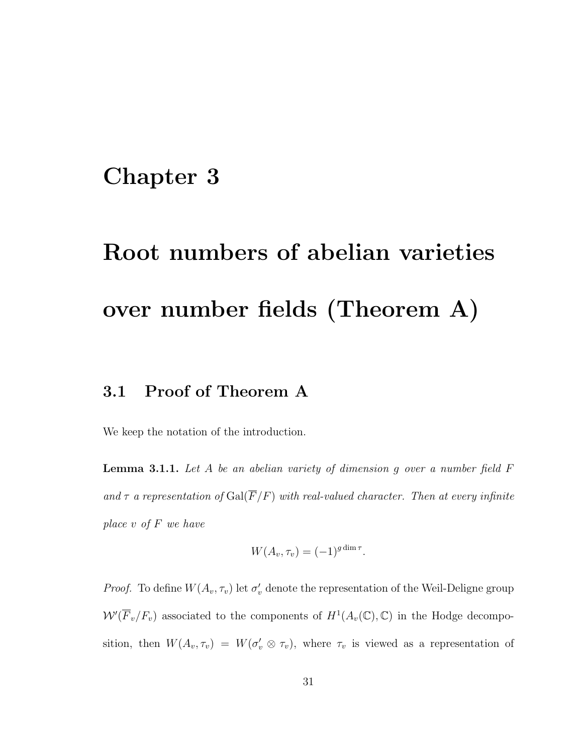### Chapter 3

# Root numbers of abelian varieties over number fields (Theorem A)

### 3.1 Proof of Theorem A

We keep the notation of the introduction.

**Lemma 3.1.1.** Let A be an abelian variety of dimension g over a number field  $F$ and  $\tau$  a representation of  $Gal(\overline{F}/F)$  with real-valued character. Then at every infinite place v of F we have

$$
W(A_v, \tau_v) = (-1)^{g \dim \tau}.
$$

*Proof.* To define  $W(A_v, \tau_v)$  let  $\sigma'_v$  denote the representation of the Weil-Deligne group  $W(\overline{F}_v/F_v)$  associated to the components of  $H^1(A_v(\mathbb{C}), \mathbb{C})$  in the Hodge decomposition, then  $W(A_v, \tau_v) = W(\sigma'_v \otimes \tau_v)$ , where  $\tau_v$  is viewed as a representation of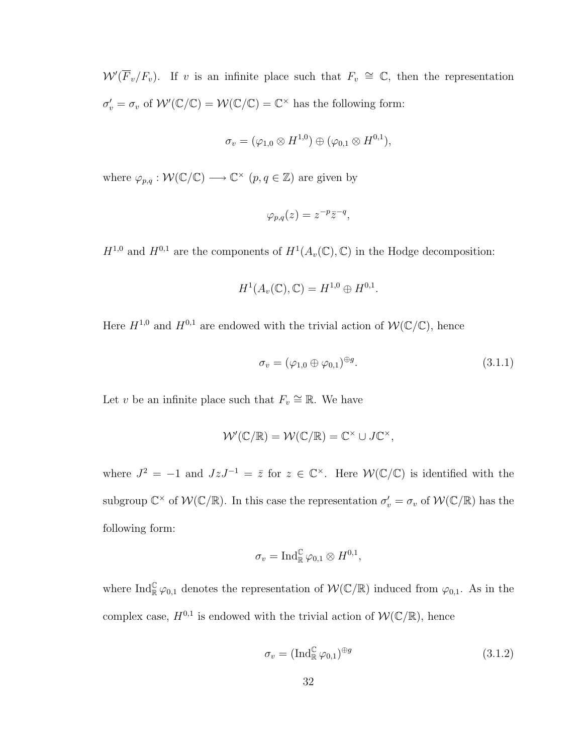$W'(\overline{F}_v/F_v)$ . If v is an infinite place such that  $F_v \cong \mathbb{C}$ , then the representation  $\sigma'_v = \sigma_v$  of  $W'(\mathbb{C}/\mathbb{C}) = W(\mathbb{C}/\mathbb{C}) = \mathbb{C}^\times$  has the following form:

$$
\sigma_v = (\varphi_{1,0}\otimes H^{1,0}) \oplus (\varphi_{0,1}\otimes H^{0,1}),
$$

where  $\varphi_{p,q}: \mathcal{W}(\mathbb{C}/\mathbb{C}) \longrightarrow \mathbb{C}^\times$   $(p,q \in \mathbb{Z})$  are given by

$$
\varphi_{p,q}(z) = z^{-p} \overline{z}^{-q},
$$

 $H^{1,0}$  and  $H^{0,1}$  are the components of  $H^1(A_v(\mathbb{C}), \mathbb{C})$  in the Hodge decomposition:

$$
H^1(A_v(\mathbb{C}), \mathbb{C}) = H^{1,0} \oplus H^{0,1}.
$$

Here  $H^{1,0}$  and  $H^{0,1}$  are endowed with the trivial action of  $W(\mathbb{C}/\mathbb{C})$ , hence

$$
\sigma_v = (\varphi_{1,0} \oplus \varphi_{0,1})^{\oplus g}.\tag{3.1.1}
$$

Let v be an infinite place such that  $F_v \cong \mathbb{R}$ . We have

$$
\mathcal{W}'(\mathbb{C}/\mathbb{R}) = \mathcal{W}(\mathbb{C}/\mathbb{R}) = \mathbb{C}^{\times} \cup J\mathbb{C}^{\times},
$$

where  $J^2 = -1$  and  $JzJ^{-1} = \overline{z}$  for  $z \in \mathbb{C}^\times$ . Here  $\mathcal{W}(\mathbb{C}/\mathbb{C})$  is identified with the subgroup  $\mathbb{C}^\times$  of  $\mathcal{W}(\mathbb{C}/\mathbb{R})$ . In this case the representation  $\sigma'_v = \sigma_v$  of  $\mathcal{W}(\mathbb{C}/\mathbb{R})$  has the following form:

$$
\sigma_v = \operatorname{Ind}_{\mathbb{R}}^{\mathbb{C}} \varphi_{0,1} \otimes H^{0,1},
$$

where  $\text{Ind}_{\mathbb{R}}^{\mathbb{C}} \varphi_{0,1}$  denotes the representation of  $\mathcal{W}(\mathbb{C}/\mathbb{R})$  induced from  $\varphi_{0,1}$ . As in the complex case,  $H^{0,1}$  is endowed with the trivial action of  $W(\mathbb{C}/\mathbb{R})$ , hence

$$
\sigma_v = (\text{Ind}_{\mathbb{R}}^{\mathbb{C}} \varphi_{0,1})^{\oplus g} \tag{3.1.2}
$$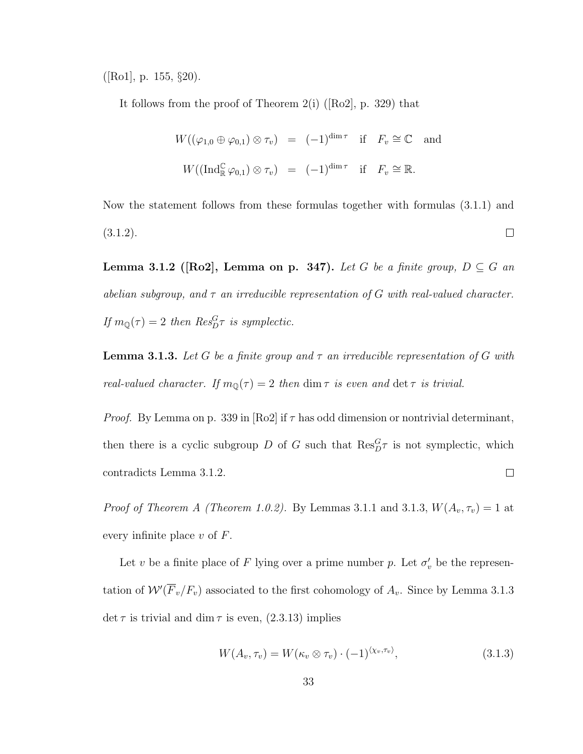$(|Ro1|, p. 155, §20).$ 

It follows from the proof of Theorem 2(i) ( $[Ro2]$ , p. 329) that

$$
W((\varphi_{1,0}\oplus\varphi_{0,1})\otimes\tau_v) = (-1)^{\dim\tau} \text{ if } F_v \cong \mathbb{C} \text{ and}
$$
  

$$
W((\text{Ind}_{\mathbb{R}}^{\mathbb{C}}\varphi_{0,1})\otimes\tau_v) = (-1)^{\dim\tau} \text{ if } F_v \cong \mathbb{R}.
$$

Now the statement follows from these formulas together with formulas (3.1.1) and (3.1.2).  $\Box$ 

Lemma 3.1.2 ([Ro2], Lemma on p. 347). Let G be a finite group,  $D \subseteq G$  and abelian subgroup, and  $\tau$  an irreducible representation of G with real-valued character. If  $m_{\mathbb{Q}}(\tau) = 2$  then  $Res_{D}^{G}\tau$  is symplectic.

**Lemma 3.1.3.** Let G be a finite group and  $\tau$  an irreducible representation of G with real-valued character. If  $m_{\mathbb{Q}}(\tau) = 2$  then  $\dim \tau$  is even and  $\det \tau$  is trivial.

*Proof.* By Lemma on p. 339 in  $[Ro2]$  if  $\tau$  has odd dimension or nontrivial determinant, then there is a cyclic subgroup D of G such that  $\text{Res}_{D}^{G} \tau$  is not symplectic, which  $\Box$ contradicts Lemma 3.1.2.

*Proof of Theorem A (Theorem 1.0.2).* By Lemmas 3.1.1 and 3.1.3,  $W(A_v, \tau_v) = 1$  at every infinite place  $v$  of  $F$ .

Let v be a finite place of F lying over a prime number p. Let  $\sigma'_v$  be the representation of  $\mathcal{W}'(\overline{F}_v/F_v)$  associated to the first cohomology of  $A_v$ . Since by Lemma 3.1.3 det  $\tau$  is trivial and dim  $\tau$  is even, (2.3.13) implies

$$
W(A_v, \tau_v) = W(\kappa_v \otimes \tau_v) \cdot (-1)^{\langle \chi_v, \tau_v \rangle}, \tag{3.1.3}
$$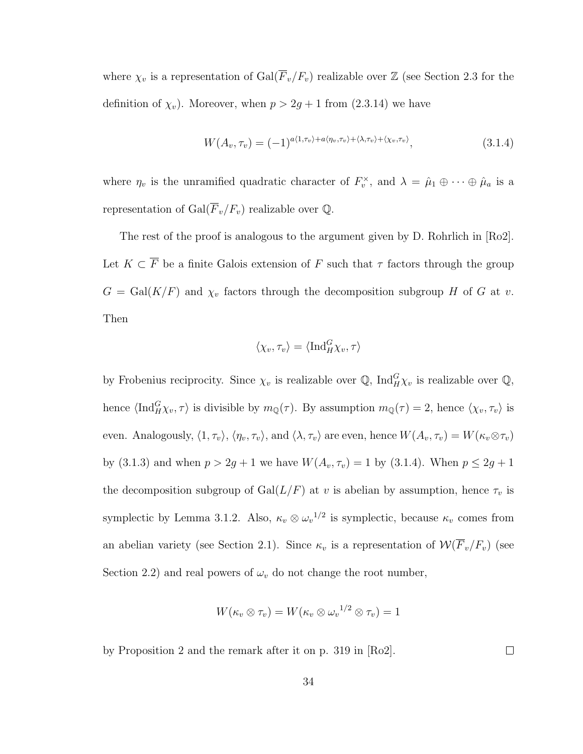where  $\chi_v$  is a representation of  $Gal(\overline{F}_v/F_v)$  realizable over  $\mathbb Z$  (see Section 2.3 for the definition of  $\chi_v$ ). Moreover, when  $p > 2g + 1$  from (2.3.14) we have

$$
W(A_v, \tau_v) = (-1)^{a\langle 1, \tau_v \rangle + a\langle \eta_v, \tau_v \rangle + \langle \lambda, \tau_v \rangle + \langle \chi_v, \tau_v \rangle}, \tag{3.1.4}
$$

where  $\eta_v$  is the unramified quadratic character of  $F_v^{\times}$ , and  $\lambda = \hat{\mu}_1 \oplus \cdots \oplus \hat{\mu}_a$  is a representation of Gal $(\overline{F}_v/F_v)$  realizable over Q.

The rest of the proof is analogous to the argument given by D. Rohrlich in [Ro2]. Let  $K \subset \overline{F}$  be a finite Galois extension of F such that  $\tau$  factors through the group  $G = \text{Gal}(K/F)$  and  $\chi_v$  factors through the decomposition subgroup H of G at v. Then

$$
\langle \chi_v, \tau_v \rangle = \langle \mathrm{Ind}_{H}^{G} \chi_v, \tau \rangle
$$

by Frobenius reciprocity. Since  $\chi_v$  is realizable over Q,  $\text{Ind}_{H}^{G} \chi_v$  is realizable over Q, hence  $\langle \text{Ind}_{H}^{G} \chi_{v}, \tau \rangle$  is divisible by  $m_{\mathbb{Q}}(\tau)$ . By assumption  $m_{\mathbb{Q}}(\tau) = 2$ , hence  $\langle \chi_{v}, \tau_{v} \rangle$  is even. Analogously,  $\langle 1, \tau_v \rangle$ ,  $\langle \eta_v, \tau_v \rangle$ , and  $\langle \lambda, \tau_v \rangle$  are even, hence  $W(A_v, \tau_v) = W(\kappa_v \otimes \tau_v)$ by (3.1.3) and when  $p > 2g + 1$  we have  $W(A_v, \tau_v) = 1$  by (3.1.4). When  $p \le 2g + 1$ the decomposition subgroup of Gal $(L/F)$  at v is abelian by assumption, hence  $\tau_v$  is symplectic by Lemma 3.1.2. Also,  $\kappa_v \otimes \omega_v^{1/2}$  is symplectic, because  $\kappa_v$  comes from an abelian variety (see Section 2.1). Since  $\kappa_v$  is a representation of  $\mathcal{W}(\overline{F}_v/F_v)$  (see Section 2.2) and real powers of  $\omega_v$  do not change the root number,

$$
W(\kappa_v \otimes \tau_v) = W(\kappa_v \otimes \omega_v^{-1/2} \otimes \tau_v) = 1
$$

by Proposition 2 and the remark after it on p. 319 in [Ro2].

 $\Box$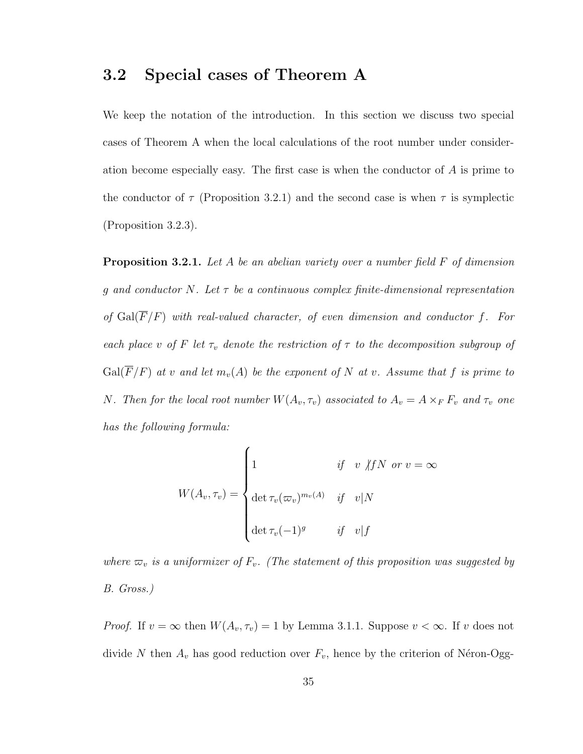#### 3.2 Special cases of Theorem A

We keep the notation of the introduction. In this section we discuss two special cases of Theorem A when the local calculations of the root number under consideration become especially easy. The first case is when the conductor of A is prime to the conductor of  $\tau$  (Proposition 3.2.1) and the second case is when  $\tau$  is symplectic (Proposition 3.2.3).

**Proposition 3.2.1.** Let A be an abelian variety over a number field F of dimension g and conductor N. Let  $\tau$  be a continuous complex finite-dimensional representation of  $Gal(\overline{F}/F)$  with real-valued character, of even dimension and conductor f. For each place v of F let  $\tau_v$  denote the restriction of  $\tau$  to the decomposition subgroup of  $Gal(\overline{F}/F)$  at v and let  $m_v(A)$  be the exponent of N at v. Assume that f is prime to N. Then for the local root number  $W(A_v, \tau_v)$  associated to  $A_v = A \times_F F_v$  and  $\tau_v$  one has the following formula:

$$
W(A_v, \tau_v) = \begin{cases} 1 & \text{if} \quad v \not| fN \text{ or } v = \infty \\ \det \tau_v(\varpi_v)^{m_v(A)} & \text{if} \quad v|N \\ \det \tau_v(-1)^g & \text{if} \quad v|f \end{cases}
$$

where  $\varpi_v$  is a uniformizer of  $F_v$ . (The statement of this proposition was suggested by B. Gross.)

*Proof.* If  $v = \infty$  then  $W(A_v, \tau_v) = 1$  by Lemma 3.1.1. Suppose  $v < \infty$ . If v does not divide N then  $A_v$  has good reduction over  $F_v$ , hence by the criterion of Néron-Ogg-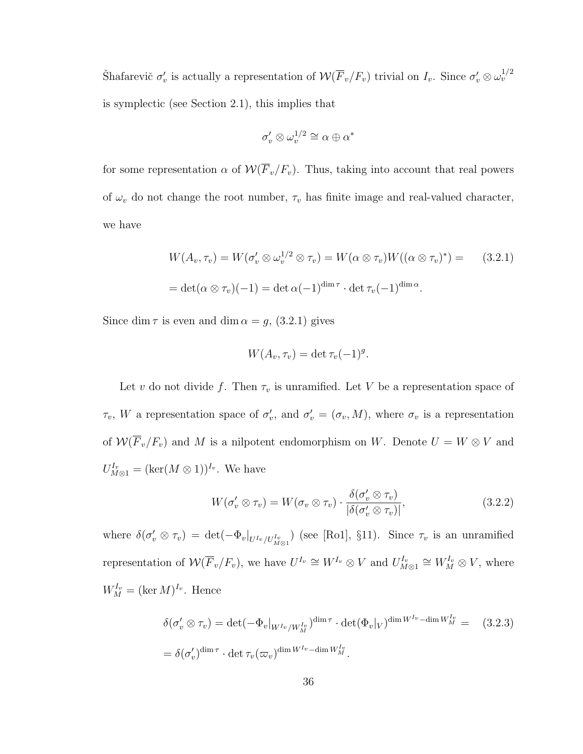Shafarevič  $\sigma'_v$  is actually a representation of  $W(\overline{F}_v/F_v)$  trivial on  $I_v$ . Since  $\sigma'_v \otimes \omega_v^{1/2}$ is symplectic (see Section 2.1), this implies that

$$
\sigma'_v\otimes\omega_v^{1/2}\cong\alpha\oplus\alpha^*
$$

for some representation  $\alpha$  of  $\mathcal{W}(\overline{F}_v/F_v)$ . Thus, taking into account that real powers of  $\omega_v$  do not change the root number,  $\tau_v$  has finite image and real-valued character, we have

$$
W(A_v, \tau_v) = W(\sigma_v' \otimes \omega_v^{1/2} \otimes \tau_v) = W(\alpha \otimes \tau_v)W((\alpha \otimes \tau_v)^*) =
$$
(3.2.1)  
= det( $\alpha \otimes \tau_v$ )(-1) = det  $\alpha$ (-1)<sup>dim</sup>  $\tau$  · det  $\tau_v$ (-1)<sup>dim</sup>  $\alpha$ .

Since dim  $\tau$  is even and dim  $\alpha = g$ , (3.2.1) gives

$$
W(A_v, \tau_v) = \det \tau_v (-1)^g.
$$

Let v do not divide f. Then  $\tau_v$  is unramified. Let V be a representation space of  $\tau_v$ , W a representation space of  $\sigma'_v$ , and  $\sigma'_v = (\sigma_v, M)$ , where  $\sigma_v$  is a representation of  $W(\overline{F}_v/F_v)$  and M is a nilpotent endomorphism on W. Denote  $U = W \otimes V$  and  $U_{M\otimes 1}^{I_v} = (\ker(M\otimes 1))^{I_v}$ . We have

$$
W(\sigma'_v \otimes \tau_v) = W(\sigma_v \otimes \tau_v) \cdot \frac{\delta(\sigma'_v \otimes \tau_v)}{|\delta(\sigma'_v \otimes \tau_v)|},
$$
\n(3.2.2)

where  $\delta(\sigma'_v \otimes \tau_v) = \det(-\Phi_v|_{U^{I_v}/U^{I_v}_{M \otimes 1}})$  (see [Ro1], §11). Since  $\tau_v$  is an unramified representation of  $\mathcal{W}(\overline{F}_v/F_v)$ , we have  $U^{I_v} \cong W^{I_v} \otimes V$  and  $U^{I_v}_{M \otimes 1} \cong W^{I_v}_M \otimes V$ , where  $W_M^{I_v} = (\ker M)^{I_v}$ . Hence

$$
\delta(\sigma'_v \otimes \tau_v) = \det(-\Phi_v|_{W^{I_v}/W_M^{I_v}})^{\dim \tau} \cdot \det(\Phi_v|_V)^{\dim W^{I_v} - \dim W_M^{I_v}} = (3.2.3)
$$
  
=  $\delta(\sigma'_v)^{\dim \tau} \cdot \det \tau_v(\varpi_v)^{\dim W^{I_v} - \dim W_M^{I_v}}.$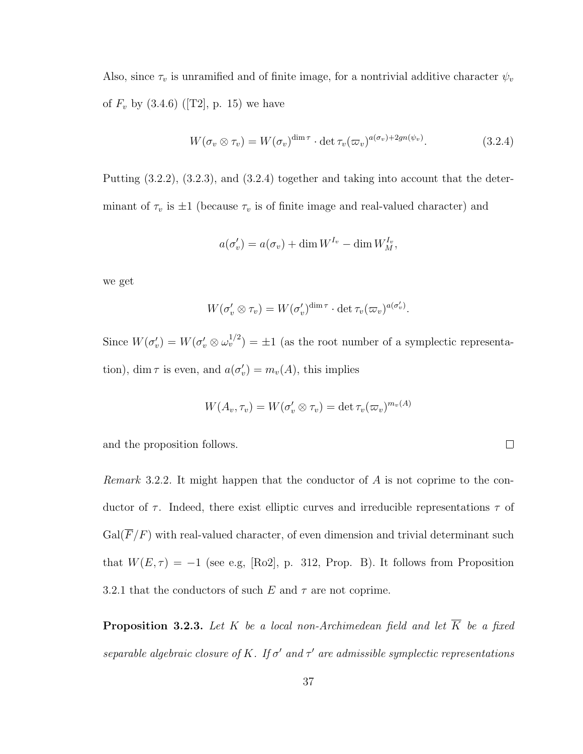Also, since  $\tau_v$  is unramified and of finite image, for a nontrivial additive character  $\psi_v$ of  $F_v$  by  $(3.4.6)$  ([T2], p. 15) we have

$$
W(\sigma_v \otimes \tau_v) = W(\sigma_v)^{\dim \tau} \cdot \det \tau_v(\varpi_v)^{a(\sigma_v) + 2gn(\psi_v)}.
$$
 (3.2.4)

Putting (3.2.2), (3.2.3), and (3.2.4) together and taking into account that the determinant of  $\tau_v$  is  $\pm 1$  (because  $\tau_v$  is of finite image and real-valued character) and

$$
a(\sigma'_v) = a(\sigma_v) + \dim W^{I_v} - \dim W^{I_v}_M,
$$

we get

$$
W(\sigma'_v \otimes \tau_v) = W(\sigma'_v)^{\dim \tau} \cdot \det \tau_v(\varpi_v)^{a(\sigma'_v)}.
$$

Since  $W(\sigma'_v) = W(\sigma'_v \otimes \omega_v^{1/2}) = \pm 1$  (as the root number of a symplectic representation), dim  $\tau$  is even, and  $a(\sigma'_v) = m_v(A)$ , this implies

$$
W(A_v,\tau_v)=W(\sigma'_v\otimes\tau_v)=\det\tau_v(\varpi_v)^{m_v(A)}
$$

 $\Box$ 

and the proposition follows.

Remark 3.2.2. It might happen that the conductor of A is not coprime to the conductor of  $\tau$ . Indeed, there exist elliptic curves and irreducible representations  $\tau$  of  $Gal(\overline{F}/F)$  with real-valued character, of even dimension and trivial determinant such that  $W(E, \tau) = -1$  (see e.g, [Ro2], p. 312, Prop. B). It follows from Proposition 3.2.1 that the conductors of such E and  $\tau$  are not coprime.

**Proposition 3.2.3.** Let K be a local non-Archimedean field and let  $\overline{K}$  be a fixed separable algebraic closure of K. If  $\sigma'$  and  $\tau'$  are admissible symplectic representations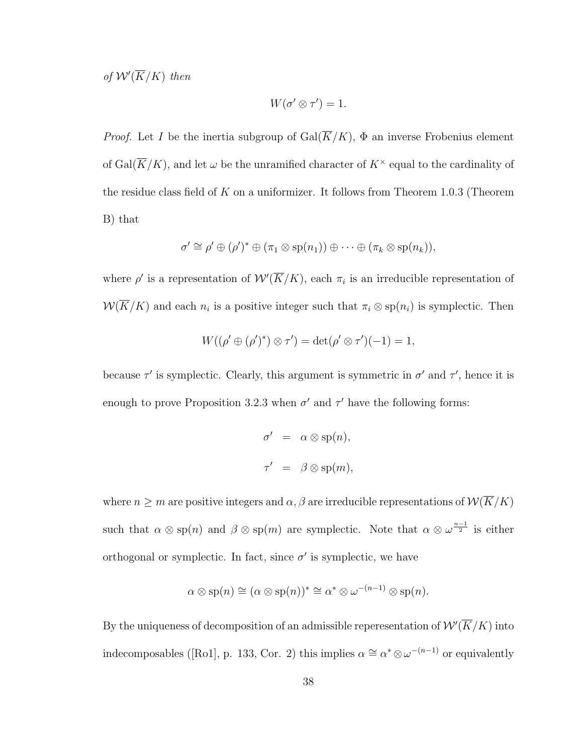of  $W'(\overline{K}/K)$  then

$$
W(\sigma' \otimes \tau') = 1.
$$

*Proof.* Let I be the inertia subgroup of  $Gal(\overline{K}/K)$ ,  $\Phi$  an inverse Frobenius element of Gal( $\overline{K}/K$ ), and let  $\omega$  be the unramified character of  $K^{\times}$  equal to the cardinality of the residue class field of  $K$  on a uniformizer. It follows from Theorem 1.0.3 (Theorem B) that

$$
\sigma' \cong \rho' \oplus (\rho')^* \oplus (\pi_1 \otimes \mathrm{sp}(n_1)) \oplus \cdots \oplus (\pi_k \otimes \mathrm{sp}(n_k)),
$$

where  $\rho'$  is a representation of  $\mathcal{W}'(\overline{K}/K)$ , each  $\pi_i$  is an irreducible representation of  $W(\overline{K}/K)$  and each  $n_i$  is a positive integer such that  $\pi_i \otimes sp(n_i)$  is symplectic. Then

$$
W((\rho' \oplus (\rho')^*) \otimes \tau') = \det(\rho' \otimes \tau')(-1) = 1,
$$

because  $\tau'$  is symplectic. Clearly, this argument is symmetric in  $\sigma'$  and  $\tau'$ , hence it is enough to prove Proposition 3.2.3 when  $\sigma'$  and  $\tau'$  have the following forms:

$$
\sigma' = \alpha \otimes \text{sp}(n),
$$
  

$$
\tau' = \beta \otimes \text{sp}(m),
$$

where  $n \geq m$  are positive integers and  $\alpha, \beta$  are irreducible representations of  $W(\overline{K}/K)$ such that  $\alpha \otimes sp(n)$  and  $\beta \otimes sp(m)$  are symplectic. Note that  $\alpha \otimes \omega^{\frac{n-1}{2}}$  is either orthogonal or symplectic. In fact, since  $\sigma'$  is symplectic, we have

$$
\alpha \otimes \mathrm{sp}(n) \cong (\alpha \otimes \mathrm{sp}(n))^{*} \cong \alpha^{*} \otimes \omega^{-(n-1)} \otimes \mathrm{sp}(n).
$$

By the uniqueness of decomposition of an admissible reperesentation of  $\mathcal{W}'(\overline{K}/K)$  into indecomposables ([Ro1], p. 133, Cor. 2) this implies  $\alpha \cong \alpha^* \otimes \omega^{-(n-1)}$  or equivalently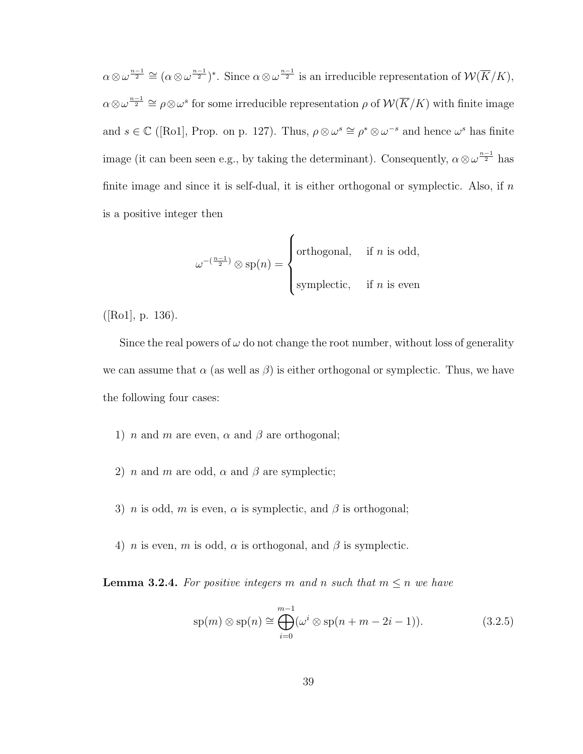$\alpha \otimes \omega^{\frac{n-1}{2}} \cong (\alpha \otimes \omega^{\frac{n-1}{2}})^*$ . Since  $\alpha \otimes \omega^{\frac{n-1}{2}}$  is an irreducible representation of  $\mathcal{W}(\overline{K}/K)$ ,  $\alpha \otimes \omega^{\frac{n-1}{2}} \cong \rho \otimes \omega^s$  for some irreducible representation  $\rho$  of  $\mathcal{W}(\overline{K}/K)$  with finite image and  $s \in \mathbb{C}$  ([Ro1], Prop. on p. 127). Thus,  $\rho \otimes \omega^s \cong \rho^* \otimes \omega^{-s}$  and hence  $\omega^s$  has finite image (it can been seen e.g., by taking the determinant). Consequently,  $\alpha \otimes \omega^{\frac{n-1}{2}}$  has finite image and since it is self-dual, it is either orthogonal or symplectic. Also, if  $n$ is a positive integer then

$$
\omega^{-(\frac{n-1}{2})} \otimes \text{sp}(n) = \begin{cases} \text{orthogonal}, & \text{if } n \text{ is odd}, \\ \text{symplectic}, & \text{if } n \text{ is even} \end{cases}
$$

([Ro1], p. 136).

Since the real powers of  $\omega$  do not change the root number, without loss of generality we can assume that  $\alpha$  (as well as  $\beta$ ) is either orthogonal or symplectic. Thus, we have the following four cases:

- 1) *n* and *m* are even,  $\alpha$  and  $\beta$  are orthogonal;
- 2) *n* and *m* are odd,  $\alpha$  and  $\beta$  are symplectic;
- 3) *n* is odd, *m* is even,  $\alpha$  is symplectic, and  $\beta$  is orthogonal;
- 4) *n* is even, *m* is odd,  $\alpha$  is orthogonal, and  $\beta$  is symplectic.

**Lemma 3.2.4.** For positive integers m and n such that  $m \leq n$  we have

$$
\text{sp}(m) \otimes \text{sp}(n) \cong \bigoplus_{i=0}^{m-1} (\omega^i \otimes \text{sp}(n+m-2i-1)). \tag{3.2.5}
$$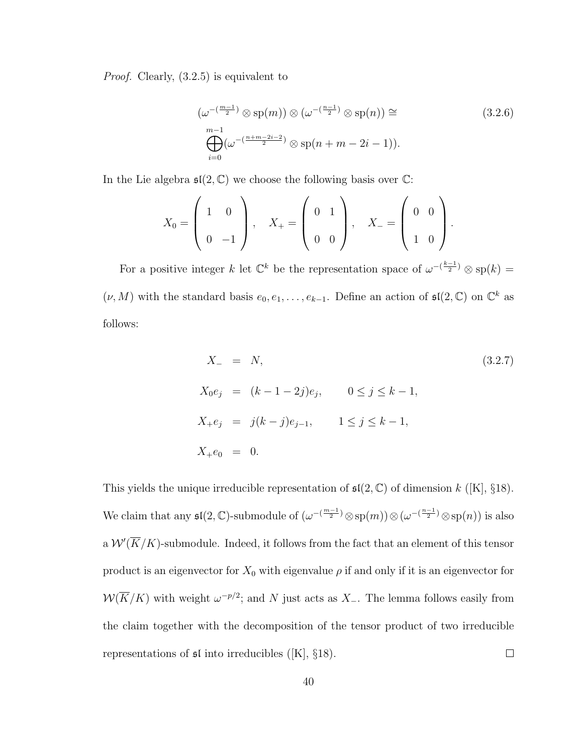Proof. Clearly, (3.2.5) is equivalent to

$$
\left(\omega^{-\left(\frac{m-1}{2}\right)}\otimes \text{sp}(m)\right)\otimes \left(\omega^{-\left(\frac{n-1}{2}\right)}\otimes \text{sp}(n)\right) \cong
$$
\n
$$
\bigoplus_{i=0}^{m-1} \left(\omega^{-\left(\frac{n+m-2i-2}{2}\right)}\otimes \text{sp}(n+m-2i-1)\right).
$$
\n(3.2.6)

In the Lie algebra  $\mathfrak{sl}(2,\mathbb{C})$  we choose the following basis over  $\mathbb{C}$ :

$$
X_0 = \left(\begin{array}{cc} 1 & 0 \\ 0 & -1 \end{array}\right), \quad X_+ = \left(\begin{array}{cc} 0 & 1 \\ 0 & 0 \end{array}\right), \quad X_- = \left(\begin{array}{cc} 0 & 0 \\ 1 & 0 \end{array}\right).
$$

For a positive integer k let  $\mathbb{C}^k$  be the representation space of  $\omega^{-\frac{k-1}{2}} \otimes sp(k) =$  $(\nu, M)$  with the standard basis  $e_0, e_1, \ldots, e_{k-1}$ . Define an action of  $\mathfrak{sl}(2, \mathbb{C})$  on  $\mathbb{C}^k$  as follows:

$$
X_{-} = N,
$$
\n
$$
X_{0}e_{j} = (k - 1 - 2j)e_{j}, \t 0 \le j \le k - 1,
$$
\n
$$
X_{+}e_{j} = j(k - j)e_{j-1}, \t 1 \le j \le k - 1,
$$
\n
$$
X_{+}e_{0} = 0.
$$
\n(3.2.7)

This yields the unique irreducible representation of  $\mathfrak{sl}(2,\mathbb{C})$  of dimension k ([K], §18). We claim that any  $\mathfrak{sl}(2,\mathbb{C})$ -submodule of  $(\omega^{-({m-1 \over 2})} \otimes \text{sp}(m)) \otimes (\omega^{-({n-1 \over 2})} \otimes \text{sp}(n))$  is also a  $\mathcal{W}'(\overline{K}/K)$ -submodule. Indeed, it follows from the fact that an element of this tensor product is an eigenvector for  $X_0$  with eigenvalue  $\rho$  if and only if it is an eigenvector for  $W(\overline{K}/K)$  with weight  $\omega^{-p/2}$ ; and N just acts as X\_. The lemma follows easily from the claim together with the decomposition of the tensor product of two irreducible representations of  $\mathfrak{sl}$  into irreducibles ([K], §18).  $\Box$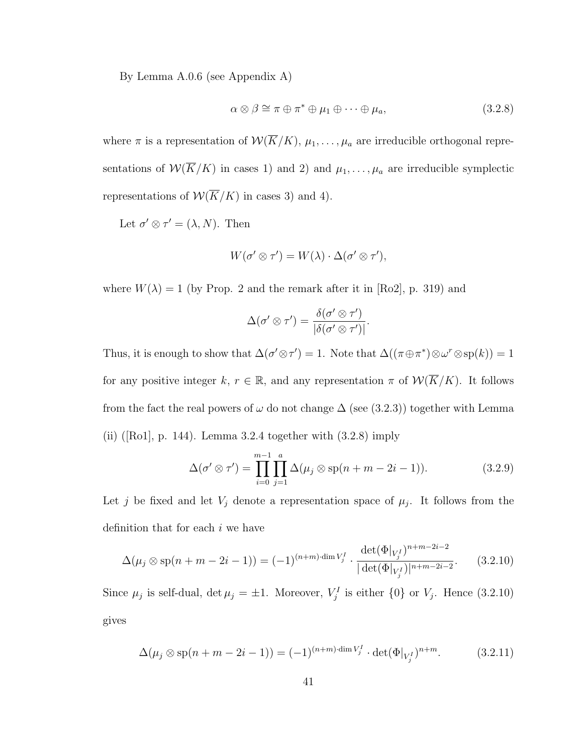By Lemma A.0.6 (see Appendix A)

$$
\alpha \otimes \beta \cong \pi \oplus \pi^* \oplus \mu_1 \oplus \cdots \oplus \mu_a, \tag{3.2.8}
$$

where  $\pi$  is a representation of  $\mathcal{W}(\overline{K}/K)$ ,  $\mu_1, \ldots, \mu_a$  are irreducible orthogonal representations of  $W(\overline{K}/K)$  in cases 1) and 2) and  $\mu_1, \ldots, \mu_a$  are irreducible symplectic representations of  $W(\overline{K}/K)$  in cases 3) and 4).

Let  $\sigma' \otimes \tau' = (\lambda, N)$ . Then

$$
W(\sigma' \otimes \tau') = W(\lambda) \cdot \Delta(\sigma' \otimes \tau'),
$$

where  $W(\lambda) = 1$  (by Prop. 2 and the remark after it in [Ro2], p. 319) and

$$
\Delta(\sigma'\otimes\tau')=\frac{\delta(\sigma'\otimes\tau')}{|\delta(\sigma'\otimes\tau')|}.
$$

Thus, it is enough to show that  $\Delta(\sigma' \otimes \tau') = 1$ . Note that  $\Delta((\pi \oplus \pi^*) \otimes \omega^r \otimes \text{sp}(k)) = 1$ for any positive integer k,  $r \in \mathbb{R}$ , and any representation  $\pi$  of  $\mathcal{W}(\overline{K}/K)$ . It follows from the fact the real powers of  $\omega$  do not change  $\Delta$  (see (3.2.3)) together with Lemma (ii) ([Ro1], p. 144). Lemma 3.2.4 together with  $(3.2.8)$  imply

$$
\Delta(\sigma' \otimes \tau') = \prod_{i=0}^{m-1} \prod_{j=1}^{a} \Delta(\mu_j \otimes \text{sp}(n+m-2i-1)).
$$
\n(3.2.9)

Let j be fixed and let  $V_j$  denote a representation space of  $\mu_j$ . It follows from the definition that for each  $i$  we have

$$
\Delta(\mu_j \otimes \text{sp}(n+m-2i-1)) = (-1)^{(n+m)\cdot \dim V_j^I} \cdot \frac{\det(\Phi|_{V_j^I})^{n+m-2i-2}}{|\det(\Phi|_{V_j^I})|^{n+m-2i-2}}.
$$
(3.2.10)

Since  $\mu_j$  is self-dual,  $\det \mu_j = \pm 1$ . Moreover,  $V_j^I$  is either  $\{0\}$  or  $V_j$ . Hence  $(3.2.10)$ gives

$$
\Delta(\mu_j \otimes \text{sp}(n+m-2i-1)) = (-1)^{(n+m)\cdot \dim V_j^I} \cdot \det(\Phi|_{V_j^I})^{n+m}.
$$
 (3.2.11)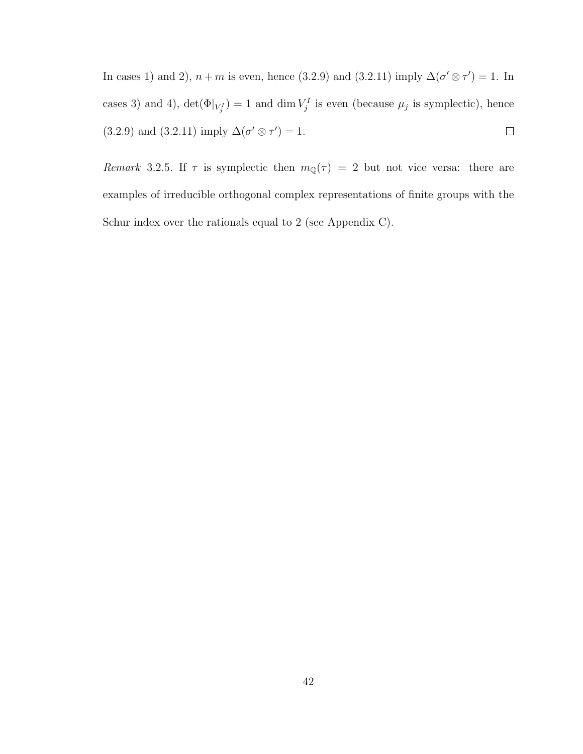In cases 1) and 2),  $n+m$  is even, hence (3.2.9) and (3.2.11) imply  $\Delta(\sigma' \otimes \tau') = 1$ . In cases 3) and 4),  $\det(\Phi|_{V_j^I}) = 1$  and  $\dim V_j^I$  is even (because  $\mu_j$  is symplectic), hence (3.2.9) and (3.2.11) imply  $\Delta(\sigma' \otimes \tau') = 1$ .  $\Box$ 

Remark 3.2.5. If  $\tau$  is symplectic then  $m_{\mathbb{Q}}(\tau) = 2$  but not vice versa: there are examples of irreducible orthogonal complex representations of finite groups with the Schur index over the rationals equal to 2 (see Appendix C).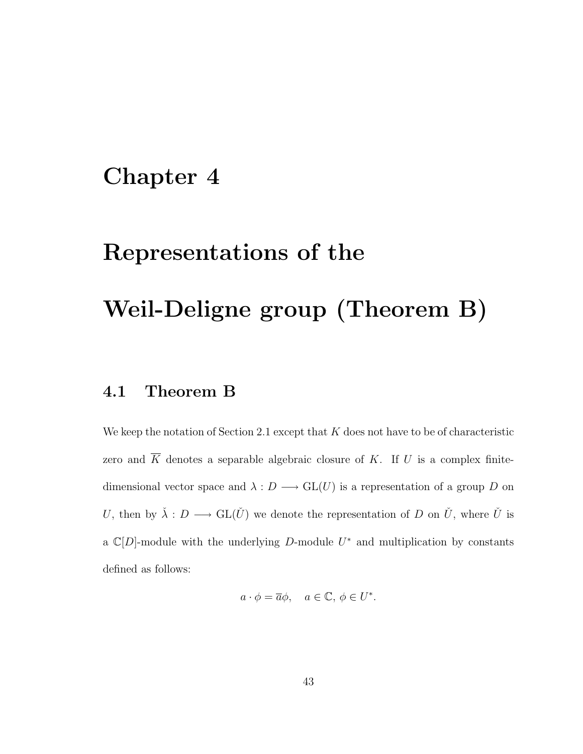### Chapter 4

# Representations of the

## Weil-Deligne group (Theorem B)

### 4.1 Theorem B

We keep the notation of Section 2.1 except that  $K$  does not have to be of characteristic zero and  $\overline{K}$  denotes a separable algebraic closure of K. If U is a complex finitedimensional vector space and  $\lambda : D \longrightarrow GL(U)$  is a representation of a group D on U, then by  $\check{\lambda}: D \longrightarrow GL(\check{U})$  we denote the representation of D on  $\check{U}$ , where  $\check{U}$  is a  $\mathbb{C}[D]$ -module with the underlying D-module  $U^*$  and multiplication by constants defined as follows:

$$
a \cdot \phi = \overline{a}\phi, \quad a \in \mathbb{C}, \, \phi \in U^*.
$$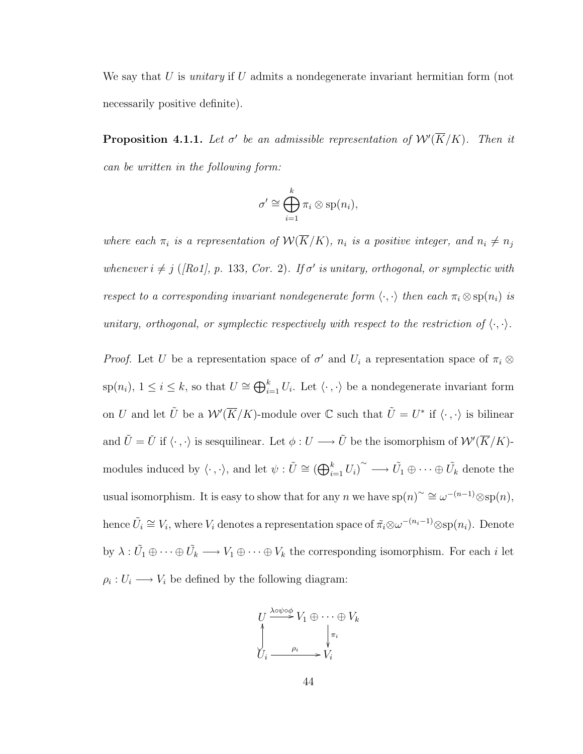We say that U is *unitary* if U admits a nondegenerate invariant hermitian form (not necessarily positive definite).

**Proposition 4.1.1.** Let  $\sigma'$  be an admissible representation of  $\mathcal{W}'(\overline{K}/K)$ . Then it can be written in the following form:

$$
\sigma' \cong \bigoplus_{i=1}^k \pi_i \otimes \text{sp}(n_i),
$$

where each  $\pi_i$  is a representation of  $\mathcal{W}(\overline{K}/K)$ ,  $n_i$  is a positive integer, and  $n_i \neq n_j$ whenever  $i \neq j$  ([Ro1], p. 133, Cor. 2). If  $\sigma'$  is unitary, orthogonal, or symplectic with respect to a corresponding invariant nondegenerate form  $\langle \cdot, \cdot \rangle$  then each  $\pi_i \otimes sp(n_i)$  is unitary, orthogonal, or symplectic respectively with respect to the restriction of  $\langle \cdot, \cdot \rangle$ .

*Proof.* Let U be a representation space of  $\sigma'$  and  $U_i$  a representation space of  $\pi_i \otimes$  $\text{sp}(n_i)$ ,  $1 \leq i \leq k$ , so that  $U \cong \bigoplus_{i=1}^k U_i$ . Let  $\langle \cdot, \cdot \rangle$  be a nondegenerate invariant form on U and let  $\tilde{U}$  be a  $W'(\overline{K}/K)$ -module over C such that  $\tilde{U} = U^*$  if  $\langle \cdot, \cdot \rangle$  is bilinear and  $\tilde{U} = \check{U}$  if  $\langle \cdot, \cdot \rangle$  is sesquilinear. Let  $\phi: U \longrightarrow \tilde{U}$  be the isomorphism of  $\mathcal{W}'(\overline{K}/K)$ modules induced by  $\langle \cdot , \cdot \rangle$ , and let  $\psi : \tilde{U} \cong (\bigoplus_{i=1}^k U_i)^\sim \longrightarrow \tilde{U}_1 \oplus \cdots \oplus \tilde{U}_k$  denote the usual isomorphism. It is easy to show that for any n we have  $\text{sp}(n)^\sim \cong \omega^{-(n-1)} \otimes \text{sp}(n)$ , hence  $\tilde{U}_i \cong V_i$ , where  $V_i$  denotes a representation space of  $\tilde{\pi}_i \otimes \omega^{-(n_i-1)} \otimes \text{sp}(n_i)$ . Denote by  $\lambda: \tilde{U}_1 \oplus \cdots \oplus \tilde{U}_k \longrightarrow V_1 \oplus \cdots \oplus V_k$  the corresponding isomorphism. For each i let  $\rho_i: U_i \longrightarrow V_i$  be defined by the following diagram:

$$
U \xrightarrow{\lambda \circ \psi \circ \phi} V_1 \oplus \cdots \oplus V_k
$$
  

$$
\downarrow \qquad \qquad \downarrow \pi_i
$$
  

$$
U_i \xrightarrow{\rho_i} V_i
$$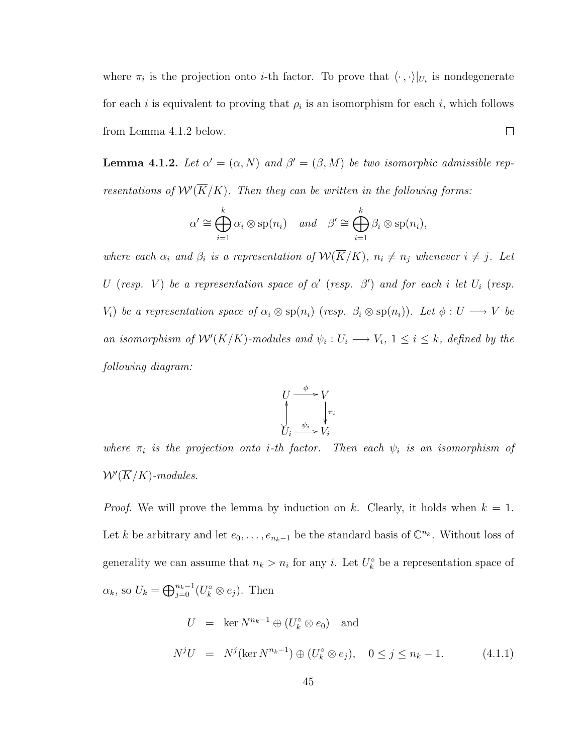where  $\pi_i$  is the projection onto *i*-th factor. To prove that  $\langle \cdot, \cdot \rangle |_{U_i}$  is nondegenerate for each *i* is equivalent to proving that  $\rho_i$  is an isomorphism for each *i*, which follows from Lemma 4.1.2 below.  $\Box$ 

**Lemma 4.1.2.** Let  $\alpha' = (\alpha, N)$  and  $\beta' = (\beta, M)$  be two isomorphic admissible representations of  $\mathcal{W}'(\overline{K}/K)$ . Then they can be written in the following forms:

$$
\alpha' \cong \bigoplus_{i=1}^k \alpha_i \otimes \mathrm{sp}(n_i) \quad \text{and} \quad \beta' \cong \bigoplus_{i=1}^k \beta_i \otimes \mathrm{sp}(n_i),
$$

where each  $\alpha_i$  and  $\beta_i$  is a representation of  $\mathcal{W}(\overline{K}/K)$ ,  $n_i \neq n_j$  whenever  $i \neq j$ . Let U (resp. V) be a representation space of  $\alpha'$  (resp.  $\beta'$ ) and for each i let  $U_i$  (resp. V<sub>i</sub>) be a representation space of  $\alpha_i \otimes sp(n_i)$  (resp.  $\beta_i \otimes sp(n_i)$ ). Let  $\phi: U \longrightarrow V$  be an isomorphism of  $\mathcal{W}'(\overline{K}/K)$ -modules and  $\psi_i: U_i \longrightarrow V_i$ ,  $1 \leq i \leq k$ , defined by the following diagram:



where  $\pi_i$  is the projection onto *i*-th factor. Then each  $\psi_i$  is an isomorphism of  $W'(\overline{K}/K)$ -modules.

*Proof.* We will prove the lemma by induction on k. Clearly, it holds when  $k = 1$ . Let k be arbitrary and let  $e_0, \ldots, e_{n_k-1}$  be the standard basis of  $\mathbb{C}^{n_k}$ . Without loss of generality we can assume that  $n_k > n_i$  for any i. Let  $U_k^{\circ}$  be a representation space of  $\alpha_k$ , so  $U_k = \bigoplus_{j=0}^{n_k-1} (U_k^{\circ} \otimes e_j)$ . Then

$$
U = \ker N^{n_k - 1} \oplus (U_k^{\circ} \otimes e_0) \text{ and}
$$
  

$$
N^{j}U = N^{j}(\ker N^{n_k - 1}) \oplus (U_k^{\circ} \otimes e_j), \quad 0 \le j \le n_k - 1.
$$
 (4.1.1)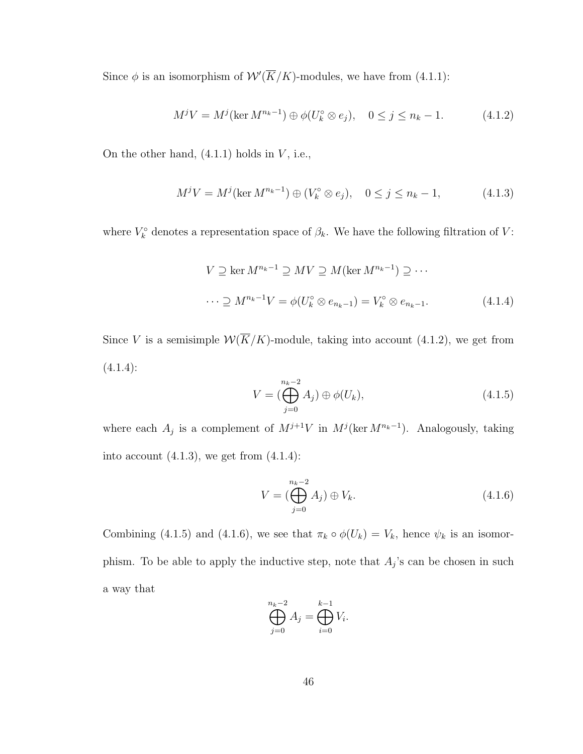Since  $\phi$  is an isomorphism of  $\mathcal{W}'(\overline{K}/K)$ -modules, we have from (4.1.1):

$$
M^{j}V = M^{j}(\ker M^{n_{k}-1}) \oplus \phi(U_{k}^{\circ} \otimes e_{j}), \quad 0 \le j \le n_{k}-1. \tag{4.1.2}
$$

On the other hand,  $(4.1.1)$  holds in  $V$ , i.e.,

$$
M^{j}V = M^{j}(\ker M^{n_{k}-1}) \oplus (V_{k}^{\circ} \otimes e_{j}), \quad 0 \le j \le n_{k}-1, \tag{4.1.3}
$$

where  $V_k^{\circ}$  denotes a representation space of  $\beta_k$ . We have the following filtration of V:

$$
V \supseteq \ker M^{n_k - 1} \supseteq MV \supseteq M(\ker M^{n_k - 1}) \supseteq \cdots
$$
  

$$
\cdots \supseteq M^{n_k - 1}V = \phi(U_k^{\circ} \otimes e_{n_k - 1}) = V_k^{\circ} \otimes e_{n_k - 1}.
$$
 (4.1.4)

Since V is a semisimple  $\mathcal{W}(\overline{K}/K)$ -module, taking into account (4.1.2), we get from  $(4.1.4):$ 

$$
V = \left(\bigoplus_{j=0}^{n_k - 2} A_j\right) \oplus \phi(U_k),\tag{4.1.5}
$$

where each  $A_j$  is a complement of  $M^{j+1}V$  in  $M^j(\ker M^{n_k-1})$ . Analogously, taking into account  $(4.1.3)$ , we get from  $(4.1.4)$ :

$$
V = \left(\bigoplus_{j=0}^{n_k - 2} A_j\right) \oplus V_k. \tag{4.1.6}
$$

Combining (4.1.5) and (4.1.6), we see that  $\pi_k \circ \phi(U_k) = V_k$ , hence  $\psi_k$  is an isomorphism. To be able to apply the inductive step, note that  $A_j$ 's can be chosen in such a way that

$$
\bigoplus_{j=0}^{n_k-2} A_j = \bigoplus_{i=0}^{k-1} V_i.
$$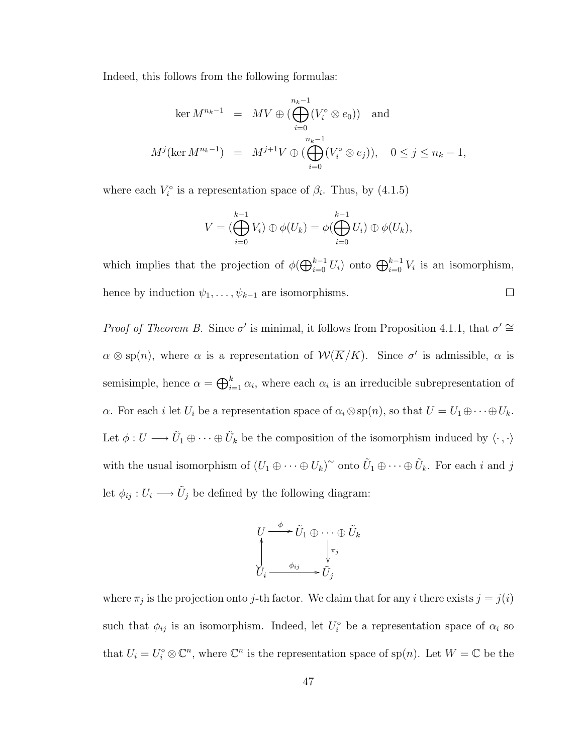Indeed, this follows from the following formulas:

$$
\ker M^{n_k-1} = MV \oplus \left(\bigoplus_{i=0}^{n_k-1} (V_i^{\circ} \otimes e_0)\right) \text{ and}
$$
  

$$
M^j(\ker M^{n_k-1}) = M^{j+1}V \oplus \left(\bigoplus_{i=0}^{n_k-1} (V_i^{\circ} \otimes e_j)\right), \quad 0 \le j \le n_k-1,
$$

where each  $V_i^{\circ}$  is a representation space of  $\beta_i$ . Thus, by (4.1.5)

$$
V = (\bigoplus_{i=0}^{k-1} V_i) \oplus \phi(U_k) = \phi(\bigoplus_{i=0}^{k-1} U_i) \oplus \phi(U_k),
$$

which implies that the projection of  $\phi(\bigoplus_{i=0}^{k-1} U_i)$  onto  $\bigoplus_{i=0}^{k-1} V_i$  is an isomorphism, hence by induction  $\psi_1, \ldots, \psi_{k-1}$  are isomorphisms.  $\Box$ 

Proof of Theorem B. Since  $\sigma'$  is minimal, it follows from Proposition 4.1.1, that  $\sigma' \cong$  $\alpha \otimes sp(n)$ , where  $\alpha$  is a representation of  $\mathcal{W}(\overline{K}/K)$ . Since  $\sigma'$  is admissible,  $\alpha$  is semisimple, hence  $\alpha = \bigoplus_{i=1}^k \alpha_i$ , where each  $\alpha_i$  is an irreducible subrepresentation of α. For each *i* let  $U_i$  be a representation space of  $\alpha_i \otimes sp(n)$ , so that  $U = U_1 \oplus \cdots \oplus U_k$ . Let  $\phi: U \longrightarrow \tilde{U}_1 \oplus \cdots \oplus \tilde{U}_k$  be the composition of the isomorphism induced by  $\langle \cdot, \cdot \rangle$ with the usual isomorphism of  $(U_1 \oplus \cdots \oplus U_k)^\sim$  onto  $\tilde{U}_1 \oplus \cdots \oplus \tilde{U}_k$ . For each i and j let  $\phi_{ij}: U_i \longrightarrow \tilde{U}_j$  be defined by the following diagram:

$$
U \xrightarrow{\phi} \tilde{U}_1 \oplus \cdots \oplus \tilde{U}_k
$$
  

$$
\downarrow_{i} \xrightarrow{\phi_{ij}} \downarrow_{\tilde{U}_j} \tilde{U}_j
$$

where  $\pi_j$  is the projection onto j-th factor. We claim that for any *i* there exists  $j = j(i)$ such that  $\phi_{ij}$  is an isomorphism. Indeed, let  $U_i^{\circ}$  be a representation space of  $\alpha_i$  so that  $U_i = U_i^{\circ} \otimes \mathbb{C}^n$ , where  $\mathbb{C}^n$  is the representation space of sp $(n)$ . Let  $W = \mathbb{C}$  be the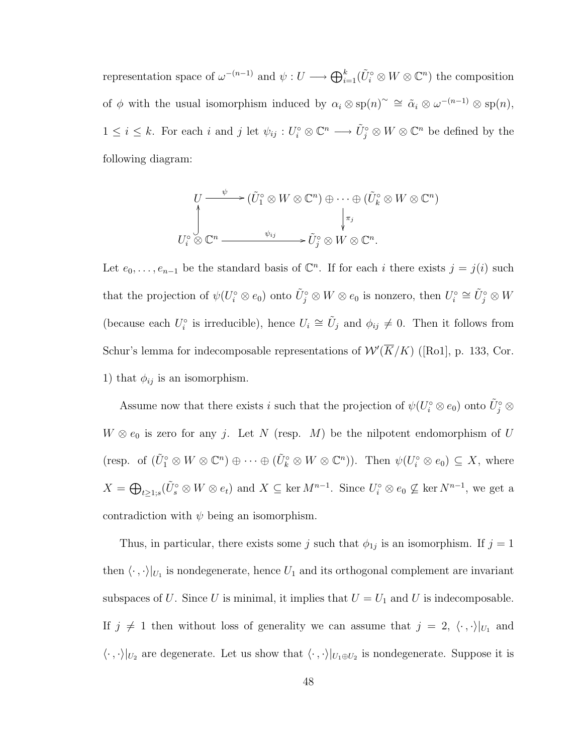representation space of  $\omega^{-(n-1)}$  and  $\psi: U \longrightarrow \bigoplus_{i=1}^k (\tilde{U}_i^{\circ} \otimes W \otimes \mathbb{C}^n)$  the composition of  $\phi$  with the usual isomorphism induced by  $\alpha_i \otimes sp(n)^\sim \cong \tilde{\alpha}_i \otimes \omega^{-(n-1)} \otimes sp(n)$ ,  $1 \leq i \leq k$ . For each i and j let  $\psi_{ij}: U_i^{\circ} \otimes \mathbb{C}^n \longrightarrow \tilde{U}_j^{\circ} \otimes W \otimes \mathbb{C}^n$  be defined by the following diagram:

$$
U \longrightarrow (\tilde{U}_1^{\circ} \otimes W \otimes \mathbb{C}^n) \oplus \cdots \oplus (\tilde{U}_k^{\circ} \otimes W \otimes \mathbb{C}^n)
$$
  

$$
\downarrow^{\tau_j}
$$
  

$$
U_i^{\circ} \otimes \mathbb{C}^n \longrightarrow \psi_{ij} \longrightarrow \tilde{U}_j^{\circ} \otimes W \otimes \mathbb{C}^n.
$$

Let  $e_0, \ldots, e_{n-1}$  be the standard basis of  $\mathbb{C}^n$ . If for each i there exists  $j = j(i)$  such that the projection of  $\psi(U_i^{\circ} \otimes e_0)$  onto  $\tilde{U}_j^{\circ} \otimes W \otimes e_0$  is nonzero, then  $U_i^{\circ} \cong \tilde{U}_j^{\circ} \otimes W$ (because each  $U_i^{\circ}$  is irreducible), hence  $U_i \cong \tilde{U}_j$  and  $\phi_{ij} \neq 0$ . Then it follows from Schur's lemma for indecomposable representations of  $W'(\overline{K}/K)$  ([Ro1], p. 133, Cor. 1) that  $\phi_{ij}$  is an isomorphism.

Assume now that there exists i such that the projection of  $\psi(U_i^{\circ} \otimes e_0)$  onto  $\tilde{U}_j^{\circ} \otimes$  $W \otimes e_0$  is zero for any j. Let N (resp. M) be the nilpotent endomorphism of U (resp. of  $(\tilde{U}_1^{\circ} \otimes W \otimes \mathbb{C}^n) \oplus \cdots \oplus (\tilde{U}_k^{\circ} \otimes W \otimes \mathbb{C}^n)$ ). Then  $\psi(U_i^{\circ} \otimes e_0) \subseteq X$ , where  $X = \bigoplus_{t \geq 1; s} (\tilde{U}_s^{\circ} \otimes W \otimes e_t)$  and  $X \subseteq \text{ker } M^{n-1}$ . Since  $U_i^{\circ} \otimes e_0 \nsubseteq \text{ker } N^{n-1}$ , we get a contradiction with  $\psi$  being an isomorphism.

Thus, in particular, there exists some j such that  $\phi_{1j}$  is an isomorphism. If  $j = 1$ then  $\langle \cdot , \cdot \rangle |_{U_1}$  is nondegenerate, hence  $U_1$  and its orthogonal complement are invariant subspaces of U. Since U is minimal, it implies that  $U = U_1$  and U is indecomposable. If  $j \neq 1$  then without loss of generality we can assume that  $j = 2, \langle \cdot, \cdot \rangle |_{U_1}$  and  $\langle \cdot , \cdot \rangle |_{U_2}$  are degenerate. Let us show that  $\langle \cdot , \cdot \rangle |_{U_1 \oplus U_2}$  is nondegenerate. Suppose it is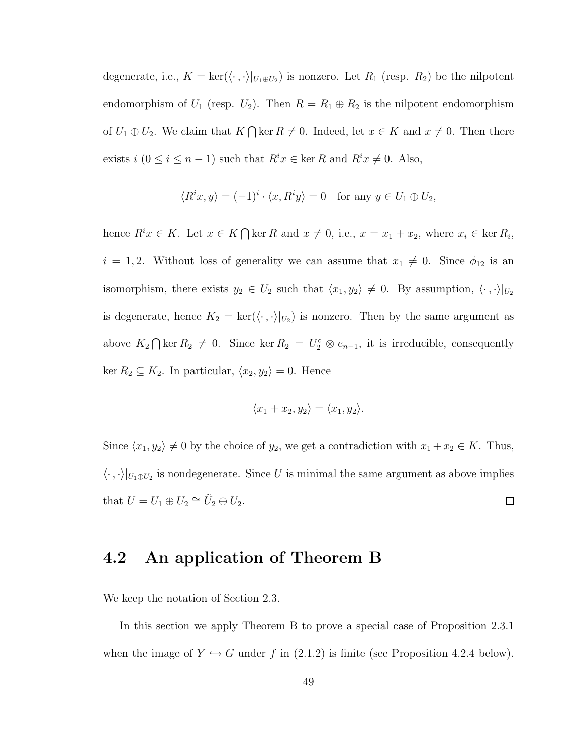degenerate, i.e.,  $K = \text{ker}(\langle \cdot , \cdot \rangle |_{U_1 \oplus U_2})$  is nonzero. Let  $R_1$  (resp.  $R_2$ ) be the nilpotent endomorphism of  $U_1$  (resp.  $U_2$ ). Then  $R = R_1 \oplus R_2$  is the nilpotent endomorphism of  $U_1 \oplus U_2$ . We claim that  $K \cap \ker R \neq 0$ . Indeed, let  $x \in K$  and  $x \neq 0$ . Then there exists  $i$  ( $0 \le i \le n - 1$ ) such that  $R^i x \in \text{ker } R$  and  $R^i x \ne 0$ . Also,

$$
\langle R^i x, y \rangle = (-1)^i \cdot \langle x, R^i y \rangle = 0 \quad \text{for any } y \in U_1 \oplus U_2,
$$

hence  $R^i x \in K$ . Let  $x \in K \cap \ker R$  and  $x \neq 0$ , i.e.,  $x = x_1 + x_2$ , where  $x_i \in \ker R_i$ ,  $i = 1, 2$ . Without loss of generality we can assume that  $x_1 \neq 0$ . Since  $\phi_{12}$  is an isomorphism, there exists  $y_2 \in U_2$  such that  $\langle x_1, y_2 \rangle \neq 0$ . By assumption,  $\langle \cdot, \cdot \rangle |_{U_2}$ is degenerate, hence  $K_2 = \text{ker}(\langle \cdot, \cdot \rangle |_{U_2})$  is nonzero. Then by the same argument as above  $K_2 \cap \ker R_2 \neq 0$ . Since  $\ker R_2 = U_2^{\circ} \otimes e_{n-1}$ , it is irreducible, consequently ker  $R_2 \subseteq K_2$ . In particular,  $\langle x_2, y_2 \rangle = 0$ . Hence

$$
\langle x_1 + x_2, y_2 \rangle = \langle x_1, y_2 \rangle.
$$

Since  $\langle x_1, y_2 \rangle \neq 0$  by the choice of  $y_2$ , we get a contradiction with  $x_1 + x_2 \in K$ . Thus,  $\langle \cdot , \cdot \rangle |_{U_1 \oplus U_2}$  is nondegenerate. Since U is minimal the same argument as above implies that  $U = U_1 \oplus U_2 \cong \tilde{U}_2 \oplus U_2$ .  $\Box$ 

#### 4.2 An application of Theorem B

We keep the notation of Section 2.3.

In this section we apply Theorem B to prove a special case of Proposition 2.3.1 when the image of  $Y \hookrightarrow G$  under f in (2.1.2) is finite (see Proposition 4.2.4 below).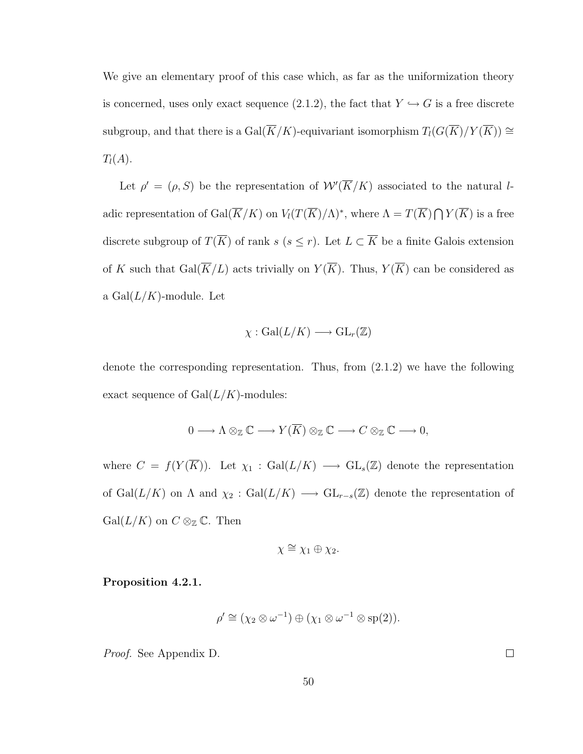We give an elementary proof of this case which, as far as the uniformization theory is concerned, uses only exact sequence (2.1.2), the fact that  $Y \hookrightarrow G$  is a free discrete subgroup, and that there is a  $\mathrm{Gal}(\overline{K}/K)$ -equivariant isomorphism  $T_l(G(\overline{K})/Y(\overline{K})) \cong$  $T_l(A)$ .

Let  $\rho' = (\rho, S)$  be the representation of  $\mathcal{W}'(\overline{K}/K)$  associated to the natural ladic representation of  $Gal(\overline{K}/K)$  on  $V_l(T(\overline{K})/\Lambda)^*$ , where  $\Lambda = T(\overline{K}) \bigcap Y(\overline{K})$  is a free discrete subgroup of  $T(\overline{K})$  of rank s (s ≤ r). Let  $L \subset \overline{K}$  be a finite Galois extension of K such that  $Gal(\overline{K}/L)$  acts trivially on  $Y(\overline{K})$ . Thus,  $Y(\overline{K})$  can be considered as a  $Gal(L/K)$ -module. Let

$$
\chi : \mathrm{Gal}(L/K) \longrightarrow \mathrm{GL}_r(\mathbb{Z})
$$

denote the corresponding representation. Thus, from (2.1.2) we have the following exact sequence of  $Gal(L/K)$ -modules:

$$
0 \longrightarrow \Lambda \otimes_{\mathbb{Z}} \mathbb{C} \longrightarrow Y(\overline{K}) \otimes_{\mathbb{Z}} \mathbb{C} \longrightarrow C \otimes_{\mathbb{Z}} \mathbb{C} \longrightarrow 0,
$$

where  $C = f(Y(\overline{K}))$ . Let  $\chi_1 : \text{Gal}(L/K) \longrightarrow \text{GL}_s(\mathbb{Z})$  denote the representation of  $Gal(L/K)$  on  $\Lambda$  and  $\chi_2$  :  $Gal(L/K) \longrightarrow GL_{r-s}(\mathbb{Z})$  denote the representation of  $Gal(L/K)$  on  $C \otimes_{\mathbb{Z}} \mathbb{C}$ . Then

$$
\chi \cong \chi_1 \oplus \chi_2.
$$

#### Proposition 4.2.1.

$$
\rho' \cong (\chi_2 \otimes \omega^{-1}) \oplus (\chi_1 \otimes \omega^{-1} \otimes \mathrm{sp}(2)).
$$

Proof. See Appendix D.

 $\Box$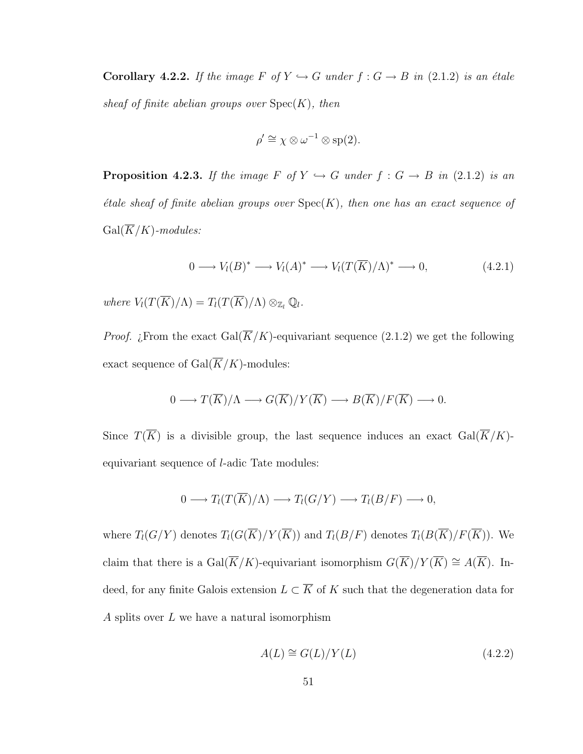**Corollary 4.2.2.** If the image F of  $Y \hookrightarrow G$  under  $f : G \rightarrow B$  in (2.1.2) is an étale sheaf of finite abelian groups over  $Spec(K)$ , then

$$
\rho' \cong \chi \otimes \omega^{-1} \otimes \mathrm{sp}(2).
$$

**Proposition 4.2.3.** If the image F of  $Y \hookrightarrow G$  under  $f : G \to B$  in (2.1.2) is an  $\acute{e}t$ de sheaf of finite abelian groups over  $Spec(K)$ , then one has an exact sequence of  $Gal(\overline{K}/K)$ -modules:

$$
0 \longrightarrow V_l(B)^* \longrightarrow V_l(A)^* \longrightarrow V_l(T(\overline{K})/\Lambda)^* \longrightarrow 0,
$$
\n(4.2.1)

where  $V_l(T(\overline{K})/\Lambda) = T_l(T(\overline{K})/\Lambda) \otimes_{\mathbb{Z}_l} \mathbb{Q}_l$ .

*Proof. i*. From the exact Gal( $\overline{K}/K$ )-equivariant sequence (2.1.2) we get the following exact sequence of  $Gal(\overline{K}/K)$ -modules:

$$
0 \longrightarrow T(\overline{K})/\Lambda \longrightarrow G(\overline{K})/Y(\overline{K}) \longrightarrow B(\overline{K})/F(\overline{K}) \longrightarrow 0.
$$

Since  $T(\overline{K})$  is a divisible group, the last sequence induces an exact  $Gal(\overline{K}/K)$ equivariant sequence of l-adic Tate modules:

$$
0 \longrightarrow T_l(T(\overline{K})/\Lambda) \longrightarrow T_l(G/Y) \longrightarrow T_l(B/F) \longrightarrow 0,
$$

where  $T_l(G/Y)$  denotes  $T_l(G(\overline{K})/Y(\overline{K}))$  and  $T_l(B/F)$  denotes  $T_l(B(\overline{K})/F(\overline{K}))$ . We claim that there is a  $Gal(\overline{K}/K)$ -equivariant isomorphism  $G(\overline{K})/Y(\overline{K}) \cong A(\overline{K})$ . Indeed, for any finite Galois extension  $L \subset \overline{K}$  of K such that the degeneration data for A splits over  $L$  we have a natural isomorphism

$$
A(L) \cong G(L)/Y(L) \tag{4.2.2}
$$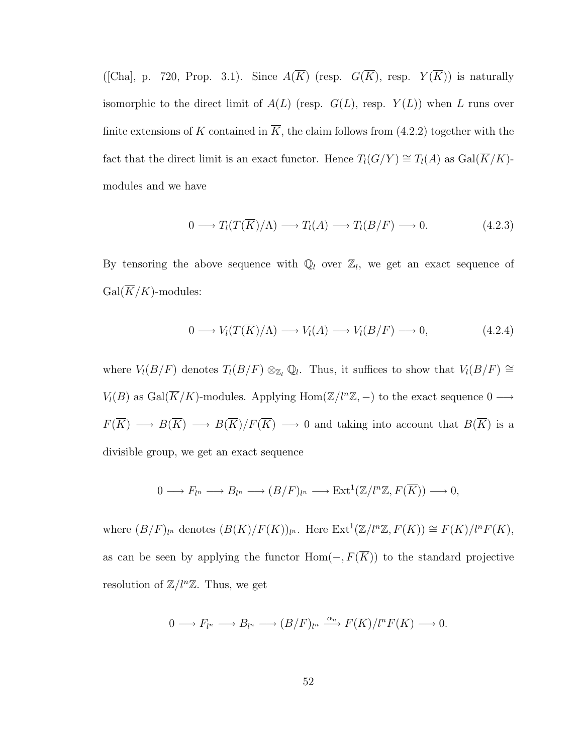([Cha], p. 720, Prop. 3.1). Since  $A(\overline{K})$  (resp.  $G(\overline{K})$ , resp.  $Y(\overline{K})$ ) is naturally isomorphic to the direct limit of  $A(L)$  (resp.  $G(L)$ , resp.  $Y(L)$ ) when L runs over finite extensions of K contained in  $\overline{K}$ , the claim follows from (4.2.2) together with the fact that the direct limit is an exact functor. Hence  $T_l(G/Y) \cong T_l(A)$  as  $Gal(\overline{K}/K)$ modules and we have

$$
0 \longrightarrow T_l(T(\overline{K})/\Lambda) \longrightarrow T_l(A) \longrightarrow T_l(B/F) \longrightarrow 0. \tag{4.2.3}
$$

By tensoring the above sequence with  $\mathbb{Q}_l$  over  $\mathbb{Z}_l$ , we get an exact sequence of  $Gal(\overline{K}/K)$ -modules:

$$
0 \longrightarrow V_l(T(\overline{K})/\Lambda) \longrightarrow V_l(A) \longrightarrow V_l(B/F) \longrightarrow 0,
$$
\n(4.2.4)

where  $V_l(B/F)$  denotes  $T_l(B/F) \otimes_{\mathbb{Z}_l} \mathbb{Q}_l$ . Thus, it suffices to show that  $V_l(B/F) \cong$  $V_l(B)$  as Gal( $\overline{K}/K$ )-modules. Applying Hom( $\mathbb{Z}/l^n\mathbb{Z}, -$ ) to the exact sequence 0  $\longrightarrow$  $F(\overline{K}) \longrightarrow B(\overline{K}) \longrightarrow B(\overline{K})/F(\overline{K}) \longrightarrow 0$  and taking into account that  $B(\overline{K})$  is a divisible group, we get an exact sequence

$$
0 \longrightarrow F_{l^n} \longrightarrow B_{l^n} \longrightarrow (B/F)_{l^n} \longrightarrow \text{Ext}^1(\mathbb{Z}/l^n\mathbb{Z}, F(\overline{K})) \longrightarrow 0,
$$

where  $(B/F)_{l^n}$  denotes  $(B(\overline{K})/F(\overline{K}))_{l^n}$ . Here  $\text{Ext}^1(\mathbb{Z}/l^n\mathbb{Z}, F(\overline{K})) \cong F(\overline{K})/l^nF(\overline{K}),$ as can be seen by applying the functor  $Hom(-, F(\overline{K}))$  to the standard projective resolution of  $\mathbb{Z}/l^n\mathbb{Z}$ . Thus, we get

$$
0 \longrightarrow F_{l^n} \longrightarrow B_{l^n} \longrightarrow (B/F)_{l^n} \stackrel{\alpha_n}{\longrightarrow} F(\overline{K})/l^n F(\overline{K}) \longrightarrow 0.
$$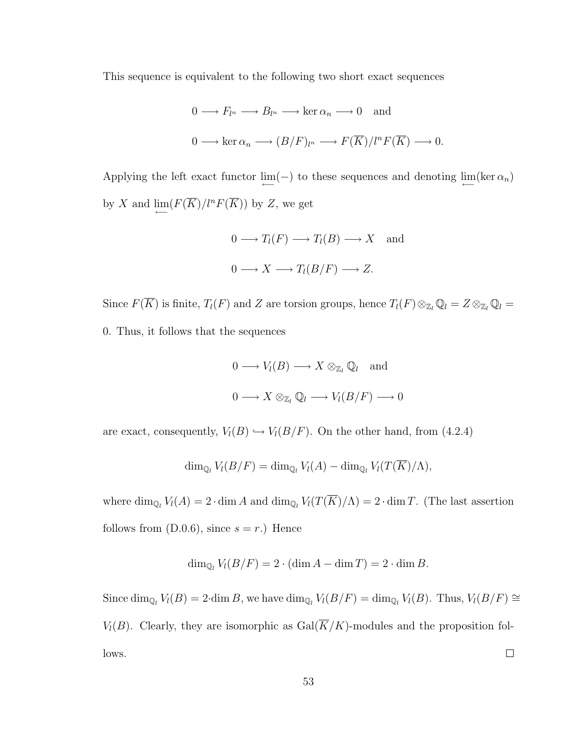This sequence is equivalent to the following two short exact sequences

$$
0 \longrightarrow F_{l^n} \longrightarrow B_{l^n} \longrightarrow \ker \alpha_n \longrightarrow 0 \text{ and}
$$
  

$$
0 \longrightarrow \ker \alpha_n \longrightarrow (B/F)_{l^n} \longrightarrow F(\overline{K})/l^n F(\overline{K}) \longrightarrow 0.
$$

Applying the left exact functor  $\lim_{\longleftarrow}(-)$  to these sequences and denoting  $\lim_{\longleftarrow}(\ker \alpha_n)$ by X and  $\lim_{\longleftarrow} (F(\overline{K})/l^n F(\overline{K}))$  by Z, we get

$$
0 \longrightarrow T_l(F) \longrightarrow T_l(B) \longrightarrow X \text{ and}
$$
  

$$
0 \longrightarrow X \longrightarrow T_l(B/F) \longrightarrow Z.
$$

Since  $F(\overline{K})$  is finite,  $T_l(F)$  and Z are torsion groups, hence  $T_l(F) \otimes_{\mathbb{Z}_l} \mathbb{Q}_l = Z \otimes_{\mathbb{Z}_l} \mathbb{Q}_l =$ 0. Thus, it follows that the sequences

$$
0 \longrightarrow V_l(B) \longrightarrow X \otimes_{\mathbb{Z}_l} \mathbb{Q}_l \text{ and}
$$
  

$$
0 \longrightarrow X \otimes_{\mathbb{Z}_l} \mathbb{Q}_l \longrightarrow V_l(B/F) \longrightarrow 0
$$

are exact, consequently,  $V_l(B) \hookrightarrow V_l(B/F)$ . On the other hand, from (4.2.4)

$$
\dim_{\mathbb{Q}_l} V_l(B/F) = \dim_{\mathbb{Q}_l} V_l(A) - \dim_{\mathbb{Q}_l} V_l(T(\overline{K})/\Lambda),
$$

where  $\dim_{\mathbb{Q}_l} V_l(A) = 2 \cdot \dim A$  and  $\dim_{\mathbb{Q}_l} V_l(T(\overline{K})/\Lambda) = 2 \cdot \dim T$ . (The last assertion follows from  $(D.0.6)$ , since  $s = r$ .) Hence

$$
\dim_{\mathbb{Q}_l} V_l(B/F) = 2 \cdot (\dim A - \dim T) = 2 \cdot \dim B.
$$

Since  $\dim_{\mathbb{Q}_l} V_l(B) = 2 \cdot \dim B$ , we have  $\dim_{\mathbb{Q}_l} V_l(B/F) = \dim_{\mathbb{Q}_l} V_l(B)$ . Thus,  $V_l(B/F) \cong$  $V_l(B)$ . Clearly, they are isomorphic as  $Gal(\overline{K}/K)$ -modules and the proposition follows.  $\Box$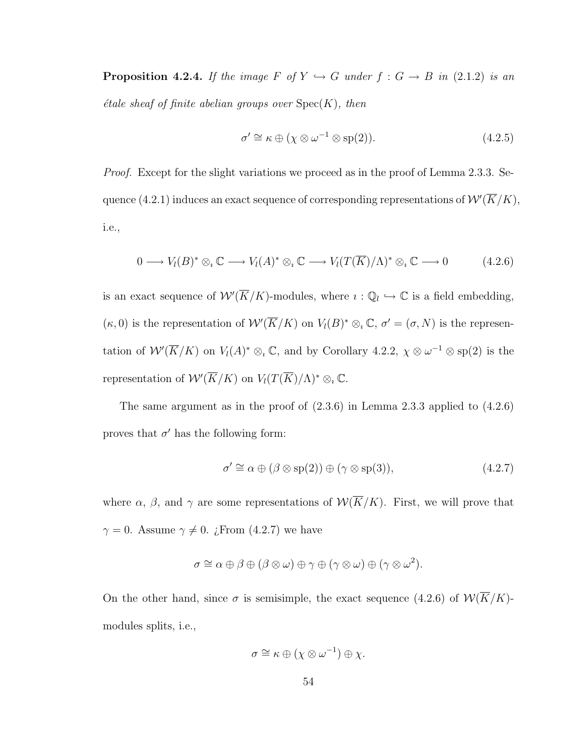**Proposition 4.2.4.** If the image F of  $Y \hookrightarrow G$  under  $f : G \to B$  in (2.1.2) is an  $\acute{e}t$ ale sheaf of finite abelian groups over  $Spec(K)$ , then

$$
\sigma' \cong \kappa \oplus (\chi \otimes \omega^{-1} \otimes \text{sp}(2)). \tag{4.2.5}
$$

*Proof.* Except for the slight variations we proceed as in the proof of Lemma 2.3.3. Sequence (4.2.1) induces an exact sequence of corresponding representations of  $\mathcal{W}'(\overline{K}/K)$ , i.e.,

$$
0 \longrightarrow V_l(B)^* \otimes_{\iota} \mathbb{C} \longrightarrow V_l(A)^* \otimes_{\iota} \mathbb{C} \longrightarrow V_l(T(\overline{K})/\Lambda)^* \otimes_{\iota} \mathbb{C} \longrightarrow 0 \tag{4.2.6}
$$

is an exact sequence of  $\mathcal{W}'(\overline{K}/K)$ -modules, where  $i: \mathbb{Q}_l \hookrightarrow \mathbb{C}$  is a field embedding,  $(\kappa, 0)$  is the representation of  $W'(\overline{K}/K)$  on  $V_l(B)^* \otimes_i \mathbb{C}, \sigma' = (\sigma, N)$  is the representation of  $W'(\overline{K}/K)$  on  $V_l(A)^* \otimes_i \mathbb{C}$ , and by Corollary 4.2.2,  $\chi \otimes \omega^{-1} \otimes sp(2)$  is the representation of  $W'(\overline{K}/K)$  on  $V_l(T(\overline{K})/\Lambda)^* \otimes_i \mathbb{C}$ .

The same argument as in the proof of  $(2.3.6)$  in Lemma 2.3.3 applied to  $(4.2.6)$ proves that  $\sigma'$  has the following form:

$$
\sigma' \cong \alpha \oplus (\beta \otimes \text{sp}(2)) \oplus (\gamma \otimes \text{sp}(3)),\tag{4.2.7}
$$

where  $\alpha$ ,  $\beta$ , and  $\gamma$  are some representations of  $\mathcal{W}(\overline{K}/K)$ . First, we will prove that  $\gamma = 0$ . Assume  $\gamma \neq 0$ . ¿From (4.2.7) we have

$$
\sigma \cong \alpha \oplus \beta \oplus (\beta \otimes \omega) \oplus \gamma \oplus (\gamma \otimes \omega) \oplus (\gamma \otimes \omega^2).
$$

On the other hand, since  $\sigma$  is semisimple, the exact sequence (4.2.6) of  $W(\overline{K}/K)$ modules splits, i.e.,

$$
\sigma \cong \kappa \oplus (\chi \otimes \omega^{-1}) \oplus \chi.
$$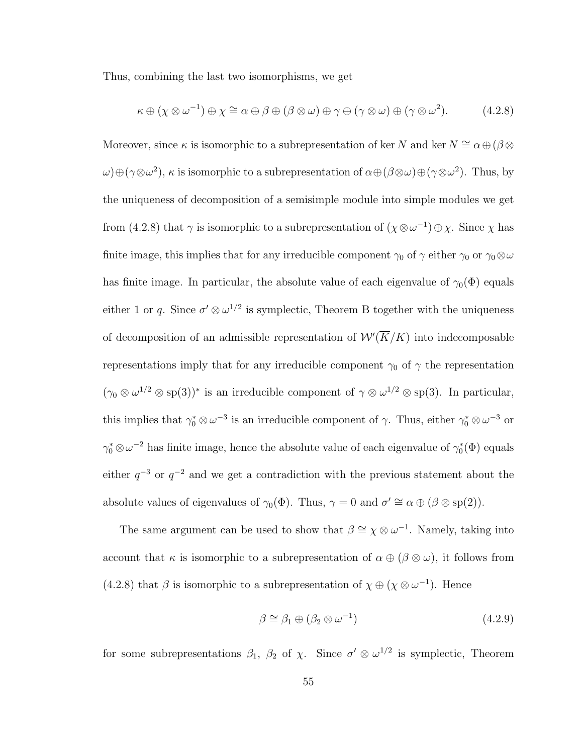Thus, combining the last two isomorphisms, we get

$$
\kappa \oplus (\chi \otimes \omega^{-1}) \oplus \chi \cong \alpha \oplus \beta \oplus (\beta \otimes \omega) \oplus \gamma \oplus (\gamma \otimes \omega) \oplus (\gamma \otimes \omega^{2}).
$$
 (4.2.8)

Moreover, since  $\kappa$  is isomorphic to a subrepresentation of ker N and ker  $N \cong \alpha \oplus (\beta \otimes$  $\omega$ ) $\oplus$ ( $\gamma \otimes \omega^2$ ),  $\kappa$  is isomorphic to a subrepresentation of  $\alpha \oplus (\beta \otimes \omega) \oplus (\gamma \otimes \omega^2)$ . Thus, by the uniqueness of decomposition of a semisimple module into simple modules we get from (4.2.8) that  $\gamma$  is isomorphic to a subrepresentation of  $(\chi \otimes \omega^{-1}) \oplus \chi$ . Since  $\chi$  has finite image, this implies that for any irreducible component  $\gamma_0$  of  $\gamma$  either  $\gamma_0$  or  $\gamma_0 \otimes \omega$ has finite image. In particular, the absolute value of each eigenvalue of  $\gamma_0(\Phi)$  equals either 1 or q. Since  $\sigma' \otimes \omega^{1/2}$  is symplectic, Theorem B together with the uniqueness of decomposition of an admissible representation of  $\mathcal{W}'(\overline{K}/K)$  into indecomposable representations imply that for any irreducible component  $\gamma_0$  of  $\gamma$  the representation  $(\gamma_0 \otimes \omega^{1/2} \otimes \text{sp}(3))^*$  is an irreducible component of  $\gamma \otimes \omega^{1/2} \otimes \text{sp}(3)$ . In particular, this implies that  $\gamma_0^* \otimes \omega^{-3}$  is an irreducible component of  $\gamma$ . Thus, either  $\gamma_0^* \otimes \omega^{-3}$  or  $\gamma_0^* \otimes \omega^{-2}$  has finite image, hence the absolute value of each eigenvalue of  $\gamma_0^*(\Phi)$  equals either  $q^{-3}$  or  $q^{-2}$  and we get a contradiction with the previous statement about the absolute values of eigenvalues of  $\gamma_0(\Phi)$ . Thus,  $\gamma = 0$  and  $\sigma' \cong \alpha \oplus (\beta \otimes \text{sp}(2))$ .

The same argument can be used to show that  $\beta \cong \chi \otimes \omega^{-1}$ . Namely, taking into account that  $\kappa$  is isomorphic to a subrepresentation of  $\alpha \oplus (\beta \otimes \omega)$ , it follows from (4.2.8) that  $\beta$  is isomorphic to a subrepresentation of  $\chi \oplus (\chi \otimes \omega^{-1})$ . Hence

$$
\beta \cong \beta_1 \oplus (\beta_2 \otimes \omega^{-1}) \tag{4.2.9}
$$

for some subrepresentations  $\beta_1$ ,  $\beta_2$  of  $\chi$ . Since  $\sigma' \otimes \omega^{1/2}$  is symplectic, Theorem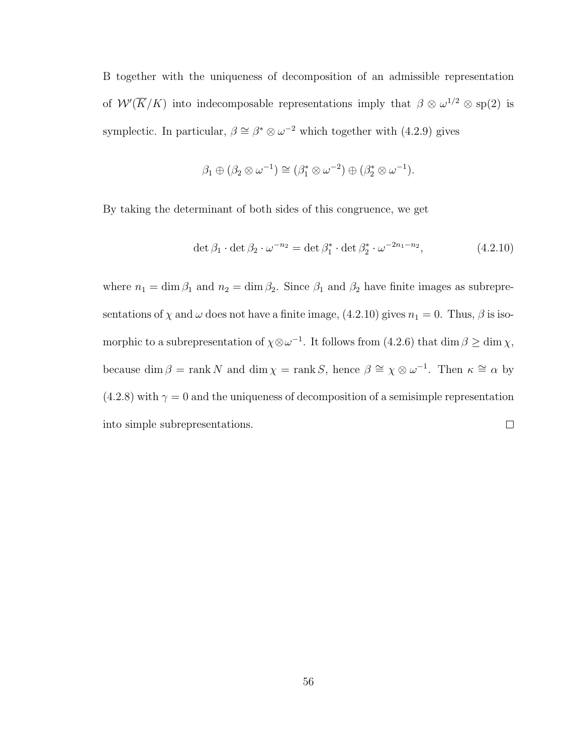B together with the uniqueness of decomposition of an admissible representation of  $W'(\overline{K}/K)$  into indecomposable representations imply that  $\beta \otimes \omega^{1/2} \otimes sp(2)$  is symplectic. In particular,  $\beta \cong \beta^* \otimes \omega^{-2}$  which together with (4.2.9) gives

$$
\beta_1 \oplus (\beta_2 \otimes \omega^{-1}) \cong (\beta_1^* \otimes \omega^{-2}) \oplus (\beta_2^* \otimes \omega^{-1}).
$$

By taking the determinant of both sides of this congruence, we get

$$
\det \beta_1 \cdot \det \beta_2 \cdot \omega^{-n_2} = \det \beta_1^* \cdot \det \beta_2^* \cdot \omega^{-2n_1 - n_2},\tag{4.2.10}
$$

where  $n_1 = \dim \beta_1$  and  $n_2 = \dim \beta_2$ . Since  $\beta_1$  and  $\beta_2$  have finite images as subrepresentations of  $\chi$  and  $\omega$  does not have a finite image, (4.2.10) gives  $n_1 = 0$ . Thus,  $\beta$  is isomorphic to a subrepresentation of  $\chi \otimes \omega^{-1}$ . It follows from (4.2.6) that dim  $\beta \ge \dim \chi$ , because dim  $\beta = \text{rank } N$  and dim  $\chi = \text{rank } S$ , hence  $\beta \cong \chi \otimes \omega^{-1}$ . Then  $\kappa \cong \alpha$  by (4.2.8) with  $\gamma = 0$  and the uniqueness of decomposition of a semisimple representation into simple subrepresentations.  $\Box$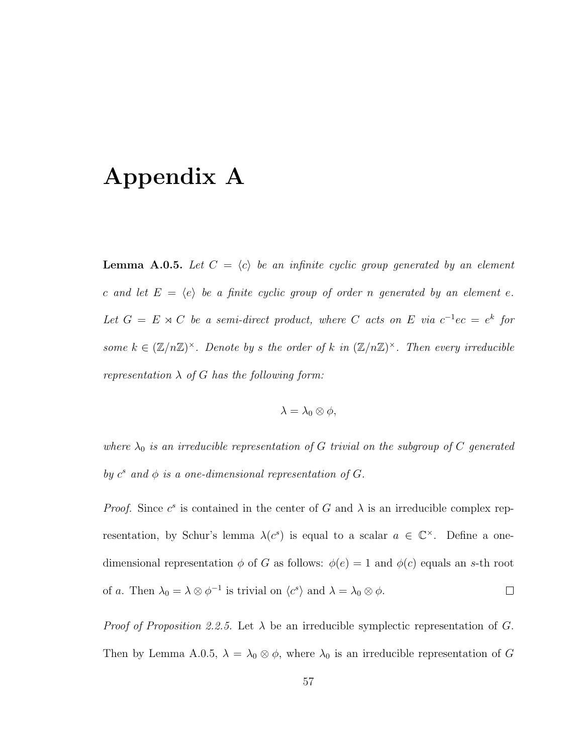### Appendix A

**Lemma A.0.5.** Let  $C = \langle c \rangle$  be an infinite cyclic group generated by an element c and let  $E = \langle e \rangle$  be a finite cyclic group of order n generated by an element e. Let  $G = E \rtimes C$  be a semi-direct product, where C acts on E via  $c^{-1}ec = e^k$  for some  $k \in (\mathbb{Z}/n\mathbb{Z})^{\times}$ . Denote by s the order of k in  $(\mathbb{Z}/n\mathbb{Z})^{\times}$ . Then every irreducible representation  $\lambda$  of G has the following form:

$$
\lambda = \lambda_0 \otimes \phi,
$$

where  $\lambda_0$  is an irreducible representation of G trivial on the subgroup of C generated by  $c^s$  and  $\phi$  is a one-dimensional representation of G.

*Proof.* Since  $c^s$  is contained in the center of G and  $\lambda$  is an irreducible complex representation, by Schur's lemma  $\lambda(c^s)$  is equal to a scalar  $a \in \mathbb{C}^\times$ . Define a onedimensional representation  $\phi$  of G as follows:  $\phi(e) = 1$  and  $\phi(c)$  equals an s-th root of a. Then  $\lambda_0 = \lambda \otimes \phi^{-1}$  is trivial on  $\langle c^s \rangle$  and  $\lambda = \lambda_0 \otimes \phi$ .  $\Box$ 

*Proof of Proposition 2.2.5.* Let  $\lambda$  be an irreducible symplectic representation of G. Then by Lemma A.0.5,  $\lambda = \lambda_0 \otimes \phi$ , where  $\lambda_0$  is an irreducible representation of G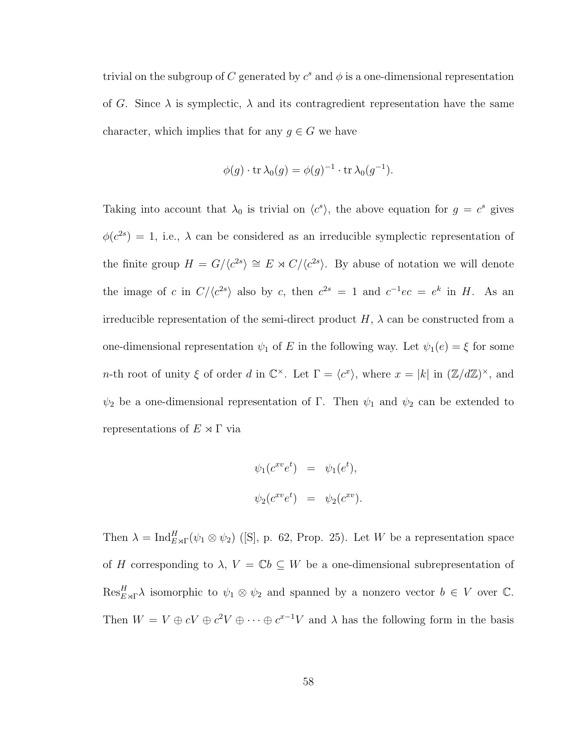trivial on the subgroup of C generated by  $c^s$  and  $\phi$  is a one-dimensional representation of G. Since  $\lambda$  is symplectic,  $\lambda$  and its contragredient representation have the same character, which implies that for any  $g \in G$  we have

$$
\phi(g) \cdot \operatorname{tr} \lambda_0(g) = \phi(g)^{-1} \cdot \operatorname{tr} \lambda_0(g^{-1}).
$$

Taking into account that  $\lambda_0$  is trivial on  $\langle c^s \rangle$ , the above equation for  $g = c^s$  gives  $\phi(c^{2s}) = 1$ , i.e.,  $\lambda$  can be considered as an irreducible symplectic representation of the finite group  $H = G/\langle c^{2s} \rangle \cong E \rtimes C/\langle c^{2s} \rangle$ . By abuse of notation we will denote the image of c in  $C/\langle c^{2s} \rangle$  also by c, then  $c^{2s} = 1$  and  $c^{-1}ec = e^k$  in H. As an irreducible representation of the semi-direct product  $H$ ,  $\lambda$  can be constructed from a one-dimensional representation  $\psi_1$  of E in the following way. Let  $\psi_1(e) = \xi$  for some *n*-th root of unity  $\xi$  of order d in  $\mathbb{C}^{\times}$ . Let  $\Gamma = \langle c^x \rangle$ , where  $x = |k|$  in  $(\mathbb{Z}/d\mathbb{Z})^{\times}$ , and  $\psi_2$  be a one-dimensional representation of Γ. Then  $\psi_1$  and  $\psi_2$  can be extended to representations of  $E \rtimes \Gamma$  via

$$
\psi_1(c^{xv}e^t) = \psi_1(e^t),
$$
  

$$
\psi_2(c^{xv}e^t) = \psi_2(c^{xv}).
$$

Then  $\lambda = \text{Ind}_{E \rtimes \Gamma}^H(\psi_1 \otimes \psi_2)$  ([S], p. 62, Prop. 25). Let W be a representation space of H corresponding to  $\lambda$ ,  $V = \mathbb{C}b \subseteq W$  be a one-dimensional subrepresentation of  $\text{Res}_{E\rtimes\Gamma}^H\lambda$  isomorphic to  $\psi_1\otimes\psi_2$  and spanned by a nonzero vector  $b\in V$  over  $\mathbb C$ . Then  $W = V \oplus cV \oplus c^2V \oplus \cdots \oplus c^{x-1}V$  and  $\lambda$  has the following form in the basis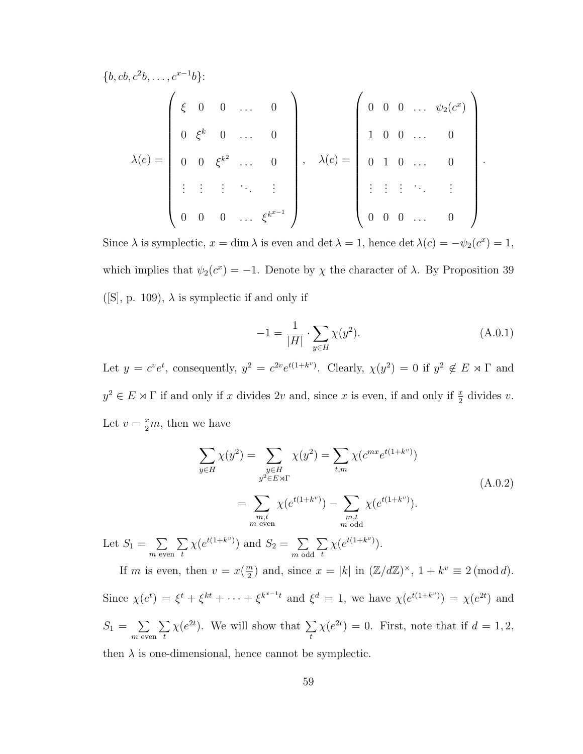$$
\lambda(e) = \begin{pmatrix} \xi & 0 & 0 & \dots & 0 \\ \xi & 0 & 0 & \dots & 0 \\ 0 & \xi^k & 0 & \dots & 0 \\ 0 & 0 & \xi^{k^2} & \dots & 0 \\ \vdots & \vdots & \vdots & \ddots & \vdots \\ 0 & 0 & 0 & \dots & \xi^{k^{x-1}} \end{pmatrix}, \quad \lambda(c) = \begin{pmatrix} 0 & 0 & 0 & \dots & \psi_2(c^x) \\ 1 & 0 & 0 & \dots & 0 \\ 0 & 1 & 0 & \dots & 0 \\ \vdots & \vdots & \vdots & \ddots & \vdots \\ 0 & 0 & 0 & \dots & 0 \end{pmatrix}.
$$

Since  $\lambda$  is symplectic,  $x = \dim \lambda$  is even and  $\det \lambda = 1$ , hence  $\det \lambda(c) = -\psi_2(c^x) = 1$ , which implies that  $\psi_2(c^x) = -1$ . Denote by  $\chi$  the character of  $\lambda$ . By Proposition 39 ([S], p. 109),  $\lambda$  is symplectic if and only if

$$
-1 = \frac{1}{|H|} \cdot \sum_{y \in H} \chi(y^2).
$$
 (A.0.1)

Let  $y = c^v e^t$ , consequently,  $y^2 = c^{2v} e^{t(1+k^v)}$ . Clearly,  $\chi(y^2) = 0$  if  $y^2 \notin E \rtimes \Gamma$  and  $y^2 \in E \rtimes \Gamma$  if and only if x divides 2v and, since x is even, if and only if  $\frac{x}{2}$  divides v. Let  $v = \frac{x}{2}m$ , then we have

$$
\sum_{y \in H} \chi(y^2) = \sum_{\substack{y \in H \\ y^2 \in E \rtimes \Gamma}} \chi(y^2) = \sum_{t,m} \chi(c^{mx} e^{t(1+k^v)})
$$
\n
$$
= \sum_{\substack{m,t \\ m \text{ even}}} \chi(e^{t(1+k^v)}) - \sum_{\substack{m,t \\ m \text{ odd}}} \chi(e^{t(1+k^v)}).
$$
\n(A.0.2)

Let  $S_1 = \sum$  $m$  even  $\sum$ t  $\chi(e^{t(1+k^v)})$  and  $S_2 = \sum$  $m$  odd  $\sum$ t  $\chi(e^{t(1+k^v)})$ .

If m is even, then  $v = x(\frac{m}{2})$  $\binom{m}{2}$  and, since  $x = |k|$  in  $(\mathbb{Z}/d\mathbb{Z})^{\times}$ ,  $1 + k^v \equiv 2 \pmod{d}$ . Since  $\chi(e^t) = \xi^t + \xi^{kt} + \cdots + \xi^{k^{x-1}t}$  and  $\xi^d = 1$ , we have  $\chi(e^{t(1+k^v)}) = \chi(e^{2t})$  and  $S_1 = \sum$  $m$  even  $\sum$ t  $\chi(e^{2t})$ . We will show that  $\Sigma$ t  $\chi(e^{2t}) = 0$ . First, note that if  $d = 1, 2$ ,

then  $\lambda$  is one-dimensional, hence cannot be symplectic.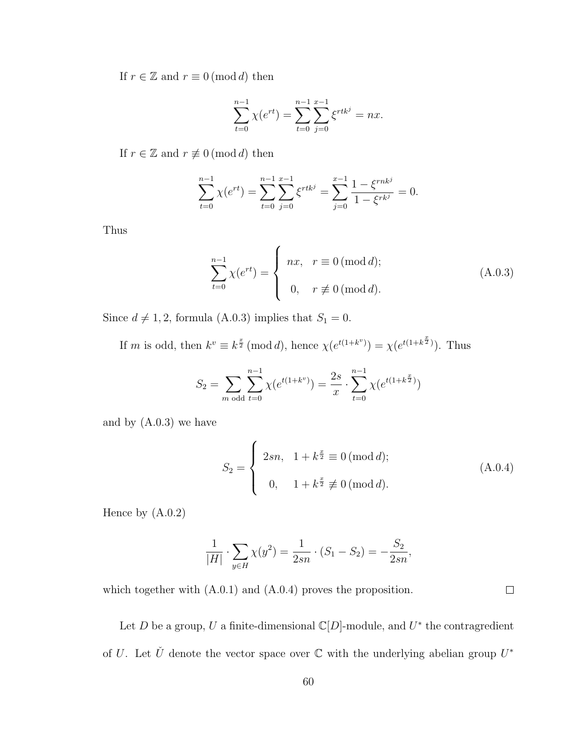If  $r \in \mathbb{Z}$  and  $r \equiv 0 \pmod{d}$  then

$$
\sum_{t=0}^{n-1} \chi(e^{rt}) = \sum_{t=0}^{n-1} \sum_{j=0}^{x-1} \xi^{rtk^j} = nx.
$$

If  $r \in \mathbb{Z}$  and  $r \not\equiv 0 \pmod{d}$  then

$$
\sum_{t=0}^{n-1} \chi(e^{rt}) = \sum_{t=0}^{n-1} \sum_{j=0}^{x-1} \xi^{rtk^j} = \sum_{j=0}^{x-1} \frac{1 - \xi^{rnk^j}}{1 - \xi^{rk^j}} = 0.
$$

Thus

$$
\sum_{t=0}^{n-1} \chi(e^{rt}) = \begin{cases} nx, & r \equiv 0 \, (\text{mod } d); \\ 0, & r \not\equiv 0 \, (\text{mod } d). \end{cases}
$$
 (A.0.3)

Since  $d \neq 1, 2$ , formula (A.0.3) implies that  $S_1 = 0$ .

If m is odd, then  $k^v \equiv k^{\frac{x}{2}} \pmod{d}$ , hence  $\chi(e^{t(1+k^v)}) = \chi(e^{t(1+k^{\frac{x}{2}})})$ . Thus

$$
S_2 = \sum_{m \text{ odd}} \sum_{t=0}^{n-1} \chi(e^{t(1+k^v)}) = \frac{2s}{x} \cdot \sum_{t=0}^{n-1} \chi(e^{t(1+k^{\frac{x}{2}})})
$$

and by (A.0.3) we have

$$
S_2 = \begin{cases} 2sn, & 1 + k^{\frac{x}{2}} \equiv 0 \pmod{d}; \\ 0, & 1 + k^{\frac{x}{2}} \not\equiv 0 \pmod{d}. \end{cases}
$$
 (A.0.4)

 $\hfill \square$ 

Hence by (A.0.2)

$$
\frac{1}{|H|} \cdot \sum_{y \in H} \chi(y^2) = \frac{1}{2sn} \cdot (S_1 - S_2) = -\frac{S_2}{2sn},
$$

which together with  $(A.0.1)$  and  $(A.0.4)$  proves the proposition.

Let D be a group, U a finite-dimensional  $\mathbb{C}[D]$ -module, and  $U^*$  the contragredient of U. Let  $\check{U}$  denote the vector space over  $\mathbb C$  with the underlying abelian group  $U^*$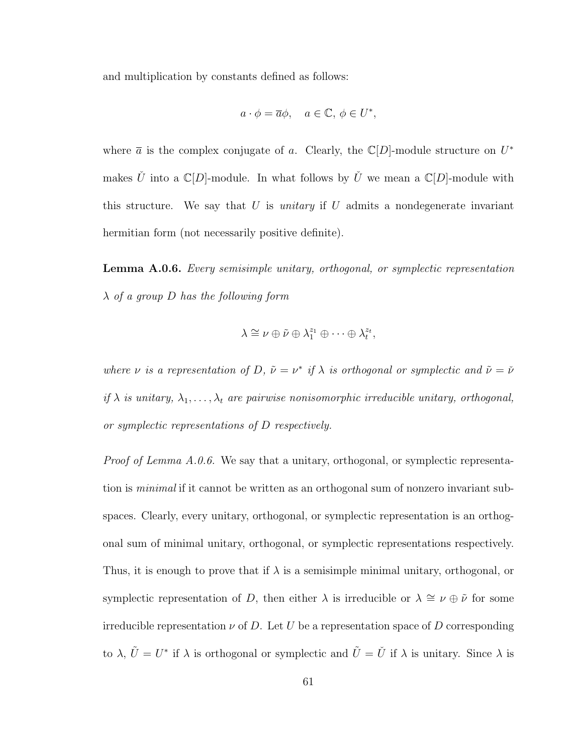and multiplication by constants defined as follows:

$$
a \cdot \phi = \overline{a}\phi, \quad a \in \mathbb{C}, \, \phi \in U^*,
$$

where  $\bar{a}$  is the complex conjugate of a. Clearly, the C[D]-module structure on  $U^*$ makes  $\check{U}$  into a  $\mathbb{C}[D]$ -module. In what follows by  $\check{U}$  we mean a  $\mathbb{C}[D]$ -module with this structure. We say that U is *unitary* if U admits a nondegenerate invariant hermitian form (not necessarily positive definite).

Lemma A.0.6. Every semisimple unitary, orthogonal, or symplectic representation  $\lambda$  of a group D has the following form

$$
\lambda \cong \nu \oplus \tilde{\nu} \oplus \lambda_1^{z_1} \oplus \cdots \oplus \lambda_t^{z_t},
$$

where  $\nu$  is a representation of D,  $\tilde{\nu} = \nu^*$  if  $\lambda$  is orthogonal or symplectic and  $\tilde{\nu} = \nu^*$ if  $\lambda$  is unitary,  $\lambda_1, \ldots, \lambda_t$  are pairwise nonisomorphic irreducible unitary, orthogonal, or symplectic representations of D respectively.

Proof of Lemma A.0.6. We say that a unitary, orthogonal, or symplectic representation is *minimal* if it cannot be written as an orthogonal sum of nonzero invariant subspaces. Clearly, every unitary, orthogonal, or symplectic representation is an orthogonal sum of minimal unitary, orthogonal, or symplectic representations respectively. Thus, it is enough to prove that if  $\lambda$  is a semisimple minimal unitary, orthogonal, or symplectic representation of D, then either  $\lambda$  is irreducible or  $\lambda \cong \nu \oplus \tilde{\nu}$  for some irreducible representation  $\nu$  of D. Let U be a representation space of D corresponding to  $\lambda, \tilde{U} = U^*$  if  $\lambda$  is orthogonal or symplectic and  $\tilde{U} = \check{U}$  if  $\lambda$  is unitary. Since  $\lambda$  is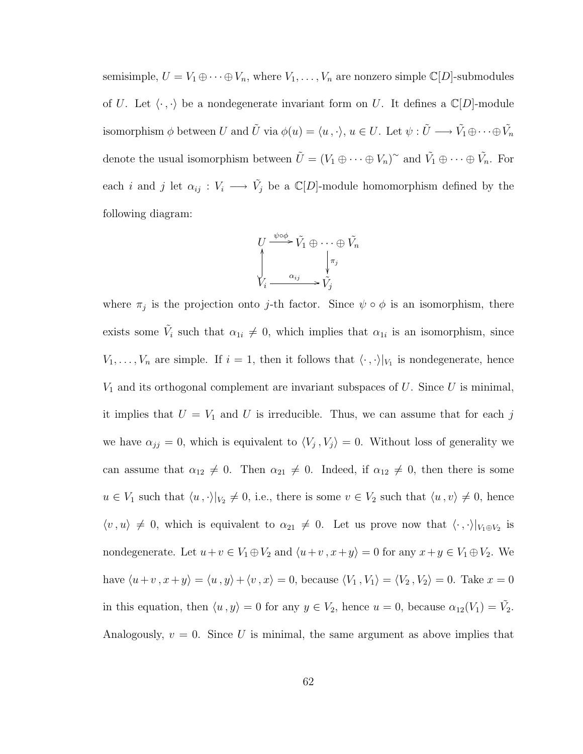semisimple,  $U = V_1 \oplus \cdots \oplus V_n$ , where  $V_1, \ldots, V_n$  are nonzero simple  $\mathbb{C}[D]$ -submodules of U. Let  $\langle \cdot , \cdot \rangle$  be a nondegenerate invariant form on U. It defines a  $\mathbb{C}[D]$ -module isomorphism  $\phi$  between U and  $\tilde{U}$  via  $\phi(u) = \langle u, \cdot \rangle, u \in U$ . Let  $\psi : \tilde{U} \longrightarrow \tilde{V}_1 \oplus \cdots \oplus \tilde{V}_n$ denote the usual isomorphism between  $\tilde{U} = (V_1 \oplus \cdots \oplus V_n)^{\sim}$  and  $\tilde{V_1} \oplus \cdots \oplus \tilde{V_n}$ . For each *i* and *j* let  $\alpha_{ij} : V_i \longrightarrow \tilde{V}_j$  be a  $\mathbb{C}[D]$ -module homomorphism defined by the following diagram:

$$
U \xrightarrow{\psi \circ \phi} \tilde{V}_1 \oplus \cdots \oplus \tilde{V}_n
$$
  

$$
\downarrow_{\tilde{V}_i} \xrightarrow{\alpha_{ij}} \tilde{V}_j
$$

where  $\pi_j$  is the projection onto j-th factor. Since  $\psi \circ \phi$  is an isomorphism, there exists some  $\tilde{V}_i$  such that  $\alpha_{1i} \neq 0$ , which implies that  $\alpha_{1i}$  is an isomorphism, since  $V_1, \ldots, V_n$  are simple. If  $i = 1$ , then it follows that  $\langle \cdot, \cdot \rangle|_{V_1}$  is nondegenerate, hence  $V_1$  and its orthogonal complement are invariant subspaces of U. Since U is minimal, it implies that  $U = V_1$  and U is irreducible. Thus, we can assume that for each j we have  $\alpha_{jj} = 0$ , which is equivalent to  $\langle V_j, V_j \rangle = 0$ . Without loss of generality we can assume that  $\alpha_{12} \neq 0$ . Then  $\alpha_{21} \neq 0$ . Indeed, if  $\alpha_{12} \neq 0$ , then there is some  $u \in V_1$  such that  $\langle u, \cdot \rangle|_{V_2} \neq 0$ , i.e., there is some  $v \in V_2$  such that  $\langle u, v \rangle \neq 0$ , hence  $\langle v, u \rangle \neq 0$ , which is equivalent to  $\alpha_{21} \neq 0$ . Let us prove now that  $\langle \cdot, \cdot \rangle|_{V_1 \oplus V_2}$  is nondegenerate. Let  $u+v \in V_1 \oplus V_2$  and  $\langle u+v, x+y \rangle = 0$  for any  $x+y \in V_1 \oplus V_2$ . We have  $\langle u+v, x+y\rangle = \langle u, y\rangle + \langle v, x\rangle = 0$ , because  $\langle V_1, V_1\rangle = \langle V_2, V_2\rangle = 0$ . Take  $x = 0$ in this equation, then  $\langle u , y \rangle = 0$  for any  $y \in V_2$ , hence  $u = 0$ , because  $\alpha_{12}(V_1) = \tilde{V}_2$ . Analogously,  $v = 0$ . Since U is minimal, the same argument as above implies that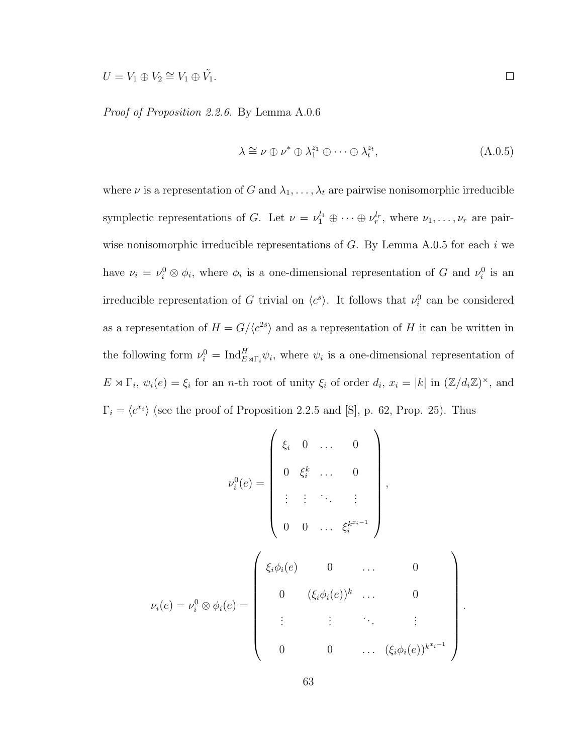$U = V_1 \oplus V_2 \cong V_1 \oplus \tilde{V_1}.$ 

Proof of Proposition 2.2.6. By Lemma A.0.6

$$
\lambda \cong \nu \oplus \nu^* \oplus \lambda_1^{z_1} \oplus \cdots \oplus \lambda_t^{z_t},\tag{A.0.5}
$$

where  $\nu$  is a representation of G and  $\lambda_1, \ldots, \lambda_t$  are pairwise nonisomorphic irreducible symplectic representations of G. Let  $\nu = \nu_1^{l_1} \oplus \cdots \oplus \nu_r^{l_r}$ , where  $\nu_1, \ldots, \nu_r$  are pairwise nonisomorphic irreducible representations of  $G$ . By Lemma A.0.5 for each i we have  $\nu_i = \nu_i^0 \otimes \phi_i$ , where  $\phi_i$  is a one-dimensional representation of G and  $\nu_i^0$  is an irreducible representation of G trivial on  $\langle c^s \rangle$ . It follows that  $\nu_i^0$  can be considered as a representation of  $H = G/\langle c^{2s} \rangle$  and as a representation of H it can be written in the following form  $\nu_i^0 = \text{Ind}_{E \rtimes \Gamma_i}^H \psi_i$ , where  $\psi_i$  is a one-dimensional representation of  $E \rtimes \Gamma_i$ ,  $\psi_i(e) = \xi_i$  for an *n*-th root of unity  $\xi_i$  of order  $d_i$ ,  $x_i = |k|$  in  $(\mathbb{Z}/d_i\mathbb{Z})^{\times}$ , and  $\Gamma_i = \langle c^{x_i} \rangle$  (see the proof of Proposition 2.2.5 and [S], p. 62, Prop. 25). Thus

$$
\nu_i^0(e) = \begin{pmatrix} \xi_i & 0 & \dots & 0 \\ 0 & \xi_i^k & \dots & 0 \\ \vdots & \vdots & \ddots & \vdots \\ 0 & 0 & \dots & \xi_i^{k^{x_i-1}} \end{pmatrix},
$$
  

$$
\nu_i(e) = \nu_i^0 \otimes \phi_i(e) = \begin{pmatrix} \xi_i \phi_i(e) & 0 & \dots & 0 \\ 0 & (\xi_i \phi_i(e))^k & \dots & 0 \\ \vdots & \vdots & \ddots & \vdots \\ 0 & 0 & \dots & (\xi_i \phi_i(e))^{k^{x_i-1}} \end{pmatrix}.
$$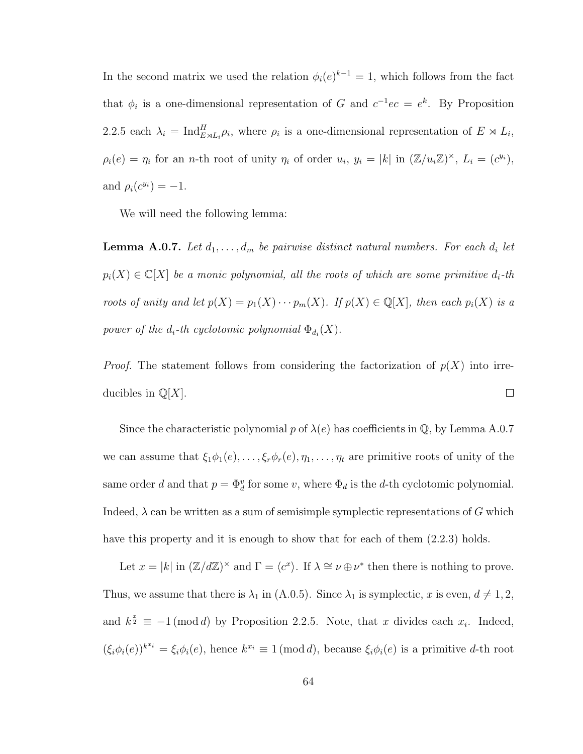In the second matrix we used the relation  $\phi_i(e)^{k-1} = 1$ , which follows from the fact that  $\phi_i$  is a one-dimensional representation of G and  $c^{-1}ec = e^k$ . By Proposition 2.2.5 each  $\lambda_i = \text{Ind}_{E \rtimes L_i}^H \rho_i$ , where  $\rho_i$  is a one-dimensional representation of  $E \rtimes L_i$ ,  $\rho_i(e) = \eta_i$  for an *n*-th root of unity  $\eta_i$  of order  $u_i, y_i = |k|$  in  $(\mathbb{Z}/u_i\mathbb{Z})^{\times}$ ,  $L_i = (c^{y_i})$ , and  $\rho_i(c^{y_i}) = -1$ .

We will need the following lemma:

**Lemma A.0.7.** Let  $d_1, \ldots, d_m$  be pairwise distinct natural numbers. For each  $d_i$  let  $p_i(X) \in \mathbb{C}[X]$  be a monic polynomial, all the roots of which are some primitive  $d_i$ -th roots of unity and let  $p(X) = p_1(X) \cdots p_m(X)$ . If  $p(X) \in \mathbb{Q}[X]$ , then each  $p_i(X)$  is a power of the  $d_i$ -th cyclotomic polynomial  $\Phi_{d_i}(X)$ .

*Proof.* The statement follows from considering the factorization of  $p(X)$  into irreducibles in  $\mathbb{Q}[X]$ .  $\Box$ 

Since the characteristic polynomial p of  $\lambda(e)$  has coefficients in Q, by Lemma A.0.7 we can assume that  $\xi_1\phi_1(e), \ldots, \xi_r\phi_r(e), \eta_1, \ldots, \eta_t$  are primitive roots of unity of the same order d and that  $p = \Phi_d^v$  for some v, where  $\Phi_d$  is the d-th cyclotomic polynomial. Indeed,  $\lambda$  can be written as a sum of semisimple symplectic representations of G which have this property and it is enough to show that for each of them  $(2.2.3)$  holds.

Let  $x = |k|$  in  $(\mathbb{Z}/d\mathbb{Z})^{\times}$  and  $\Gamma = \langle c^x \rangle$ . If  $\lambda \cong \nu \oplus \nu^*$  then there is nothing to prove. Thus, we assume that there is  $\lambda_1$  in (A.0.5). Since  $\lambda_1$  is symplectic, x is even,  $d \neq 1, 2$ , and  $k^{\frac{x}{2}} \equiv -1 \pmod{d}$  by Proposition 2.2.5. Note, that x divides each  $x_i$ . Indeed,  $(\xi_i \phi_i(e))^{k^{x_i}} = \xi_i \phi_i(e)$ , hence  $k^{x_i} \equiv 1 \pmod{d}$ , because  $\xi_i \phi_i(e)$  is a primitive d-th root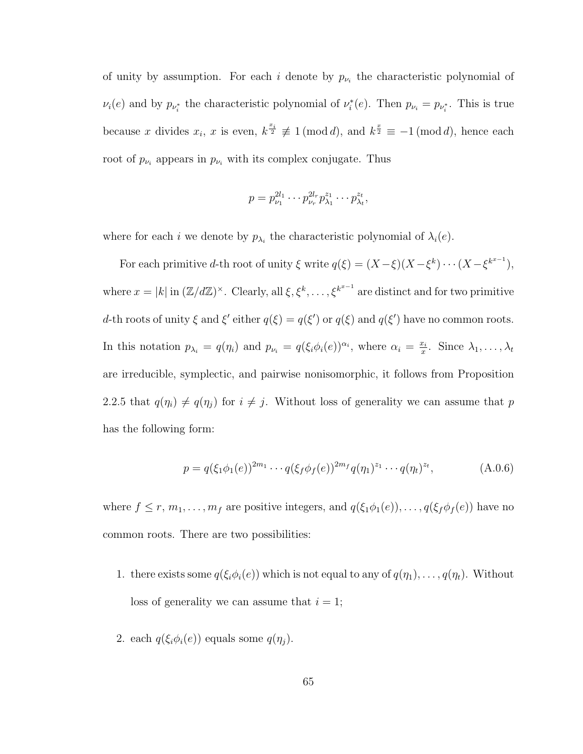of unity by assumption. For each i denote by  $p_{\nu_i}$  the characteristic polynomial of  $\nu_i(e)$  and by  $p_{\nu_i^*}$  the characteristic polynomial of  $\nu_i^*(e)$ . Then  $p_{\nu_i} = p_{\nu_i^*}$ . This is true because x divides  $x_i$ , x is even,  $k^{\frac{x_i}{2}} \not\equiv 1 \pmod{d}$ , and  $k^{\frac{x}{2}} \equiv -1 \pmod{d}$ , hence each root of  $p_{\nu_i}$  appears in  $p_{\nu_i}$  with its complex conjugate. Thus

$$
p = p_{\nu_1}^{2l_1} \cdots p_{\nu_r}^{2l_r} p_{\lambda_1}^{z_1} \cdots p_{\lambda_t}^{z_t},
$$

where for each *i* we denote by  $p_{\lambda_i}$  the characteristic polynomial of  $\lambda_i(e)$ .

For each primitive d-th root of unity  $\xi$  write  $q(\xi) = (X - \xi)(X - \xi^k) \cdots (X - \xi^{k^{x-1}})$ , where  $x = |k|$  in  $(\mathbb{Z}/d\mathbb{Z})^{\times}$ . Clearly, all  $\xi, \xi^k, \ldots, \xi^{k^{x-1}}$  are distinct and for two primitive d-th roots of unity  $\xi$  and  $\xi'$  either  $q(\xi) = q(\xi')$  or  $q(\xi)$  and  $q(\xi')$  have no common roots. In this notation  $p_{\lambda_i} = q(\eta_i)$  and  $p_{\nu_i} = q(\xi_i \phi_i(e))^{\alpha_i}$ , where  $\alpha_i = \frac{x_i}{x_i}$  $\frac{x_i}{x}$ . Since  $\lambda_1, \ldots, \lambda_t$ are irreducible, symplectic, and pairwise nonisomorphic, it follows from Proposition 2.2.5 that  $q(\eta_i) \neq q(\eta_j)$  for  $i \neq j$ . Without loss of generality we can assume that p has the following form:

$$
p = q(\xi_1 \phi_1(e))^{2m_1} \cdots q(\xi_f \phi_f(e))^{2m_f} q(\eta_1)^{z_1} \cdots q(\eta_t)^{z_t},
$$
 (A.0.6)

where  $f \le r, m_1, \ldots, m_f$  are positive integers, and  $q(\xi_1\phi_1(e)), \ldots, q(\xi_f\phi_f(e))$  have no common roots. There are two possibilities:

- 1. there exists some  $q(\xi_i\phi_i(e))$  which is not equal to any of  $q(\eta_1), \ldots, q(\eta_t)$ . Without loss of generality we can assume that  $i = 1$ ;
- 2. each  $q(\xi_i\phi_i(e))$  equals some  $q(\eta_j)$ .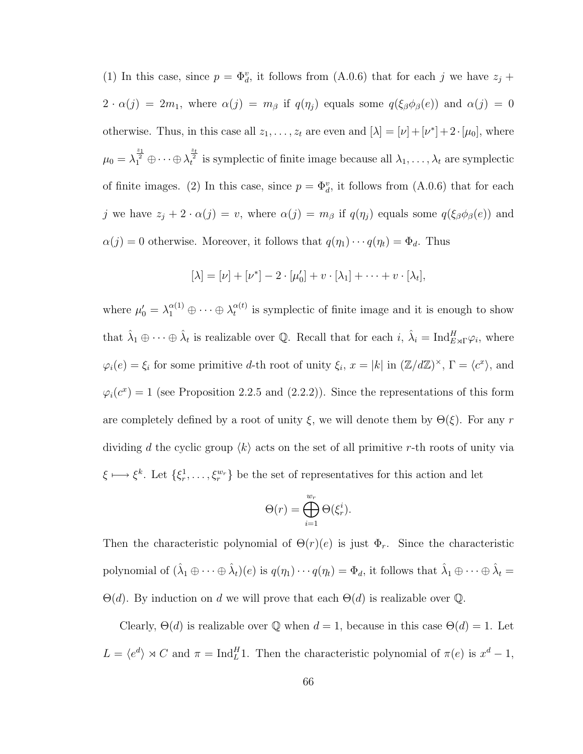(1) In this case, since  $p = \Phi_d^v$ , it follows from (A.0.6) that for each j we have  $z_j$  +  $2 \cdot \alpha(j) = 2m_1$ , where  $\alpha(j) = m_\beta$  if  $q(\eta_j)$  equals some  $q(\xi_\beta \phi_\beta(e))$  and  $\alpha(j) = 0$ otherwise. Thus, in this case all  $z_1, \ldots, z_t$  are even and  $[\lambda] = [\nu] + [\nu^*] + 2 \cdot [\mu_0]$ , where  $\mu_0 = \lambda_1^{\frac{z_1}{2}} \oplus \cdots \oplus \lambda_t^{\frac{z_t}{2}}$  is symplectic of finite image because all  $\lambda_1, \ldots, \lambda_t$  are symplectic of finite images. (2) In this case, since  $p = \Phi_d^v$ , it follows from (A.0.6) that for each j we have  $z_j + 2 \cdot \alpha(j) = v$ , where  $\alpha(j) = m_\beta$  if  $q(\eta_j)$  equals some  $q(\xi_\beta \phi_\beta(e))$  and  $\alpha(j) = 0$  otherwise. Moreover, it follows that  $q(\eta_1) \cdots q(\eta_t) = \Phi_d$ . Thus

$$
[\lambda] = [\nu] + [\nu^*] - 2 \cdot [\mu'_0] + v \cdot [\lambda_1] + \cdots + v \cdot [\lambda_t],
$$

where  $\mu_0' = \lambda_1^{\alpha(1)} \oplus \cdots \oplus \lambda_t^{\alpha(t)}$  $t_t^{\alpha(t)}$  is symplectic of finite image and it is enough to show that  $\hat{\lambda}_1 \oplus \cdots \oplus \hat{\lambda}_t$  is realizable over Q. Recall that for each  $i$ ,  $\hat{\lambda}_i = \text{Ind}_{E \rtimes \Gamma}^H \varphi_i$ , where  $\varphi_i(e) = \xi_i$  for some primitive d-th root of unity  $\xi_i$ ,  $x = |k|$  in  $(\mathbb{Z}/d\mathbb{Z})^{\times}$ ,  $\Gamma = \langle c^x \rangle$ , and  $\varphi_i(c^x) = 1$  (see Proposition 2.2.5 and (2.2.2)). Since the representations of this form are completely defined by a root of unity  $\xi$ , we will denote them by  $\Theta(\xi)$ . For any r dividing d the cyclic group  $\langle k \rangle$  acts on the set of all primitive r-th roots of unity via  $\xi \longmapsto \xi^k$ . Let  $\{\xi_r^1, \dots, \xi_r^{w_r}\}\$ be the set of representatives for this action and let

$$
\Theta(r) = \bigoplus_{i=1}^{w_r} \Theta(\xi_r^i).
$$

Then the characteristic polynomial of  $\Theta(r)(e)$  is just  $\Phi_r$ . Since the characteristic polynomial of  $(\hat{\lambda}_1 \oplus \cdots \oplus \hat{\lambda}_t)(e)$  is  $q(\eta_1) \cdots q(\eta_t) = \Phi_d$ , it follows that  $\hat{\lambda}_1 \oplus \cdots \oplus \hat{\lambda}_t =$  $\Theta(d)$ . By induction on d we will prove that each  $\Theta(d)$  is realizable over Q.

Clearly,  $\Theta(d)$  is realizable over Q when  $d = 1$ , because in this case  $\Theta(d) = 1$ . Let  $L = \langle e^d \rangle \rtimes C$  and  $\pi = \text{Ind}_L^H$ 1. Then the characteristic polynomial of  $\pi(e)$  is  $x^d - 1$ ,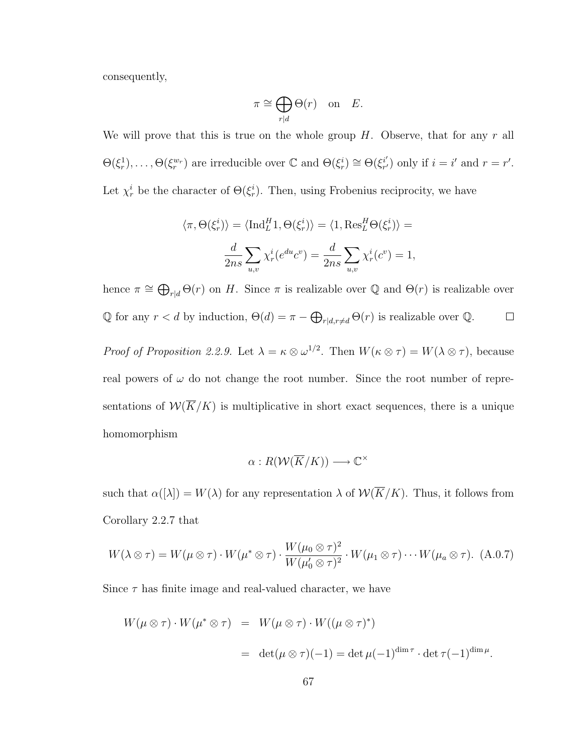consequently,

$$
\pi \cong \bigoplus_{r|d} \Theta(r) \quad \text{on} \quad E.
$$

We will prove that this is true on the whole group  $H$ . Observe, that for any  $r$  all  $\Theta(\xi_r^1), \ldots, \Theta(\xi_r^{w_r})$  are irreducible over  $\mathbb C$  and  $\Theta(\xi_r^i) \cong \Theta(\xi_{r'}^{i'})$  $i'_{r'}$  only if  $i = i'$  and  $r = r'$ . Let  $\chi_r^i$  be the character of  $\Theta(\xi_r^i)$ . Then, using Frobenius reciprocity, we have

$$
\langle \pi, \Theta(\xi_r^i) \rangle = \langle \text{Ind}_L^H 1, \Theta(\xi_r^i) \rangle = \langle 1, \text{Res}_L^H \Theta(\xi_r^i) \rangle =
$$

$$
\frac{d}{2ns} \sum_{u,v} \chi_r^i(e^{du} c^v) = \frac{d}{2ns} \sum_{u,v} \chi_r^i(c^v) = 1,
$$

hence  $\pi \cong \bigoplus_{r|d} \Theta(r)$  on H. Since  $\pi$  is realizable over Q and  $\Theta(r)$  is realizable over  $\mathbb Q$  for any  $r < d$  by induction,  $\Theta(d) = \pi - \bigoplus_{r \mid d, r \neq d} \Theta(r)$  is realizable over  $\mathbb Q$ .  $\Box$ 

Proof of Proposition 2.2.9. Let  $\lambda = \kappa \otimes \omega^{1/2}$ . Then  $W(\kappa \otimes \tau) = W(\lambda \otimes \tau)$ , because real powers of  $\omega$  do not change the root number. Since the root number of representations of  $\mathcal{W}(\overline{K}/K)$  is multiplicative in short exact sequences, there is a unique homomorphism

$$
\alpha: R(\mathcal{W}(\overline{K}/K)) \longrightarrow \mathbb{C}^{\times}
$$

such that  $\alpha([\lambda]) = W(\lambda)$  for any representation  $\lambda$  of  $W(\overline{K}/K)$ . Thus, it follows from Corollary 2.2.7 that

$$
W(\lambda \otimes \tau) = W(\mu \otimes \tau) \cdot W(\mu^* \otimes \tau) \cdot \frac{W(\mu_0 \otimes \tau)^2}{W(\mu_0' \otimes \tau)^2} \cdot W(\mu_1 \otimes \tau) \cdots W(\mu_a \otimes \tau). \tag{A.0.7}
$$

Since  $\tau$  has finite image and real-valued character, we have

$$
W(\mu \otimes \tau) \cdot W(\mu^* \otimes \tau) = W(\mu \otimes \tau) \cdot W((\mu \otimes \tau)^*)
$$
  
= 
$$
\det(\mu \otimes \tau)(-1) = \det \mu(-1)^{\dim \tau} \cdot \det \tau(-1)^{\dim \mu}.
$$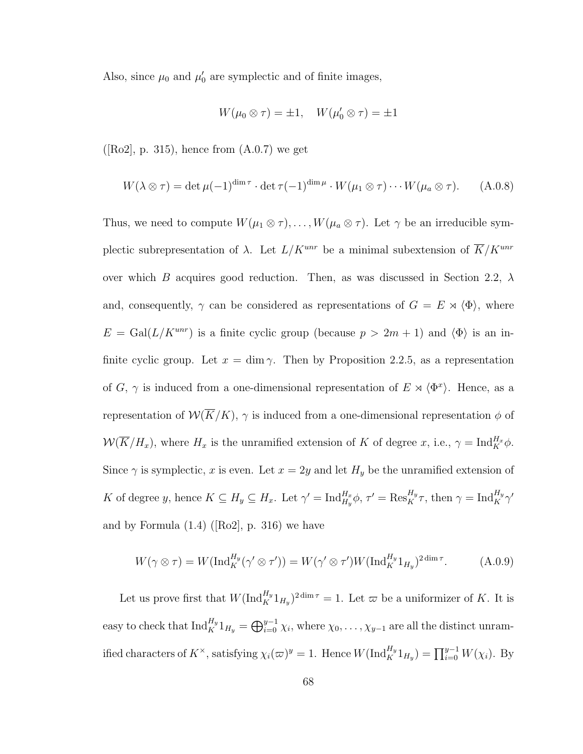Also, since  $\mu_0$  and  $\mu'_0$  are symplectic and of finite images,

$$
W(\mu_0 \otimes \tau) = \pm 1, \quad W(\mu'_0 \otimes \tau) = \pm 1
$$

 $([Ro2], p. 315)$ , hence from  $(A.0.7)$  we get

$$
W(\lambda \otimes \tau) = \det \mu(-1)^{\dim \tau} \cdot \det \tau(-1)^{\dim \mu} \cdot W(\mu_1 \otimes \tau) \cdots W(\mu_a \otimes \tau).
$$
 (A.0.8)

Thus, we need to compute  $W(\mu_1 \otimes \tau), \ldots, W(\mu_a \otimes \tau)$ . Let  $\gamma$  be an irreducible symplectic subrepresentation of  $\lambda$ . Let  $L/K^{unr}$  be a minimal subextension of  $\overline{K}/K^{unr}$ over which B acquires good reduction. Then, as was discussed in Section 2.2,  $\lambda$ and, consequently,  $\gamma$  can be considered as representations of  $G = E \rtimes \langle \Phi \rangle$ , where  $E = \text{Gal}(L/K^{unr})$  is a finite cyclic group (because  $p > 2m + 1$ ) and  $\langle \Phi \rangle$  is an infinite cyclic group. Let  $x = \dim \gamma$ . Then by Proposition 2.2.5, as a representation of G,  $\gamma$  is induced from a one-dimensional representation of  $E \rtimes \langle \Phi^x \rangle$ . Hence, as a representation of  $W(\overline{K}/K)$ ,  $\gamma$  is induced from a one-dimensional representation  $\phi$  of  $W(\overline{K}/H_x)$ , where  $H_x$  is the unramified extension of K of degree x, i.e.,  $\gamma = \text{Ind}_{K}^{H_x}\phi$ . Since  $\gamma$  is symplectic, x is even. Let  $x = 2y$  and let  $H_y$  be the unramified extension of K of degree y, hence  $K \subseteq H_y \subseteq H_x$ . Let  $\gamma' = \text{Ind}_{H_y}^{H_x} \phi$ ,  $\tau' = \text{Res}_{K}^{H_y} \tau$ , then  $\gamma = \text{Ind}_{K}^{H_y} \gamma'$ and by Formula  $(1.4)$  ([Ro2], p. 316) we have

$$
W(\gamma \otimes \tau) = W(\mathrm{Ind}_{K}^{H_y}(\gamma' \otimes \tau')) = W(\gamma' \otimes \tau')W(\mathrm{Ind}_{K}^{H_y}1_{H_y})^{2\dim \tau}.
$$
 (A.0.9)

Let us prove first that  $W(\text{Ind}_{K}^{H_y}1_{H_y})^{2\dim \tau} = 1$ . Let  $\varpi$  be a uniformizer of K. It is easy to check that  $\text{Ind}_{K}^{H_y}1_{H_y} = \bigoplus_{i=0}^{y-1} \chi_i$ , where  $\chi_0, \ldots, \chi_{y-1}$  are all the distinct unramified characters of  $K^{\times}$ , satisfying  $\chi_i(\varpi)^y = 1$ . Hence  $W(\text{Ind}_{K}^{H_y}1_{H_y}) = \prod_{i=0}^{y-1} W(\chi_i)$ . By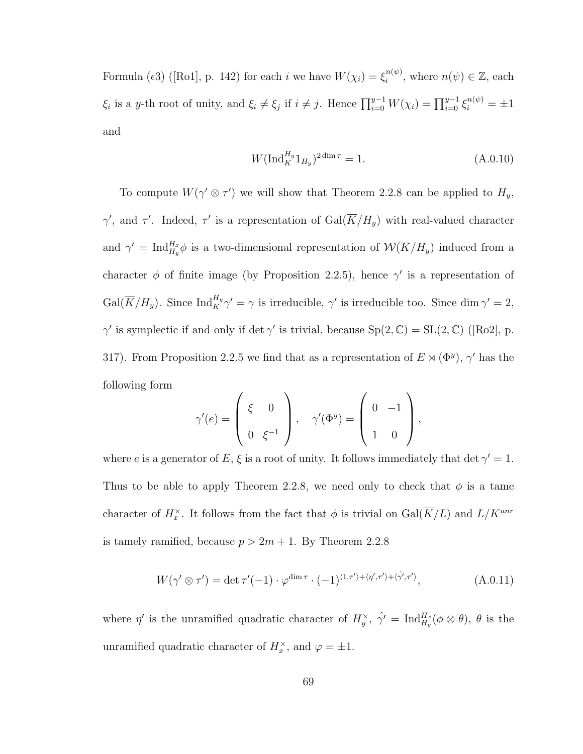Formula ( $\epsilon 3$ ) ([Ro1], p. 142) for each *i* we have  $W(\chi_i) = \xi_i^{n(\psi)}$  $i^{n(\psi)}$ , where  $n(\psi) \in \mathbb{Z}$ , each  $\xi_i$  is a y-th root of unity, and  $\xi_i \neq \xi_j$  if  $i \neq j$ . Hence  $\prod_{i=0}^{y-1} W(\chi_i) = \prod_{i=0}^{y-1} \xi_i^{n(\psi)} = \pm 1$ and

$$
W(\mathrm{Ind}_{K}^{H_{y}} 1_{H_{y}})^{2\dim \tau} = 1.
$$
\n(A.0.10)

To compute  $W(\gamma' \otimes \tau')$  we will show that Theorem 2.2.8 can be applied to  $H_y$ ,  $\gamma'$ , and  $\tau'$ . Indeed,  $\tau'$  is a representation of  $Gal(\overline{K}/H_y)$  with real-valued character and  $\gamma' = \text{Ind}_{H_y}^{H_x} \phi$  is a two-dimensional representation of  $\mathcal{W}(\overline{K}/H_y)$  induced from a character  $\phi$  of finite image (by Proposition 2.2.5), hence  $\gamma'$  is a representation of  $Gal(\overline{K}/H_y)$ . Since  $Ind_K^{H_y} \gamma' = \gamma$  is irreducible,  $\gamma'$  is irreducible too. Since  $\dim \gamma' = 2$ ,  $\gamma'$  is symplectic if and only if det  $\gamma'$  is trivial, because  $Sp(2,\mathbb{C}) = SL(2,\mathbb{C})$  ([Ro2], p. 317). From Proposition 2.2.5 we find that as a representation of  $E \rtimes (\Phi^y)$ ,  $\gamma'$  has the following form

$$
\gamma'(e) = \begin{pmatrix} \xi & 0 \\ 0 & \xi^{-1} \end{pmatrix}, \quad \gamma'(\Phi^y) = \begin{pmatrix} 0 & -1 \\ 1 & 0 \end{pmatrix},
$$

where e is a generator of E,  $\xi$  is a root of unity. It follows immediately that det  $\gamma' = 1$ . Thus to be able to apply Theorem 2.2.8, we need only to check that  $\phi$  is a tame character of  $H_x^{\times}$ . It follows from the fact that  $\phi$  is trivial on  $Gal(\overline{K}/L)$  and  $L/K^{unr}$ is tamely ramified, because  $p > 2m + 1$ . By Theorem 2.2.8

$$
W(\gamma' \otimes \tau') = \det \tau'(-1) \cdot \varphi^{\dim \tau} \cdot (-1)^{\langle 1, \tau' \rangle + \langle \eta', \tau' \rangle + \langle \hat{\gamma}', \tau' \rangle}, \tag{A.0.11}
$$

where  $\eta'$  is the unramified quadratic character of  $H_y^{\times}$ ,  $\hat{\gamma'} = \text{Ind}_{H_y}^{H_x}(\phi \otimes \theta)$ ,  $\theta$  is the unramified quadratic character of  $H_x^{\times}$ , and  $\varphi = \pm 1$ .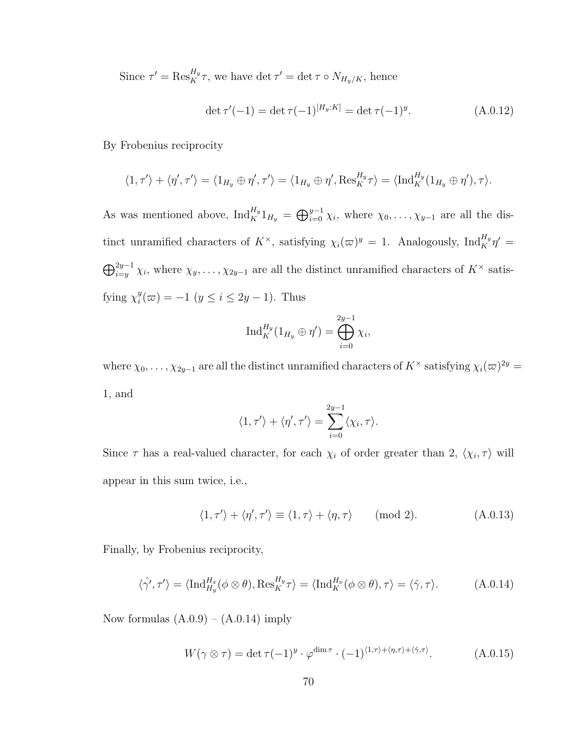Since  $\tau' = \text{Res}_{K}^{H_y} \tau$ , we have det  $\tau' = \det \tau \circ N_{H_y/K}$ , hence

$$
\det \tau'(-1) = \det \tau(-1)^{[H_y:K]} = \det \tau(-1)^y.
$$
\n(A.0.12)

By Frobenius reciprocity

$$
\langle 1, \tau' \rangle + \langle \eta', \tau' \rangle = \langle 1_{H_y} \oplus \eta', \tau' \rangle = \langle 1_{H_y} \oplus \eta', \text{Res}_K^{H_y} \tau \rangle = \langle \text{Ind}_K^{H_y} (1_{H_y} \oplus \eta'), \tau \rangle.
$$

As was mentioned above,  $\text{Ind}_{K}^{H_y}1_{H_y} = \bigoplus_{i=0}^{y-1} \chi_{i}$ , where  $\chi_0, \ldots, \chi_{y-1}$  are all the distinct unramified characters of  $K^{\times}$ , satisfying  $\chi_i(\varpi)^y = 1$ . Analogously,  $\text{Ind}_K^{H_y} \eta' =$  $\bigoplus_{i=y}^{2y-1} \chi_i$ , where  $\chi_y, \ldots, \chi_{2y-1}$  are all the distinct unramified characters of  $K^\times$  satisfying  $\chi_i^y$  $j_i^y(\omega) = -1 \ (y \le i \le 2y - 1).$  Thus

$$
\operatorname{Ind}_{K}^{H_y}(1_{H_y} \oplus \eta') = \bigoplus_{i=0}^{2y-1} \chi_i,
$$

where  $\chi_0, \ldots, \chi_{2y-1}$  are all the distinct unramified characters of  $K^\times$  satisfying  $\chi_i(\varpi)^{2y} =$ 1, and

$$
\langle 1, \tau' \rangle + \langle \eta', \tau' \rangle = \sum_{i=0}^{2y-1} \langle \chi_i, \tau \rangle.
$$

Since  $\tau$  has a real-valued character, for each  $\chi_i$  of order greater than 2,  $\langle \chi_i, \tau \rangle$  will appear in this sum twice, i.e.,

$$
\langle 1, \tau' \rangle + \langle \eta', \tau' \rangle \equiv \langle 1, \tau \rangle + \langle \eta, \tau \rangle \quad (\text{mod } 2). \tag{A.0.13}
$$

Finally, by Frobenius reciprocity,

$$
\langle \hat{\gamma'}, \tau' \rangle = \langle \mathrm{Ind}_{H_y}^{H_x}(\phi \otimes \theta), \mathrm{Res}_{K}^{H_y} \tau \rangle = \langle \mathrm{Ind}_{K}^{H_x}(\phi \otimes \theta), \tau \rangle = \langle \hat{\gamma}, \tau \rangle. \tag{A.0.14}
$$

Now formulas  $(A.0.9) - (A.0.14)$  imply

$$
W(\gamma \otimes \tau) = \det \tau (-1)^y \cdot \varphi^{\dim \tau} \cdot (-1)^{\langle 1, \tau \rangle + \langle \eta, \tau \rangle + \langle \hat{\gamma}, \tau \rangle}.
$$
 (A.0.15)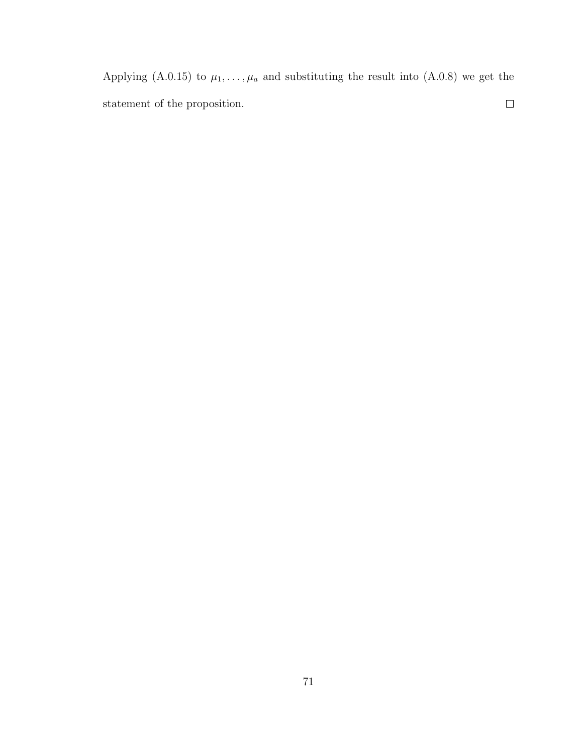Applying (A.0.15) to  $\mu_1, \ldots, \mu_a$  and substituting the result into (A.0.8) we get the  $\Box$ statement of the proposition.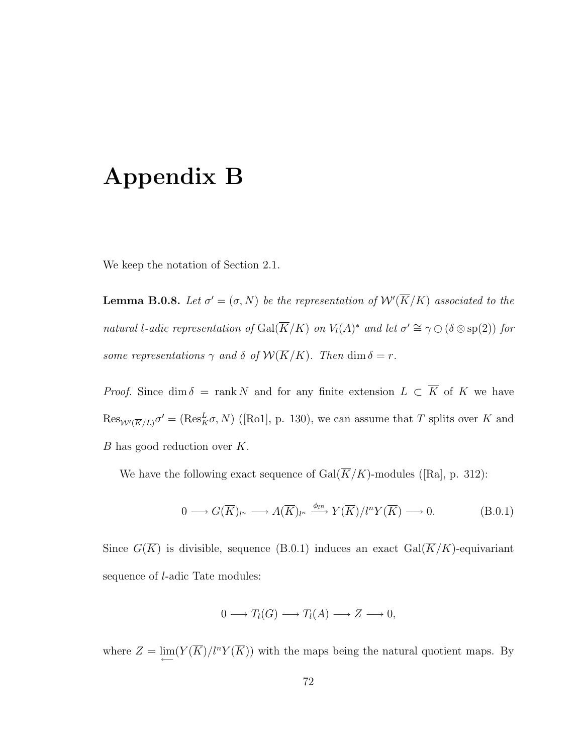## Appendix B

We keep the notation of Section 2.1.

**Lemma B.0.8.** Let  $\sigma' = (\sigma, N)$  be the representation of  $\mathcal{W}'(\overline{K}/K)$  associated to the natural l-adic representation of  $Gal(\overline{K}/K)$  on  $V_l(A)^*$  and let  $\sigma' \cong \gamma \oplus (\delta \otimes sp(2))$  for some representations  $\gamma$  and  $\delta$  of  $\mathcal{W}(\overline{K}/K)$ . Then  $\dim \delta = r$ .

*Proof.* Since dim  $\delta$  = rank N and for any finite extension  $L \subset \overline{K}$  of K we have  $\text{Res}_{W'(\overline{K}/L)}\sigma' = (\text{Res}_{K}^{L}\sigma, N)$  ([Ro1], p. 130), we can assume that T splits over K and  $B$  has good reduction over  $K$ .

We have the following exact sequence of  $\operatorname{Gal}(\overline{K}/K)$ -modules ([Ra], p. 312):

$$
0 \longrightarrow G(\overline{K})_{l^{n}} \longrightarrow A(\overline{K})_{l^{n}} \xrightarrow{\phi_{l^{n}}} Y(\overline{K})/l^{n} Y(\overline{K}) \longrightarrow 0. \tag{B.0.1}
$$

Since  $G(\overline{K})$  is divisible, sequence (B.0.1) induces an exact  $Gal(\overline{K}/K)$ -equivariant sequence of l-adic Tate modules:

$$
0 \longrightarrow T_l(G) \longrightarrow T_l(A) \longrightarrow Z \longrightarrow 0,
$$

where  $Z = \lim_{\longleftarrow} (Y(\overline{K})/l^n Y(\overline{K}))$  with the maps being the natural quotient maps. By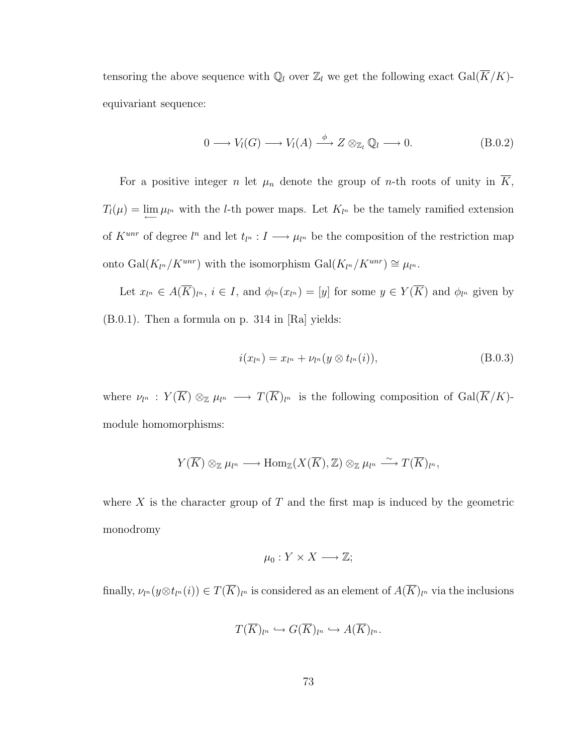tensoring the above sequence with  $\mathbb{Q}_l$  over  $\mathbb{Z}_l$  we get the following exact  $Gal(\overline{K}/K)$ equivariant sequence:

$$
0 \longrightarrow V_l(G) \longrightarrow V_l(A) \stackrel{\phi}{\longrightarrow} Z \otimes_{\mathbb{Z}_l} \mathbb{Q}_l \longrightarrow 0. \tag{B.0.2}
$$

For a positive integer n let  $\mu_n$  denote the group of n-th roots of unity in  $\overline{K}$ ,  $T_l(\mu) = \lim_{\longleftarrow} \mu_{l^n}$  with the l-th power maps. Let  $K_{l^n}$  be the tamely ramified extension of  $K^{unr}$  of degree  $l^n$  and let  $t_{l^n}: I \longrightarrow \mu_{l^n}$  be the composition of the restriction map onto Gal(K<sub>ln</sub>/K<sup>unr</sup>) with the isomorphism Gal(K<sub>ln</sub>/K<sup>unr</sup>) ≅  $\mu_{l^n}$ .

Let  $x_{l^n} \in A(\overline{K})_{l^n}$ ,  $i \in I$ , and  $\phi_{l^n}(x_{l^n}) = [y]$  for some  $y \in Y(\overline{K})$  and  $\phi_{l^n}$  given by (B.0.1). Then a formula on p. 314 in [Ra] yields:

$$
i(x_{l^n}) = x_{l^n} + \nu_{l^n}(y \otimes t_{l^n}(i)),
$$
\n(B.0.3)

where  $\nu_{l^n}$  :  $Y(\overline{K}) \otimes_{\mathbb{Z}} \mu_{l^n} \longrightarrow T(\overline{K})_{l^n}$  is the following composition of  $Gal(\overline{K}/K)$ module homomorphisms:

$$
Y(\overline{K}) \otimes_{\mathbb{Z}} \mu_{l^n} \longrightarrow \text{Hom}_{\mathbb{Z}}(X(\overline{K}), \mathbb{Z}) \otimes_{\mathbb{Z}} \mu_{l^n} \stackrel{\sim}{\longrightarrow} T(\overline{K})_{l^n},
$$

where  $X$  is the character group of  $T$  and the first map is induced by the geometric monodromy

$$
\mu_0: Y \times X \longrightarrow \mathbb{Z};
$$

finally,  $\nu_{l^n}(y\otimes t_{l^n}(i))\in T(\overline{K})_{l^n}$  is considered as an element of  $A(\overline{K})_{l^n}$  via the inclusions

$$
T(\overline{K})_{l^n} \hookrightarrow G(\overline{K})_{l^n} \hookrightarrow A(\overline{K})_{l^n}.
$$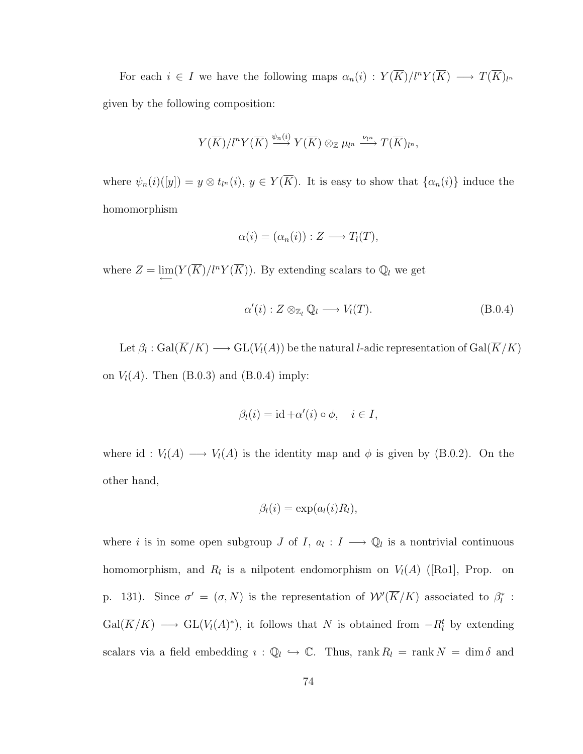For each  $i \in I$  we have the following maps  $\alpha_n(i) : Y(\overline{K})/l^n Y(\overline{K}) \longrightarrow T(\overline{K})_{l^n}$ given by the following composition:

$$
Y(\overline{K})/l^{n}Y(\overline{K}) \stackrel{\psi_{n}(i)}{\longrightarrow} Y(\overline{K}) \otimes_{\mathbb{Z}} \mu_{l^{n}} \stackrel{\nu_{l^{n}}}{\longrightarrow} T(\overline{K})_{l^{n}},
$$

where  $\psi_n(i)([y]) = y \otimes t_{l^n}(i)$ ,  $y \in Y(\overline{K})$ . It is easy to show that  $\{\alpha_n(i)\}\$ induce the homomorphism

$$
\alpha(i) = (\alpha_n(i)) : Z \longrightarrow T_l(T),
$$

where  $Z = \lim_{\longleftarrow} (Y(\overline{K})/l^n Y(\overline{K}))$ . By extending scalars to  $\mathbb{Q}_l$  we get

$$
\alpha'(i): Z \otimes_{\mathbb{Z}_l} \mathbb{Q}_l \longrightarrow V_l(T). \tag{B.0.4}
$$

Let  $\beta_l: \mathrm{Gal}(\overline{K}/K) \longrightarrow \mathrm{GL}(V_l(A))$  be the natural *l*-adic representation of  $\mathrm{Gal}(\overline{K}/K)$ on  $V_l(A)$ . Then (B.0.3) and (B.0.4) imply:

$$
\beta_l(i) = \mathrm{id} + \alpha'(i) \circ \phi, \quad i \in I,
$$

where id :  $V_l(A) \longrightarrow V_l(A)$  is the identity map and  $\phi$  is given by (B.0.2). On the other hand,

$$
\beta_l(i) = \exp(a_l(i)R_l),
$$

where i is in some open subgroup J of I,  $a_l: I \longrightarrow \mathbb{Q}_l$  is a nontrivial continuous homomorphism, and  $R_l$  is a nilpotent endomorphism on  $V_l(A)$  ([Ro1], Prop. on p. 131). Since  $\sigma' = (\sigma, N)$  is the representation of  $W'(\overline{K}/K)$  associated to  $\beta_l^*$ :  $Gal(\overline{K}/K) \longrightarrow GL(V_l(A)^*)$ , it follows that N is obtained from  $-R_l^t$  by extending scalars via a field embedding  $\iota : \mathbb{Q}_l \hookrightarrow \mathbb{C}$ . Thus, rank  $R_l = \text{rank } N = \dim \delta$  and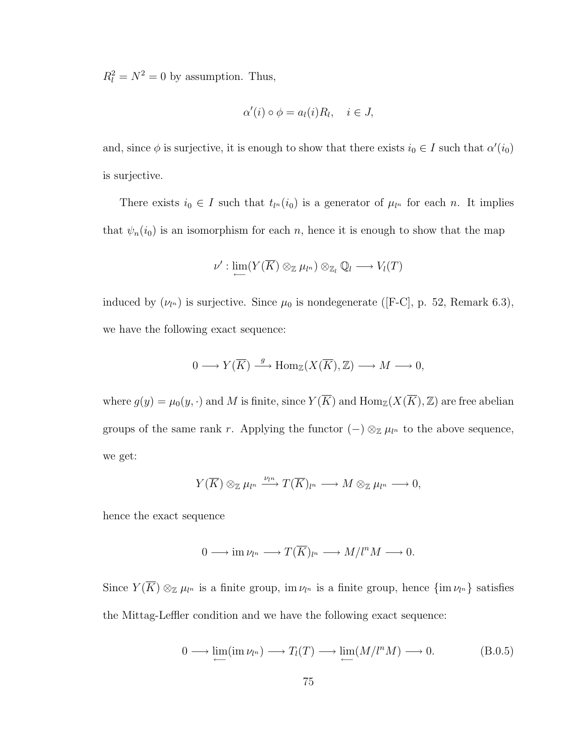$R_l^2 = N^2 = 0$  by assumption. Thus,

$$
\alpha'(i) \circ \phi = a_l(i)R_l, \quad i \in J,
$$

and, since  $\phi$  is surjective, it is enough to show that there exists  $i_0 \in I$  such that  $\alpha'(i_0)$ is surjective.

There exists  $i_0 \in I$  such that  $t_{l^n}(i_0)$  is a generator of  $\mu_{l^n}$  for each n. It implies that  $\psi_n(i_0)$  is an isomorphism for each n, hence it is enough to show that the map

$$
\nu':\lim\limits_{\longleftarrow}(Y(\overline{K})\otimes_{\mathbb{Z}}\mu_{l^n})\otimes_{\mathbb{Z}_l}\mathbb{Q}_l\longrightarrow V_l(T)
$$

induced by  $(\nu_{l^n})$  is surjective. Since  $\mu_0$  is nondegenerate ([F-C], p. 52, Remark 6.3), we have the following exact sequence:

$$
0 \longrightarrow Y(\overline{K}) \stackrel{g}{\longrightarrow} \text{Hom}_{\mathbb{Z}}(X(\overline{K}), \mathbb{Z}) \longrightarrow M \longrightarrow 0,
$$

where  $g(y) = \mu_0(y, \cdot)$  and M is finite, since  $Y(\overline{K})$  and  $\text{Hom}_{\mathbb{Z}}(X(\overline{K}), \mathbb{Z})$  are free abelian groups of the same rank r. Applying the functor  $(-) \otimes_{\mathbb{Z}} \mu_{l^n}$  to the above sequence, we get:

$$
Y(\overline{K}) \otimes_{\mathbb{Z}} \mu_{l^n} \xrightarrow{\nu_{l^n}} T(\overline{K})_{l^n} \longrightarrow M \otimes_{\mathbb{Z}} \mu_{l^n} \longrightarrow 0,
$$

hence the exact sequence

$$
0 \longrightarrow \operatorname{im}\nu_{l^n} \longrightarrow T(\overline{K})_{l^n} \longrightarrow M/l^n M \longrightarrow 0.
$$

Since  $Y(\overline{K}) \otimes_{\mathbb{Z}} \mu_{l^n}$  is a finite group, im  $\nu_{l^n}$  is a finite group, hence  $\{\text{im } \nu_{l^n}\}$  satisfies the Mittag-Leffler condition and we have the following exact sequence:

$$
0 \longrightarrow \lim_{\longleftarrow} (\text{im } \nu_{l^n}) \longrightarrow T_l(T) \longrightarrow \lim_{\longleftarrow} (M/l^n M) \longrightarrow 0. \tag{B.0.5}
$$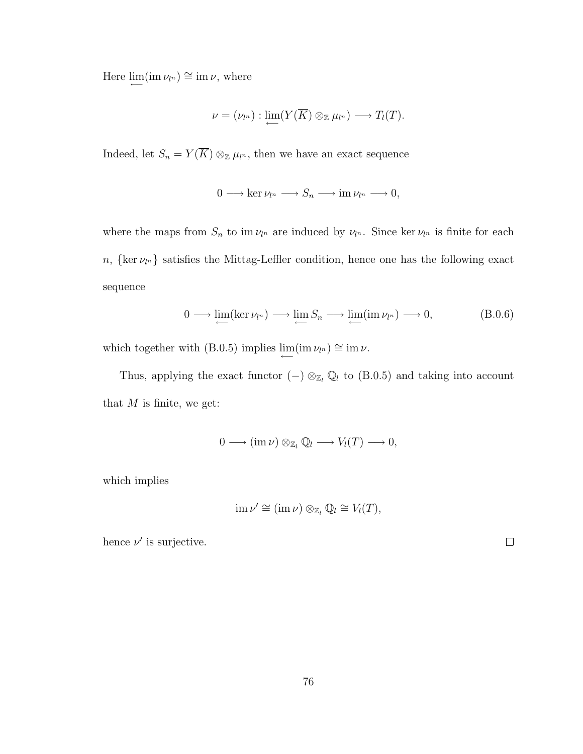Here  $\lim_{\longleftarrow} (\text{im } \nu_{l^n}) \cong \text{im } \nu$ , where

$$
\nu = (\nu_{l^n}) : \lim_{\longleftarrow} (Y(\overline{K}) \otimes_{\mathbb{Z}} \mu_{l^n}) \longrightarrow T_l(T).
$$

Indeed, let  $S_n = Y(\overline{K}) \otimes_{\mathbb{Z}} \mu_{l^n}$ , then we have an exact sequence

$$
0 \longrightarrow \ker \nu_{l^n} \longrightarrow S_n \longrightarrow \mathrm{im}\,\nu_{l^n} \longrightarrow 0,
$$

where the maps from  $S_n$  to im  $\nu_{l^n}$  are induced by  $\nu_{l^n}$ . Since ker  $\nu_{l^n}$  is finite for each  $n, \{ \text{ker } \nu_{l^n} \}$  satisfies the Mittag-Leffler condition, hence one has the following exact sequence

$$
0 \longrightarrow \lim_{\longleftarrow} (\ker \nu_{l^n}) \longrightarrow \lim_{\longleftarrow} S_n \longrightarrow \lim_{\longleftarrow} (\text{im } \nu_{l^n}) \longrightarrow 0, \tag{B.0.6}
$$

 $\Box$ 

which together with (B.0.5) implies  $\lim_{\longleftarrow}$  (im  $\nu_{l^n}$ ) ≅ im  $\nu$ .

Thus, applying the exact functor  $(-) \otimes_{\mathbb{Z}_l} \mathbb{Q}_l$  to  $(B.0.5)$  and taking into account that  $M$  is finite, we get:

$$
0 \longrightarrow (\operatorname{im} \nu) \otimes_{\mathbb{Z}_l} \mathbb{Q}_l \longrightarrow V_l(T) \longrightarrow 0,
$$

which implies

$$
\operatorname{im}\nu'\cong(\operatorname{im}\nu)\otimes_{\mathbb{Z}_l}\mathbb{Q}_l\cong V_l(T),
$$

hence  $\nu'$  is surjective.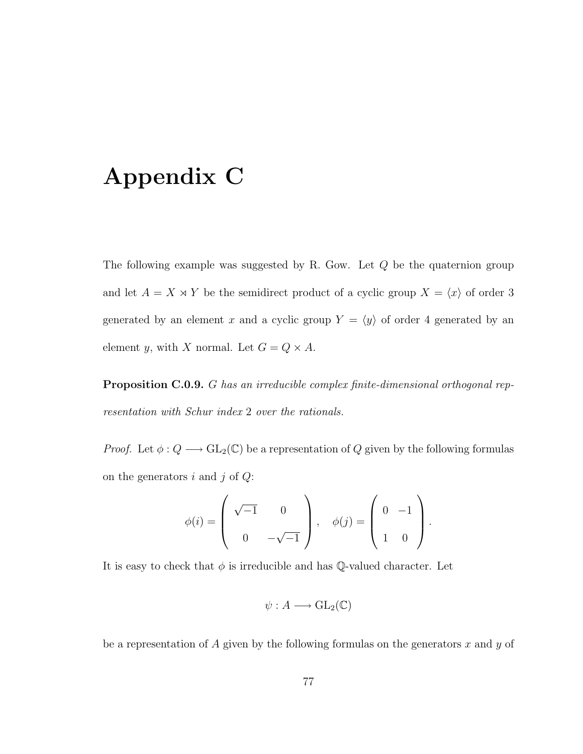## Appendix C

The following example was suggested by R. Gow. Let Q be the quaternion group and let  $A = X \times Y$  be the semidirect product of a cyclic group  $X = \langle x \rangle$  of order 3 generated by an element x and a cyclic group  $Y = \langle y \rangle$  of order 4 generated by an element y, with X normal. Let  $G = Q \times A$ .

Proposition C.0.9. G has an irreducible complex finite-dimensional orthogonal representation with Schur index 2 over the rationals.

*Proof.* Let  $\phi: Q \longrightarrow GL_2(\mathbb{C})$  be a representation of Q given by the following formulas on the generators  $i$  and  $j$  of  $Q$ :

$$
\phi(i) = \left( \begin{array}{cc} \sqrt{-1} & 0 \\ 0 & -\sqrt{-1} \end{array} \right), \quad \phi(j) = \left( \begin{array}{cc} 0 & -1 \\ 1 & 0 \end{array} \right).
$$

It is easy to check that  $\phi$  is irreducible and has  $\mathbb Q$ -valued character. Let

$$
\psi: A \longrightarrow \mathrm{GL}_2(\mathbb{C})
$$

be a representation of A given by the following formulas on the generators  $x$  and  $y$  of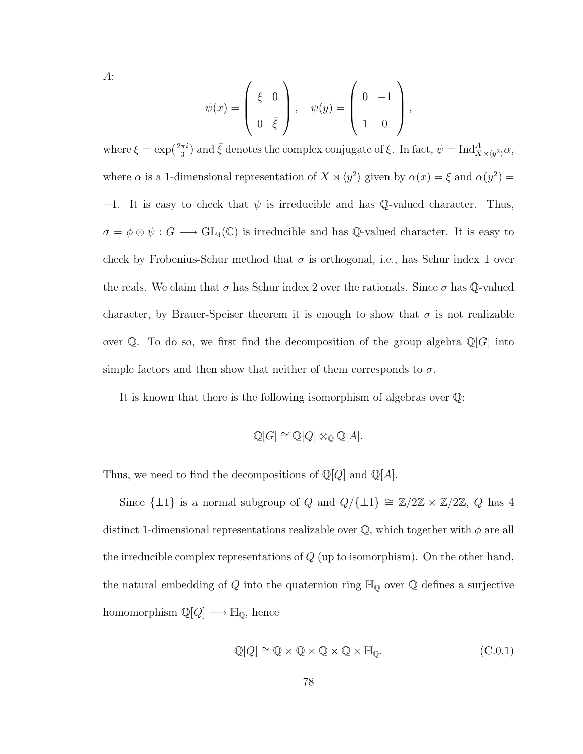A:

$$
\psi(x) = \begin{pmatrix} \xi & 0 \\ 0 & \bar{\xi} \end{pmatrix}, \quad \psi(y) = \begin{pmatrix} 0 & -1 \\ 1 & 0 \end{pmatrix},
$$

where  $\xi = \exp(\frac{2\pi i}{3})$  and  $\bar{\xi}$  denotes the complex conjugate of  $\xi$ . In fact,  $\psi = \text{Ind}_{X \rtimes \langle y^2 \rangle}^A \alpha$ , where  $\alpha$  is a 1-dimensional representation of  $X \rtimes \langle y^2 \rangle$  given by  $\alpha(x) = \xi$  and  $\alpha(y^2) =$ −1. It is easy to check that  $\psi$  is irreducible and has Q-valued character. Thus,  $\sigma = \phi \otimes \psi : G \longrightarrow GL_4(\mathbb{C})$  is irreducible and has Q-valued character. It is easy to check by Frobenius-Schur method that  $\sigma$  is orthogonal, i.e., has Schur index 1 over the reals. We claim that  $\sigma$  has Schur index 2 over the rationals. Since  $\sigma$  has Q-valued character, by Brauer-Speiser theorem it is enough to show that  $\sigma$  is not realizable over  $\mathbb Q$ . To do so, we first find the decomposition of the group algebra  $\mathbb Q[G]$  into simple factors and then show that neither of them corresponds to  $\sigma$ .

It is known that there is the following isomorphism of algebras over Q:

$$
\mathbb{Q}[G] \cong \mathbb{Q}[Q] \otimes_{\mathbb{Q}} \mathbb{Q}[A].
$$

Thus, we need to find the decompositions of  $\mathbb{Q}[Q]$  and  $\mathbb{Q}[A]$ .

Since  $\{\pm 1\}$  is a normal subgroup of Q and  $Q/\{\pm 1\} \cong \mathbb{Z}/2\mathbb{Z} \times \mathbb{Z}/2\mathbb{Z}$ , Q has 4 distinct 1-dimensional representations realizable over  $\mathbb Q$ , which together with  $\phi$  are all the irreducible complex representations of  $Q$  (up to isomorphism). On the other hand, the natural embedding of  $Q$  into the quaternion ring  $\mathbb{H}_{\mathbb{Q}}$  over  $\mathbb Q$  defines a surjective homomorphism  $\mathbb{Q}[Q] \longrightarrow \mathbb{H}_{\mathbb{Q}}$ , hence

$$
\mathbb{Q}[Q] \cong \mathbb{Q} \times \mathbb{Q} \times \mathbb{Q} \times \mathbb{Q} \times \mathbb{H}_{\mathbb{Q}}.\tag{C.0.1}
$$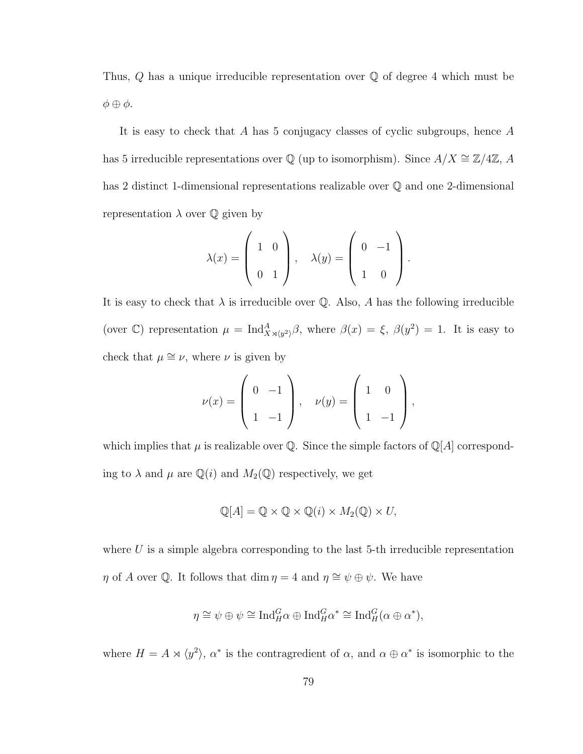Thus,  $Q$  has a unique irreducible representation over  $Q$  of degree 4 which must be  $\phi \oplus \phi$ .

It is easy to check that A has 5 conjugacy classes of cyclic subgroups, hence A has 5 irreducible representations over  $\mathbb Q$  (up to isomorphism). Since  $A/X \cong \mathbb Z/4\mathbb Z$ , A has 2 distinct 1-dimensional representations realizable over Q and one 2-dimensional representation  $\lambda$  over  $\mathbb Q$  given by

$$
\lambda(x) = \left(\begin{array}{cc} 1 & 0 \\ 0 & 1 \end{array}\right), \quad \lambda(y) = \left(\begin{array}{cc} 0 & -1 \\ 1 & 0 \end{array}\right).
$$

It is easy to check that  $\lambda$  is irreducible over Q. Also, A has the following irreducible (over C) representation  $\mu = \text{Ind}_{X \rtimes \langle y^2 \rangle}^A \beta$ , where  $\beta(x) = \xi$ ,  $\beta(y^2) = 1$ . It is easy to check that  $\mu \cong \nu$ , where  $\nu$  is given by

$$
\nu(x) = \begin{pmatrix} 0 & -1 \\ 1 & -1 \end{pmatrix}, \quad \nu(y) = \begin{pmatrix} 1 & 0 \\ 1 & -1 \end{pmatrix},
$$

which implies that  $\mu$  is realizable over Q. Since the simple factors of Q[A] corresponding to  $\lambda$  and  $\mu$  are  $\mathbb{Q}(i)$  and  $M_2(\mathbb{Q})$  respectively, we get

$$
\mathbb{Q}[A] = \mathbb{Q} \times \mathbb{Q} \times \mathbb{Q}(i) \times M_2(\mathbb{Q}) \times U,
$$

where  $U$  is a simple algebra corresponding to the last 5-th irreducible representation  $\eta$  of A over Q. It follows that dim  $\eta = 4$  and  $\eta \approx \psi \oplus \psi$ . We have

$$
\eta \cong \psi \oplus \psi \cong \text{Ind}_{H}^{G} \alpha \oplus \text{Ind}_{H}^{G} \alpha^{*} \cong \text{Ind}_{H}^{G} (\alpha \oplus \alpha^{*}),
$$

where  $H = A \rtimes \langle y^2 \rangle$ ,  $\alpha^*$  is the contragredient of  $\alpha$ , and  $\alpha \oplus \alpha^*$  is isomorphic to the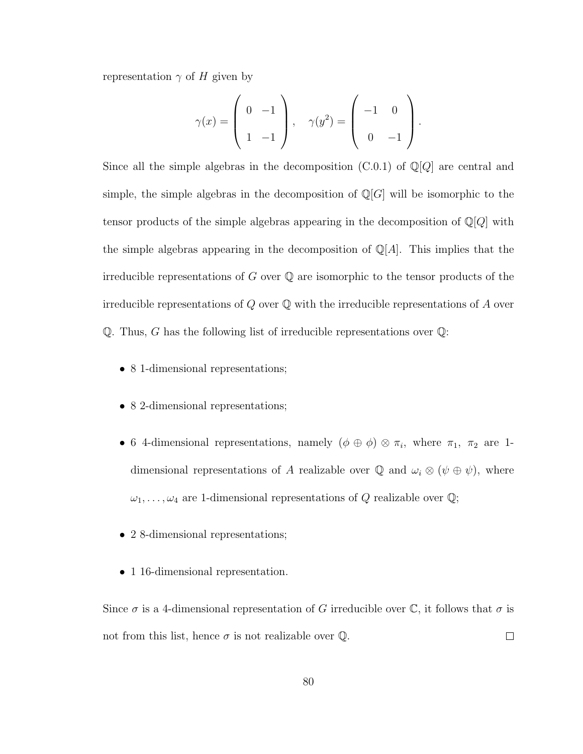representation  $\gamma$  of H given by

$$
\gamma(x) = \begin{pmatrix} 0 & -1 \\ 1 & -1 \end{pmatrix}, \quad \gamma(y^2) = \begin{pmatrix} -1 & 0 \\ 0 & -1 \end{pmatrix}.
$$

Since all the simple algebras in the decomposition  $(C.0.1)$  of  $\mathbb{Q}[Q]$  are central and simple, the simple algebras in the decomposition of  $\mathbb{Q}[G]$  will be isomorphic to the tensor products of the simple algebras appearing in the decomposition of  $\mathbb{Q}[Q]$  with the simple algebras appearing in the decomposition of  $\mathbb{Q}[A]$ . This implies that the irreducible representations of  $G$  over  $\mathbb Q$  are isomorphic to the tensor products of the irreducible representations of  $Q$  over  $\mathbb Q$  with the irreducible representations of  $A$  over Q. Thus, G has the following list of irreducible representations over  $\mathbb{Q}$ :

- 8 1-dimensional representations;
- 8 2-dimensional representations;
- 6 4-dimensional representations, namely  $(\phi \oplus \phi) \otimes \pi_i$ , where  $\pi_1$ ,  $\pi_2$  are 1dimensional representations of A realizable over  $\mathbb Q$  and  $\omega_i \otimes (\psi \oplus \psi)$ , where  $\omega_1, \ldots, \omega_4$  are 1-dimensional representations of Q realizable over  $\mathbb{Q}$ ;
- 2 8-dimensional representations;
- 1 16-dimensional representation.

Since  $\sigma$  is a 4-dimensional representation of G irreducible over  $\mathbb{C}$ , it follows that  $\sigma$  is not from this list, hence  $\sigma$  is not realizable over  $\mathbb Q$ .  $\Box$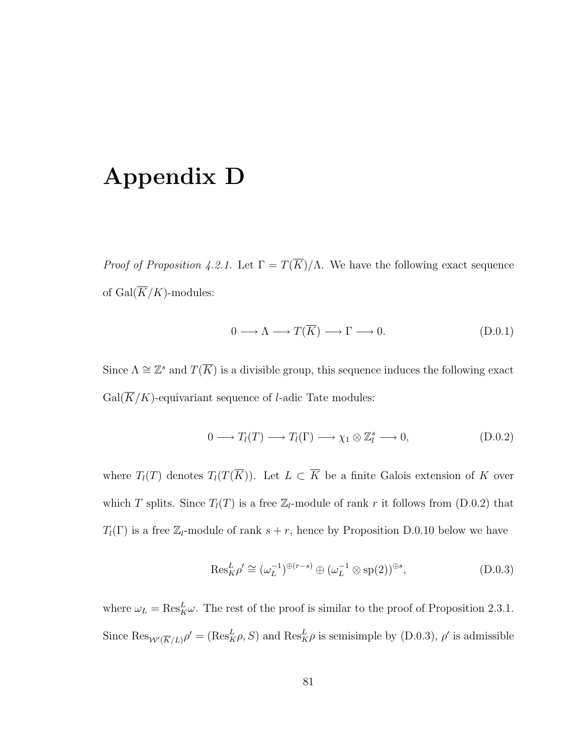## Appendix D

*Proof of Proposition 4.2.1.* Let  $\Gamma = T(\overline{K})/\Lambda$ . We have the following exact sequence of Gal $(\overline{K}/K)$ -modules:

$$
0 \longrightarrow \Lambda \longrightarrow T(\overline{K}) \longrightarrow \Gamma \longrightarrow 0. \tag{D.0.1}
$$

Since  $\Lambda \cong \mathbb{Z}^s$  and  $T(\overline{K})$  is a divisible group, this sequence induces the following exact  $Gal(\overline{K}/K)$ -equivariant sequence of *l*-adic Tate modules:

$$
0 \longrightarrow T_l(T) \longrightarrow T_l(\Gamma) \longrightarrow \chi_1 \otimes \mathbb{Z}_l^s \longrightarrow 0,
$$
\n(D.0.2)

where  $T_l(T)$  denotes  $T_l(T(\overline{K}))$ . Let  $L \subset \overline{K}$  be a finite Galois extension of K over which T splits. Since  $T_l(T)$  is a free  $\mathbb{Z}_l$ -module of rank r it follows from (D.0.2) that  $T_l(\Gamma)$  is a free  $\mathbb{Z}_l$ -module of rank  $s + r$ , hence by Proposition D.0.10 below we have

$$
\operatorname{Res}_{K}^{L} \rho' \cong (\omega_L^{-1})^{\oplus (r-s)} \oplus (\omega_L^{-1} \otimes \operatorname{sp}(2))^{\oplus s}, \tag{D.0.3}
$$

where  $\omega_L = \text{Res}_{K}^{L} \omega$ . The rest of the proof is similar to the proof of Proposition 2.3.1. Since  $\text{Res}_{W'(\overline{K}/L)}\rho' = (\text{Res}_{K}^{L}\rho, S)$  and  $\text{Res}_{K}^{L}\rho$  is semisimple by (D.0.3),  $\rho'$  is admissible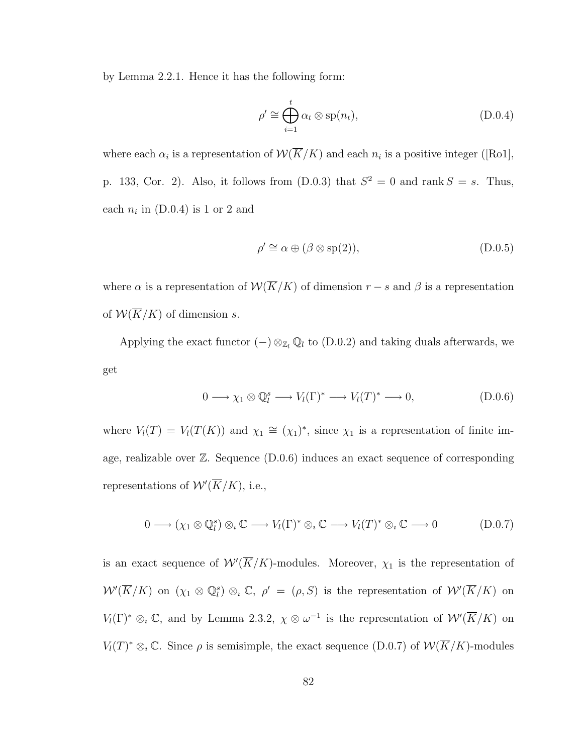by Lemma 2.2.1. Hence it has the following form:

$$
\rho' \cong \bigoplus_{i=1}^{t} \alpha_{t} \otimes \text{sp}(n_{t}), \qquad (D.0.4)
$$

where each  $\alpha_i$  is a representation of  $\mathcal{W}(K/K)$  and each  $n_i$  is a positive integer ([Ro1], p. 133, Cor. 2). Also, it follows from  $(D.0.3)$  that  $S^2 = 0$  and rank  $S = s$ . Thus, each  $n_i$  in (D.0.4) is 1 or 2 and

$$
\rho' \cong \alpha \oplus (\beta \otimes \text{sp}(2)),\tag{D.0.5}
$$

where  $\alpha$  is a representation of  $\mathcal{W}(\overline{K}/K)$  of dimension  $r - s$  and  $\beta$  is a representation of  $W(\overline{K}/K)$  of dimension s.

Applying the exact functor  $(-) \otimes_{\mathbb{Z}_l} \mathbb{Q}_l$  to  $(D.0.2)$  and taking duals afterwards, we get

$$
0 \longrightarrow \chi_1 \otimes \mathbb{Q}_l^s \longrightarrow V_l(\Gamma)^* \longrightarrow V_l(T)^* \longrightarrow 0,
$$
\n(D.0.6)

where  $V_l(T) = V_l(T(\overline{K}))$  and  $\chi_1 \cong (\chi_1)^*$ , since  $\chi_1$  is a representation of finite image, realizable over  $\mathbb{Z}$ . Sequence  $(D.0.6)$  induces an exact sequence of corresponding representations of  $W'(\overline{K}/K)$ , i.e.,

$$
0 \longrightarrow (\chi_1 \otimes \mathbb{Q}_l^s) \otimes_{\iota} \mathbb{C} \longrightarrow V_l(\Gamma)^* \otimes_{\iota} \mathbb{C} \longrightarrow V_l(T)^* \otimes_{\iota} \mathbb{C} \longrightarrow 0 \tag{D.0.7}
$$

is an exact sequence of  $W(\overline{K}/K)$ -modules. Moreover,  $\chi_1$  is the representation of  $W'(\overline{K}/K)$  on  $(\chi_1 \otimes \mathbb{Q}_l^s) \otimes_{\iota} \mathbb{C}, \rho' = (\rho, S)$  is the representation of  $W'(\overline{K}/K)$  on  $V_l(\Gamma)^* \otimes_i \mathbb{C}$ , and by Lemma 2.3.2,  $\chi \otimes \omega^{-1}$  is the representation of  $\mathcal{W}'(\overline{K}/K)$  on  $V_l(T)^* \otimes_i \mathbb{C}$ . Since  $\rho$  is semisimple, the exact sequence (D.0.7) of  $\mathcal{W}(\overline{K}/K)$ -modules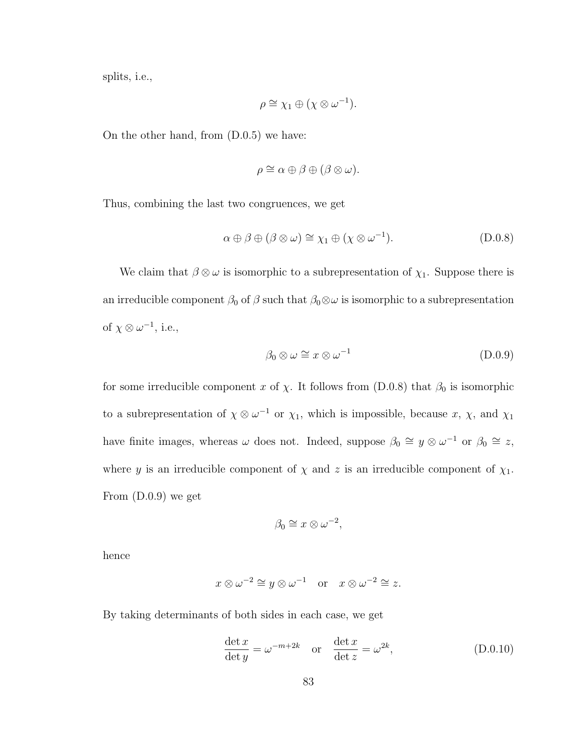splits, i.e.,

$$
\rho \cong \chi_1 \oplus (\chi \otimes \omega^{-1}).
$$

On the other hand, from (D.0.5) we have:

$$
\rho \cong \alpha \oplus \beta \oplus (\beta \otimes \omega).
$$

Thus, combining the last two congruences, we get

$$
\alpha \oplus \beta \oplus (\beta \otimes \omega) \cong \chi_1 \oplus (\chi \otimes \omega^{-1}).
$$
 (D.0.8)

We claim that  $\beta \otimes \omega$  is isomorphic to a subrepresentation of  $\chi_1$ . Suppose there is an irreducible component  $\beta_0$  of  $\beta$  such that  $\beta_0 \otimes \omega$  is isomorphic to a subrepresentation of  $\chi \otimes \omega^{-1}$ , i.e.,

$$
\beta_0 \otimes \omega \cong x \otimes \omega^{-1} \tag{D.0.9}
$$

for some irreducible component x of  $\chi$ . It follows from (D.0.8) that  $\beta_0$  is isomorphic to a subrepresentation of  $\chi \otimes \omega^{-1}$  or  $\chi_1$ , which is impossible, because x,  $\chi$ , and  $\chi_1$ have finite images, whereas  $\omega$  does not. Indeed, suppose  $\beta_0 \cong y \otimes \omega^{-1}$  or  $\beta_0 \cong z$ , where y is an irreducible component of  $\chi$  and z is an irreducible component of  $\chi_1$ . From (D.0.9) we get

$$
\beta_0 \cong x \otimes \omega^{-2},
$$

hence

$$
x \otimes \omega^{-2} \cong y \otimes \omega^{-1}
$$
 or  $x \otimes \omega^{-2} \cong z$ .

By taking determinants of both sides in each case, we get

$$
\frac{\det x}{\det y} = \omega^{-m+2k} \quad \text{or} \quad \frac{\det x}{\det z} = \omega^{2k},\tag{D.0.10}
$$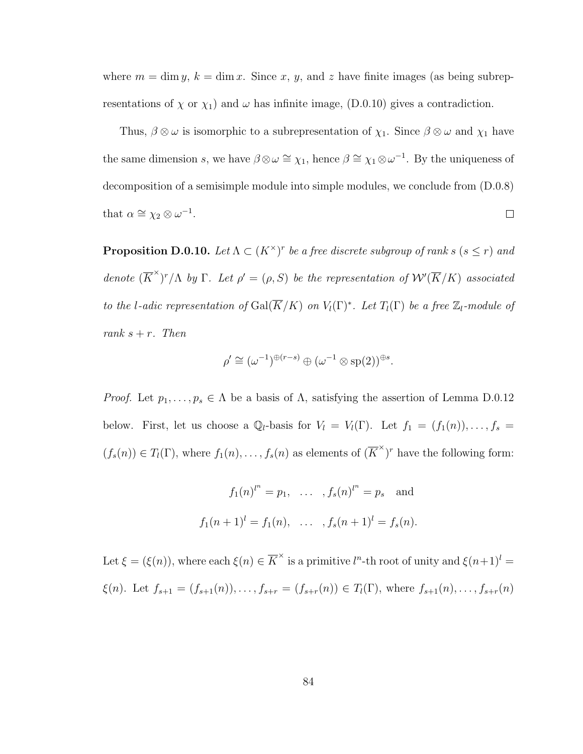where  $m = \dim y$ ,  $k = \dim x$ . Since x, y, and z have finite images (as being subrepresentations of  $\chi$  or  $\chi_1$ ) and  $\omega$  has infinite image, (D.0.10) gives a contradiction.

Thus,  $\beta \otimes \omega$  is isomorphic to a subrepresentation of  $\chi_1$ . Since  $\beta \otimes \omega$  and  $\chi_1$  have the same dimension s, we have  $\beta \otimes \omega \cong \chi_1$ , hence  $\beta \cong \chi_1 \otimes \omega^{-1}$ . By the uniqueness of decomposition of a semisimple module into simple modules, we conclude from (D.0.8) that  $\alpha \cong \chi_2 \otimes \omega^{-1}$ .  $\Box$ 

**Proposition D.0.10.** Let  $\Lambda \subset (K^{\times})^r$  be a free discrete subgroup of rank s ( $s \leq r$ ) and denote  $(\overline{K}^{\times})^r/\Lambda$  by  $\Gamma$ . Let  $\rho' = (\rho, S)$  be the representation of  $\mathcal{W}'(\overline{K}/K)$  associated to the l-adic representation of  $Gal(\overline{K}/K)$  on  $V_l(\Gamma)^*$ . Let  $T_l(\Gamma)$  be a free  $\mathbb{Z}_l$ -module of rank  $s + r$ . Then

$$
\rho' \cong (\omega^{-1})^{\oplus (r-s)} \oplus (\omega^{-1} \otimes \text{sp}(2))^{\oplus s}.
$$

*Proof.* Let  $p_1, \ldots, p_s \in \Lambda$  be a basis of  $\Lambda$ , satisfying the assertion of Lemma D.0.12 below. First, let us choose a  $\mathbb{Q}_l$ -basis for  $V_l = V_l(\Gamma)$ . Let  $f_1 = (f_1(n)), \ldots, f_s =$  $(f_s(n)) \in T_l(\Gamma)$ , where  $f_1(n), \ldots, f_s(n)$  as elements of  $(\overline{K}^{\times})^r$  have the following form:

$$
f_1(n)^{l^n} = p_1, \dots, f_s(n)^{l^n} = p_s
$$
 and  
 $f_1(n+1)^l = f_1(n), \dots, f_s(n+1)^l = f_s(n).$ 

Let  $\xi = (\xi(n))$ , where each  $\xi(n) \in \overline{K}^{\times}$  is a primitive  $l^{n}$ -th root of unity and  $\xi(n+1)^{l}$  $\xi(n)$ . Let  $f_{s+1} = (f_{s+1}(n)), \ldots, f_{s+r} = (f_{s+r}(n)) \in T_l(\Gamma)$ , where  $f_{s+1}(n), \ldots, f_{s+r}(n)$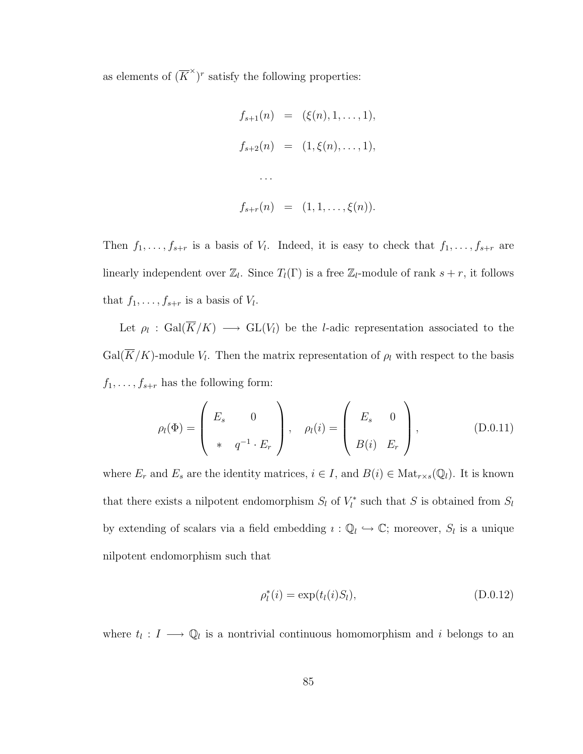as elements of  $(\overline{K}^{\times})^r$  satisfy the following properties:

$$
f_{s+1}(n) = (\xi(n), 1, ..., 1),
$$
  
\n
$$
f_{s+2}(n) = (1, \xi(n), ..., 1),
$$
  
\n...  
\n
$$
f_{s+r}(n) = (1, 1, ..., \xi(n)).
$$

Then  $f_1, \ldots, f_{s+r}$  is a basis of  $V_l$ . Indeed, it is easy to check that  $f_1, \ldots, f_{s+r}$  are linearly independent over  $\mathbb{Z}_l$ . Since  $T_l(\Gamma)$  is a free  $\mathbb{Z}_l$ -module of rank  $s+r$ , it follows that  $f_1, \ldots, f_{s+r}$  is a basis of  $V_l$ .

Let  $\rho_l$ : Gal $(K/K) \longrightarrow GL(V_l)$  be the *l*-adic representation associated to the  $Gal(K/K)$ -module  $V_l$ . Then the matrix representation of  $\rho_l$  with respect to the basis  $f_1, \ldots, f_{s+r}$  has the following form:

$$
\rho_l(\Phi) = \begin{pmatrix} E_s & 0 \\ * & q^{-1} \cdot E_r \end{pmatrix}, \quad \rho_l(i) = \begin{pmatrix} E_s & 0 \\ B(i) & E_r \end{pmatrix}, \quad (D.0.11)
$$

where  $E_r$  and  $E_s$  are the identity matrices,  $i \in I$ , and  $B(i) \in Mat_{r \times s}(\mathbb{Q}_l)$ . It is known that there exists a nilpotent endomorphism  $S_l$  of  $V_l^*$  such that S is obtained from  $S_l$ by extending of scalars via a field embedding  $i: \mathbb{Q}_l \hookrightarrow \mathbb{C}$ ; moreover,  $S_l$  is a unique nilpotent endomorphism such that

$$
\rho_l^*(i) = \exp(t_l(i)S_l),\tag{D.0.12}
$$

where  $t_l: I \longrightarrow \mathbb{Q}_l$  is a nontrivial continuous homomorphism and i belongs to an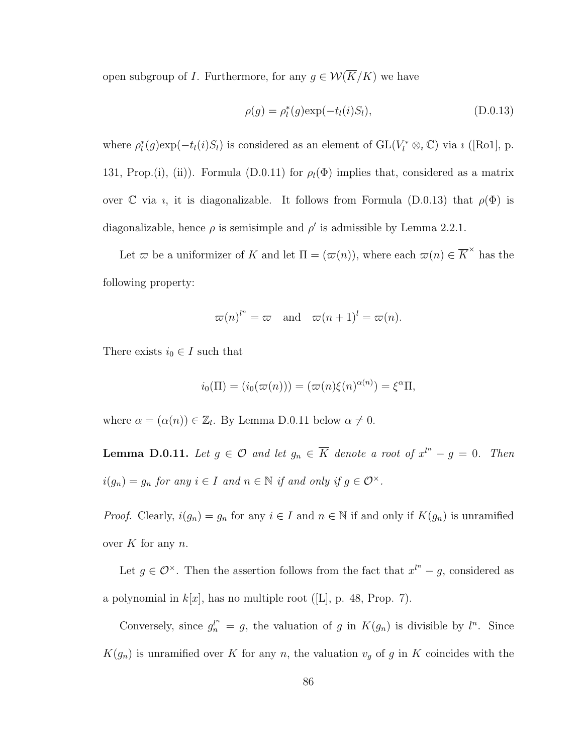open subgroup of *I*. Furthermore, for any  $g \in \mathcal{W}(\overline{K}/K)$  we have

$$
\rho(g) = \rho_l^*(g) \exp(-t_l(i)S_l), \qquad (D.0.13)
$$

where  $\rho_l^*(g) \exp(-t_l(i)S_l)$  is considered as an element of  $GL(V_l^* \otimes_i \mathbb{C})$  via  $\imath$  ([Ro1], p. 131, Prop.(i), (ii)). Formula (D.0.11) for  $\rho_l(\Phi)$  implies that, considered as a matrix over C via *i*, it is diagonalizable. It follows from Formula (D.0.13) that  $\rho(\Phi)$  is diagonalizable, hence  $\rho$  is semisimple and  $\rho'$  is admissible by Lemma 2.2.1.

Let  $\varpi$  be a uniformizer of K and let  $\Pi = (\varpi(n))$ , where each  $\varpi(n) \in \overline{K}^{\times}$  has the following property:

$$
\varpi(n)^{l^n} = \varpi
$$
 and  $\varpi(n+1)^l = \varpi(n)$ .

There exists  $i_0 \in I$  such that

$$
i_0(\Pi) = (i_0(\varpi(n))) = (\varpi(n)\xi(n)^{\alpha(n)}) = \xi^{\alpha}\Pi,
$$

where  $\alpha = (\alpha(n)) \in \mathbb{Z}_l$ . By Lemma D.0.11 below  $\alpha \neq 0$ .

**Lemma D.0.11.** Let  $g \in \mathcal{O}$  and let  $g_n \in \overline{K}$  denote a root of  $x^{l^n} - g = 0$ . Then  $i(g_n) = g_n$  for any  $i \in I$  and  $n \in \mathbb{N}$  if and only if  $g \in \mathcal{O}^{\times}$ .

*Proof.* Clearly,  $i(g_n) = g_n$  for any  $i \in I$  and  $n \in \mathbb{N}$  if and only if  $K(g_n)$  is unramified over  $K$  for any  $n$ .

Let  $g \in \mathcal{O}^{\times}$ . Then the assertion follows from the fact that  $x^{l^n} - g$ , considered as a polynomial in  $k[x]$ , has no multiple root ([L], p. 48, Prop. 7).

Conversely, since  $g_n^{\mu} = g$ , the valuation of g in  $K(g_n)$  is divisible by  $l^n$ . Since  $K(g_n)$  is unramified over K for any n, the valuation  $v_g$  of g in K coincides with the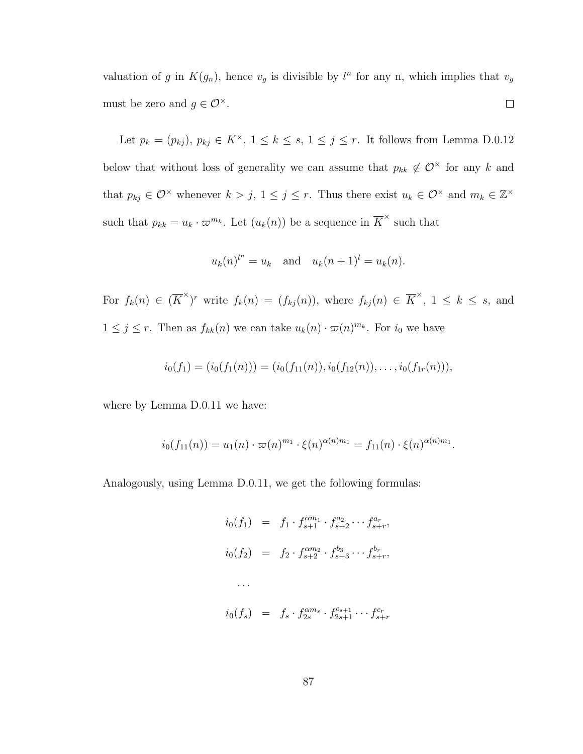valuation of g in  $K(g_n)$ , hence  $v_g$  is divisible by  $l^n$  for any n, which implies that  $v_g$ must be zero and  $g \in \mathcal{O}^{\times}$ .  $\Box$ 

Let  $p_k = (p_{kj}), p_{kj} \in K^{\times}, 1 \le k \le s, 1 \le j \le r$ . It follows from Lemma D.0.12 below that without loss of generality we can assume that  $p_{kk} \notin \mathcal{O}^\times$  for any k and that  $p_{kj} \in \mathcal{O}^\times$  whenever  $k > j$ ,  $1 \leq j \leq r$ . Thus there exist  $u_k \in \mathcal{O}^\times$  and  $m_k \in \mathbb{Z}^\times$ such that  $p_{kk} = u_k \cdot \varpi^{m_k}$ . Let  $(u_k(n))$  be a sequence in  $\overline{K}^{\times}$  such that

$$
u_k(n)^{l^n} = u_k
$$
 and  $u_k(n+1)^l = u_k(n)$ .

For  $f_k(n) \in (\overline{K}^{\times})^r$  write  $f_k(n) = (f_{kj}(n))$ , where  $f_{kj}(n) \in \overline{K}^{\times}$ ,  $1 \leq k \leq s$ , and  $1 \leq j \leq r$ . Then as  $f_{kk}(n)$  we can take  $u_k(n) \cdot \varpi(n)^{m_k}$ . For  $i_0$  we have

$$
i_0(f_1) = (i_0(f_1(n))) = (i_0(f_{11}(n)), i_0(f_{12}(n)), \ldots, i_0(f_{1r}(n))),
$$

where by Lemma D.0.11 we have:

$$
i_0(f_{11}(n)) = u_1(n) \cdot \varpi(n)^{m_1} \cdot \xi(n)^{\alpha(n)m_1} = f_{11}(n) \cdot \xi(n)^{\alpha(n)m_1}.
$$

Analogously, using Lemma D.0.11, we get the following formulas:

$$
i_0(f_1) = f_1 \cdot f_{s+1}^{am_1} \cdot f_{s+2}^{a_2} \cdots f_{s+r}^{a_r},
$$
  
\n
$$
i_0(f_2) = f_2 \cdot f_{s+2}^{am_2} \cdot f_{s+3}^{b_3} \cdots f_{s+r}^{b_r},
$$
  
\n...  
\n
$$
i_0(f_s) = f_s \cdot f_{2s}^{am_s} \cdot f_{2s+1}^{c_{s+1}} \cdots f_{s+r}^{c_r}
$$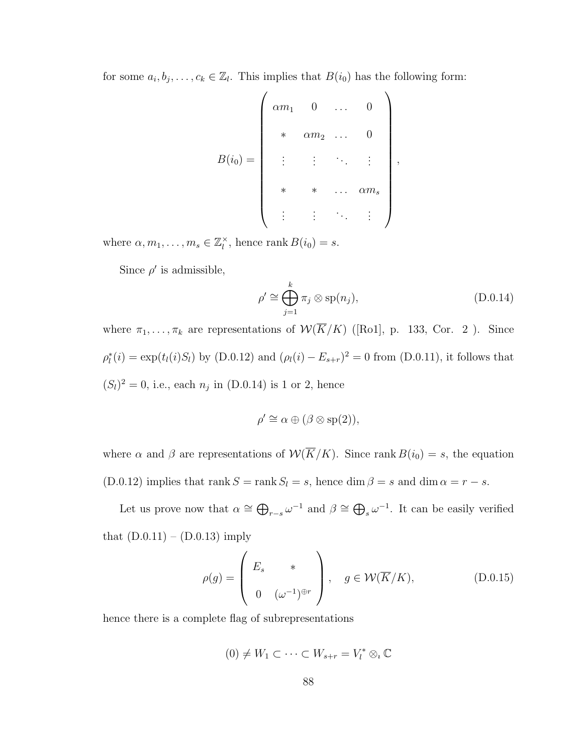for some  $a_i, b_j, \ldots, c_k \in \mathbb{Z}_l$ . This implies that  $B(i_0)$  has the following form:

$$
B(i_0) = \left(\begin{array}{cccc} \alpha m_1 & 0 & \dots & 0 \\ & * & \alpha m_2 & \dots & 0 \\ & \vdots & \vdots & \ddots & \vdots \\ & * & * & \dots & \alpha m_s \\ & \vdots & \vdots & \ddots & \vdots \end{array}\right),
$$

where  $\alpha, m_1, \ldots, m_s \in \mathbb{Z}_l^\times$  $\sum_{l}^{x}$ , hence rank  $B(i_0) = s$ .

Since  $\rho'$  is admissible,

$$
\rho' \cong \bigoplus_{j=1}^{k} \pi_j \otimes \text{sp}(n_j),\tag{D.0.14}
$$

where  $\pi_1, \ldots, \pi_k$  are representations of  $W(\overline{K}/K)$  ([Ro1], p. 133, Cor. 2). Since  $\rho_l^*(i) = \exp(t_l(i)S_l)$  by (D.0.12) and  $(\rho_l(i) - E_{s+r})^2 = 0$  from (D.0.11), it follows that  $(S_l)^2 = 0$ , i.e., each  $n_j$  in (D.0.14) is 1 or 2, hence

$$
\rho' \cong \alpha \oplus (\beta \otimes \mathrm{sp}(2)),
$$

where  $\alpha$  and  $\beta$  are representations of  $\mathcal{W}(\overline{K}/K)$ . Since rank  $B(i_0) = s$ , the equation (D.0.12) implies that rank  $S = \text{rank } S_l = s$ , hence  $\dim \beta = s$  and  $\dim \alpha = r - s$ .

Let us prove now that  $\alpha \cong \bigoplus_{r=s} \omega^{-1}$  and  $\beta \cong \bigoplus_s \omega^{-1}$ . It can be easily verified that  $(D.0.11) - (D.0.13)$  imply

$$
\rho(g) = \begin{pmatrix} E_s & * \\ 0 & (\omega^{-1})^{\oplus r} \end{pmatrix}, \quad g \in \mathcal{W}(\overline{K}/K), \tag{D.0.15}
$$

hence there is a complete flag of subrepresentations

$$
(0) \neq W_1 \subset \cdots \subset W_{s+r} = V_l^* \otimes_i \mathbb{C}
$$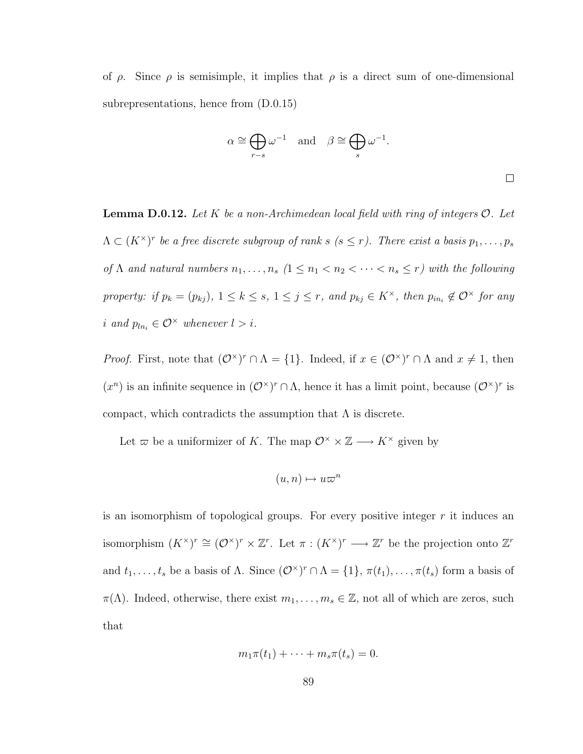of  $\rho$ . Since  $\rho$  is semisimple, it implies that  $\rho$  is a direct sum of one-dimensional subrepresentations, hence from (D.0.15)

$$
\alpha \cong \bigoplus_{r-s} \omega^{-1}
$$
 and  $\beta \cong \bigoplus_s \omega^{-1}$ .

**Lemma D.0.12.** Let K be a non-Archimedean local field with ring of integers  $\mathcal{O}$ . Let  $\Lambda \subset (K^{\times})^r$  be a free discrete subgroup of rank s  $(s \leq r)$ . There exist a basis  $p_1, \ldots, p_s$ of  $\Lambda$  and natural numbers  $n_1, \ldots, n_s$   $(1 \leq n_1 < n_2 < \cdots < n_s \leq r)$  with the following property: if  $p_k = (p_{kj})$ ,  $1 \leq k \leq s$ ,  $1 \leq j \leq r$ , and  $p_{kj} \in K^{\times}$ , then  $p_{in_i} \notin \mathcal{O}^{\times}$  for any i and  $p_{ln_i} \in \mathcal{O}^{\times}$  whenever  $l > i$ .

*Proof.* First, note that  $(\mathcal{O}^{\times})^r \cap \Lambda = \{1\}$ . Indeed, if  $x \in (\mathcal{O}^{\times})^r \cap \Lambda$  and  $x \neq 1$ , then  $(x^n)$  is an infinite sequence in  $(\mathcal{O}^\times)^r \cap \Lambda$ , hence it has a limit point, because  $(\mathcal{O}^\times)^r$  is compact, which contradicts the assumption that  $\Lambda$  is discrete.

Let  $\varpi$  be a uniformizer of K. The map  $\mathcal{O}^\times \times \mathbb{Z} \longrightarrow K^\times$  given by

$$
(u, n) \mapsto u\varpi^n
$$

is an isomorphism of topological groups. For every positive integer  $r$  it induces an isomorphism  $(K^{\times})^r \cong (\mathcal{O}^{\times})^r \times \mathbb{Z}^r$ . Let  $\pi : (K^{\times})^r \longrightarrow \mathbb{Z}^r$  be the projection onto  $\mathbb{Z}^r$ and  $t_1, \ldots, t_s$  be a basis of  $\Lambda$ . Since  $(\mathcal{O}^{\times})^r \cap \Lambda = \{1\}, \pi(t_1), \ldots, \pi(t_s)$  form a basis of  $\pi(\Lambda)$ . Indeed, otherwise, there exist  $m_1, \ldots, m_s \in \mathbb{Z}$ , not all of which are zeros, such that

$$
m_1\pi(t_1)+\cdots+m_s\pi(t_s)=0.
$$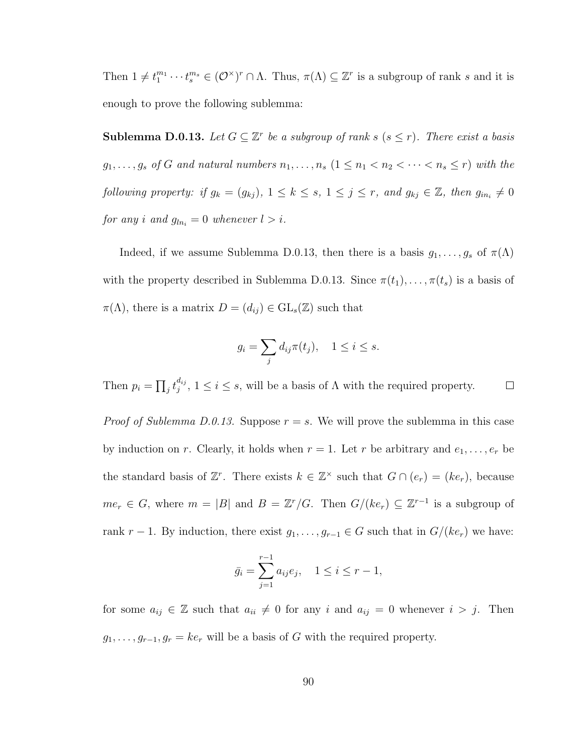Then  $1 \neq t_1^{m_1} \cdots t_s^{m_s} \in (\mathcal{O}^\times)^r \cap \Lambda$ . Thus,  $\pi(\Lambda) \subseteq \mathbb{Z}^r$  is a subgroup of rank s and it is enough to prove the following sublemma:

**Sublemma D.0.13.** Let  $G \subseteq \mathbb{Z}^r$  be a subgroup of rank s  $(s \leq r)$ . There exist a basis  $g_1, \ldots, g_s$  of G and natural numbers  $n_1, \ldots, n_s$   $(1 \leq n_1 < n_2 < \cdots < n_s \leq r)$  with the following property: if  $g_k = (g_{kj})$ ,  $1 \leq k \leq s$ ,  $1 \leq j \leq r$ , and  $g_{kj} \in \mathbb{Z}$ , then  $g_{in_i} \neq 0$ for any i and  $g_{ln_i} = 0$  whenever  $l > i$ .

Indeed, if we assume Sublemma D.0.13, then there is a basis  $g_1, \ldots, g_s$  of  $\pi(\Lambda)$ with the property described in Sublemma D.0.13. Since  $\pi(t_1), \ldots, \pi(t_s)$  is a basis of  $\pi(\Lambda)$ , there is a matrix  $D = (d_{ij}) \in GL_s(\mathbb{Z})$  such that

$$
g_i = \sum_j d_{ij} \pi(t_j), \quad 1 \le i \le s.
$$

Then  $p_i = \prod_j t_j^{d_{ij}}$  $j_j^{a_{ij}}$ ,  $1 \leq i \leq s$ , will be a basis of  $\Lambda$  with the required property.  $\Box$ 

*Proof of Sublemma D.0.13.* Suppose  $r = s$ . We will prove the sublemma in this case by induction on r. Clearly, it holds when  $r = 1$ . Let r be arbitrary and  $e_1, \ldots, e_r$  be the standard basis of  $\mathbb{Z}^r$ . There exists  $k \in \mathbb{Z}^\times$  such that  $G \cap (e_r) = (ke_r)$ , because  $me_r \in G$ , where  $m = |B|$  and  $B = \mathbb{Z}^r/G$ . Then  $G/(ke_r) \subseteq \mathbb{Z}^{r-1}$  is a subgroup of rank r − 1. By induction, there exist  $g_1, \ldots, g_{r-1} \in G$  such that in  $G/(ke_r)$  we have:

$$
\bar{g}_i = \sum_{j=1}^{r-1} a_{ij} e_j, \quad 1 \le i \le r-1,
$$

for some  $a_{ij} \in \mathbb{Z}$  such that  $a_{ii} \neq 0$  for any i and  $a_{ij} = 0$  whenever  $i > j$ . Then  $g_1, \ldots, g_{r-1}, g_r = k e_r$  will be a basis of G with the required property.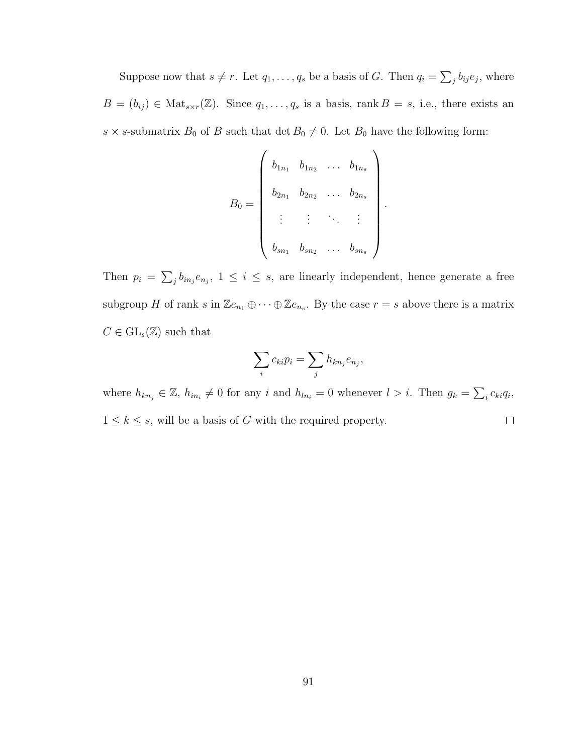Suppose now that  $s \neq r$ . Let  $q_1, \ldots, q_s$  be a basis of G. Then  $q_i = \sum_j b_{ij} e_j$ , where  $B = (b_{ij}) \in Mat_{s \times r}(\mathbb{Z})$ . Since  $q_1, \ldots, q_s$  is a basis, rank  $B = s$ , i.e., there exists an  $s \times s$ -submatrix  $B_0$  of B such that  $\det B_0 \neq 0$ . Let  $B_0$  have the following form:

$$
B_0 = \begin{pmatrix} b_{1n_1} & b_{1n_2} & \dots & b_{1n_s} \\ b_{2n_1} & b_{2n_2} & \dots & b_{2n_s} \\ \vdots & \vdots & \ddots & \vdots \\ b_{sn_1} & b_{sn_2} & \dots & b_{sn_s} \end{pmatrix}
$$

.

Then  $p_i = \sum_j b_{in_j} e_{n_j}$ ,  $1 \leq i \leq s$ , are linearly independent, hence generate a free subgroup H of rank s in  $\mathbb{Z}e_{n_1} \oplus \cdots \oplus \mathbb{Z}e_{n_s}$ . By the case  $r = s$  above there is a matrix  $C \in GL_s(\mathbb{Z})$  such that

$$
\sum_i c_{ki} p_i = \sum_j h_{kn_j} e_{n_j},
$$

where  $h_{kn_j} \in \mathbb{Z}$ ,  $h_{in_i} \neq 0$  for any i and  $h_{ln_i} = 0$  whenever  $l > i$ . Then  $g_k = \sum_i c_{ki} q_i$ ,  $1 \leq k \leq s$ , will be a basis of G with the required property.  $\Box$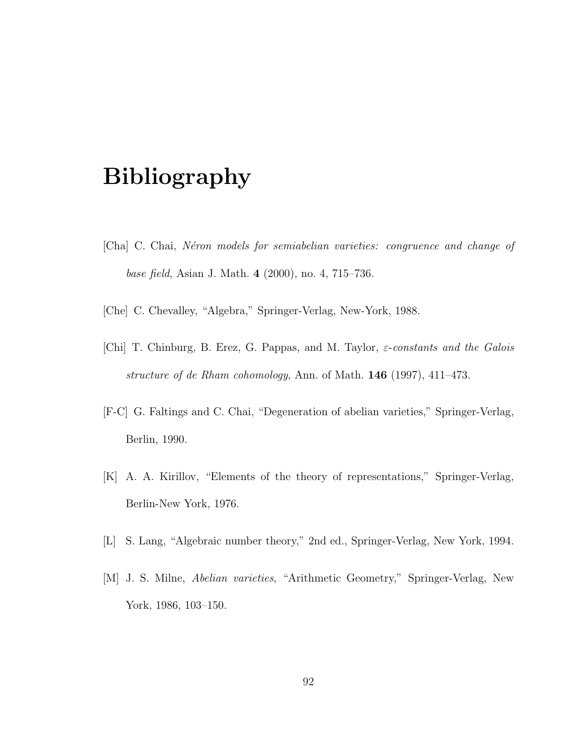## Bibliography

- [Cha] C. Chai, N´eron models for semiabelian varieties: congruence and change of base field, Asian J. Math. 4 (2000), no. 4, 715–736.
- [Che] C. Chevalley, "Algebra," Springer-Verlag, New-York, 1988.
- [Chi] T. Chinburg, B. Erez, G. Pappas, and M. Taylor,  $\varepsilon$ -constants and the Galois structure of de Rham cohomology, Ann. of Math. 146 (1997), 411–473.
- [F-C] G. Faltings and C. Chai, "Degeneration of abelian varieties," Springer-Verlag, Berlin, 1990.
- [K] A. A. Kirillov, "Elements of the theory of representations," Springer-Verlag, Berlin-New York, 1976.
- [L] S. Lang, "Algebraic number theory," 2nd ed., Springer-Verlag, New York, 1994.
- [M] J. S. Milne, Abelian varieties, "Arithmetic Geometry," Springer-Verlag, New York, 1986, 103–150.